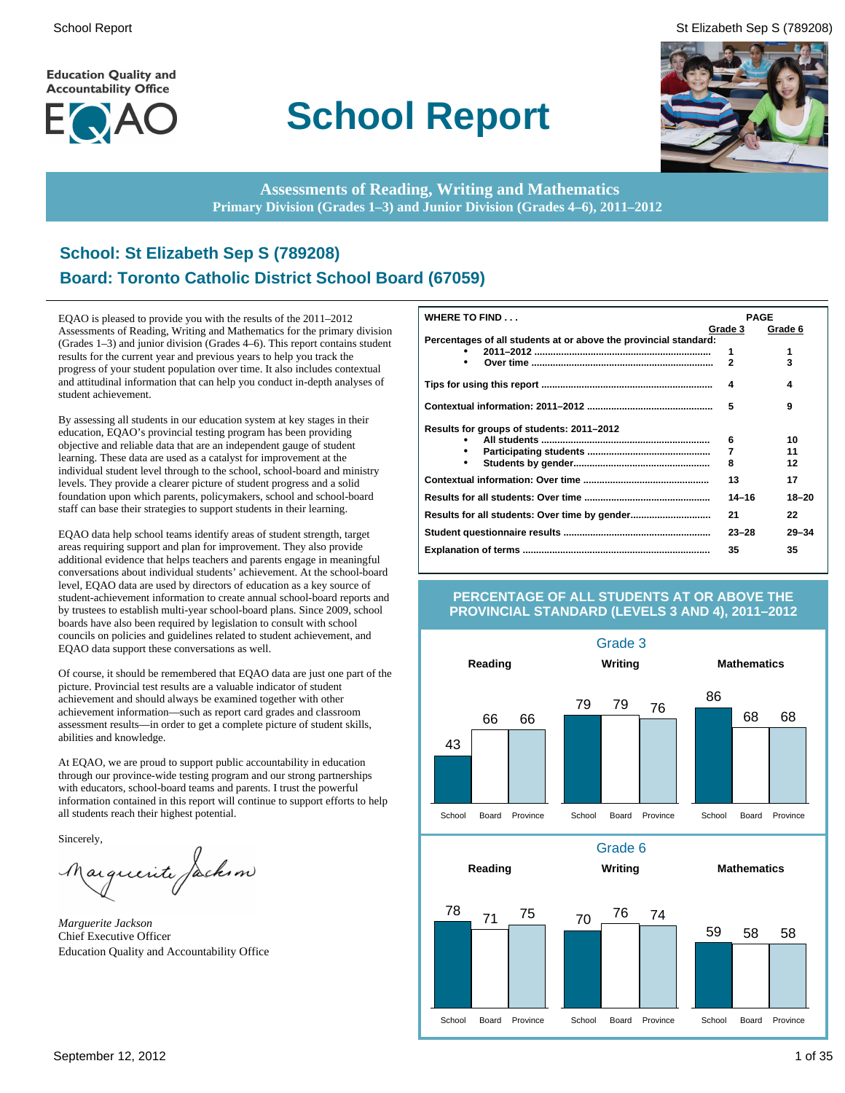**Education Quality and Accountability Office** 



# **School Report**





**Assessments of Reading, Writing and Mathematics Primary Division (Grades 1–3) and Junior Division (Grades 4–6), 2011–2012**

# **School: St Elizabeth Sep S (789208) Board: Toronto Catholic District School Board (67059)**

EQAO is pleased to provide you with the results of the 2011–2012 Assessments of Reading, Writing and Mathematics for the primary division (Grades 1–3) and junior division (Grades 4–6). This report contains student results for the current year and previous years to help you track the progress of your student population over time. It also includes contextual and attitudinal information that can help you conduct in-depth analyses of student achievement.

By assessing all students in our education system at key stages in their education, EQAO's provincial testing program has been providing objective and reliable data that are an independent gauge of student learning. These data are used as a catalyst for improvement at the individual student level through to the school, school-board and ministry levels. They provide a clearer picture of student progress and a solid foundation upon which parents, policymakers, school and school-board staff can base their strategies to support students in their learning.

EQAO data help school teams identify areas of student strength, target areas requiring support and plan for improvement. They also provide additional evidence that helps teachers and parents engage in meaningful conversations about individual students' achievement. At the school-board level, EQAO data are used by directors of education as a key source of student-achievement information to create annual school-board reports and by trustees to establish multi-year school-board plans. Since 2009, school boards have also been required by legislation to consult with school councils on policies and guidelines related to student achievement, and EQAO data support these conversations as well.

Of course, it should be remembered that EQAO data are just one part of the picture. Provincial test results are a valuable indicator of student achievement and should always be examined together with other achievement information—such as report card grades and classroom assessment results—in order to get a complete picture of student skills, abilities and knowledge.

At EQAO, we are proud to support public accountability in education through our province-wide testing program and our strong partnerships with educators, school-board teams and parents. I trust the powerful information contained in this report will continue to support efforts to help all students reach their highest potential.

Sincerely,

arguerite Jackson

*Marguerite Jackson* Chief Executive Officer Education Quality and Accountability Office

| WHERE TO FIND                                                    | <b>PAGE</b>  |           |
|------------------------------------------------------------------|--------------|-----------|
|                                                                  | Grade 3      | Grade 6   |
| Percentages of all students at or above the provincial standard: |              |           |
|                                                                  | 1            | 1         |
| ٠                                                                | $\mathbf{2}$ | 3         |
|                                                                  | 4            | 4         |
|                                                                  | 5            | 9         |
| Results for groups of students: 2011-2012                        |              |           |
|                                                                  | 6            | 10        |
| ٠                                                                | 7            | 11        |
| $\bullet$                                                        | 8            | 12        |
|                                                                  | 13           | 17        |
|                                                                  | $14 - 16$    | $18 - 20$ |
|                                                                  | 21           | 22        |
|                                                                  | $23 - 28$    | $29 - 34$ |
|                                                                  | 35           | 35        |

### **PERCENTAGE OF ALL STUDENTS AT OR ABOVE THE PROVINCIAL STANDARD (LEVELS 3 AND 4), 2011–2012**

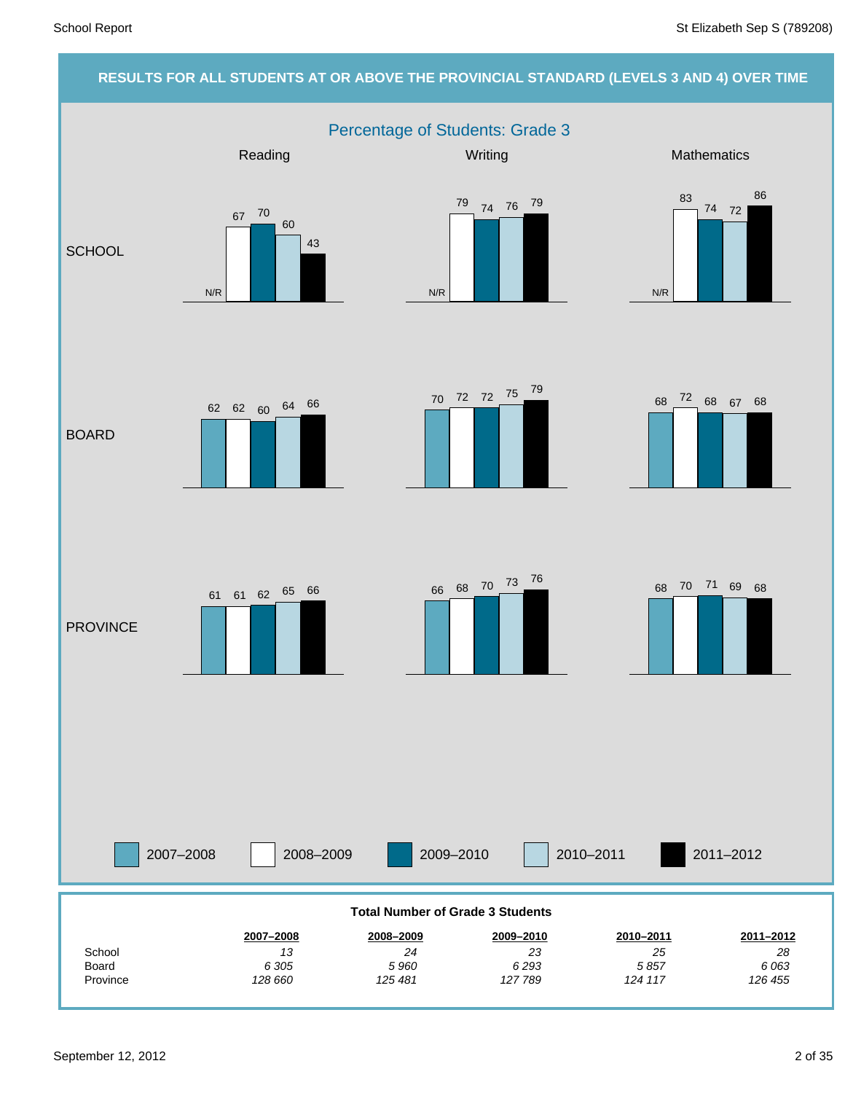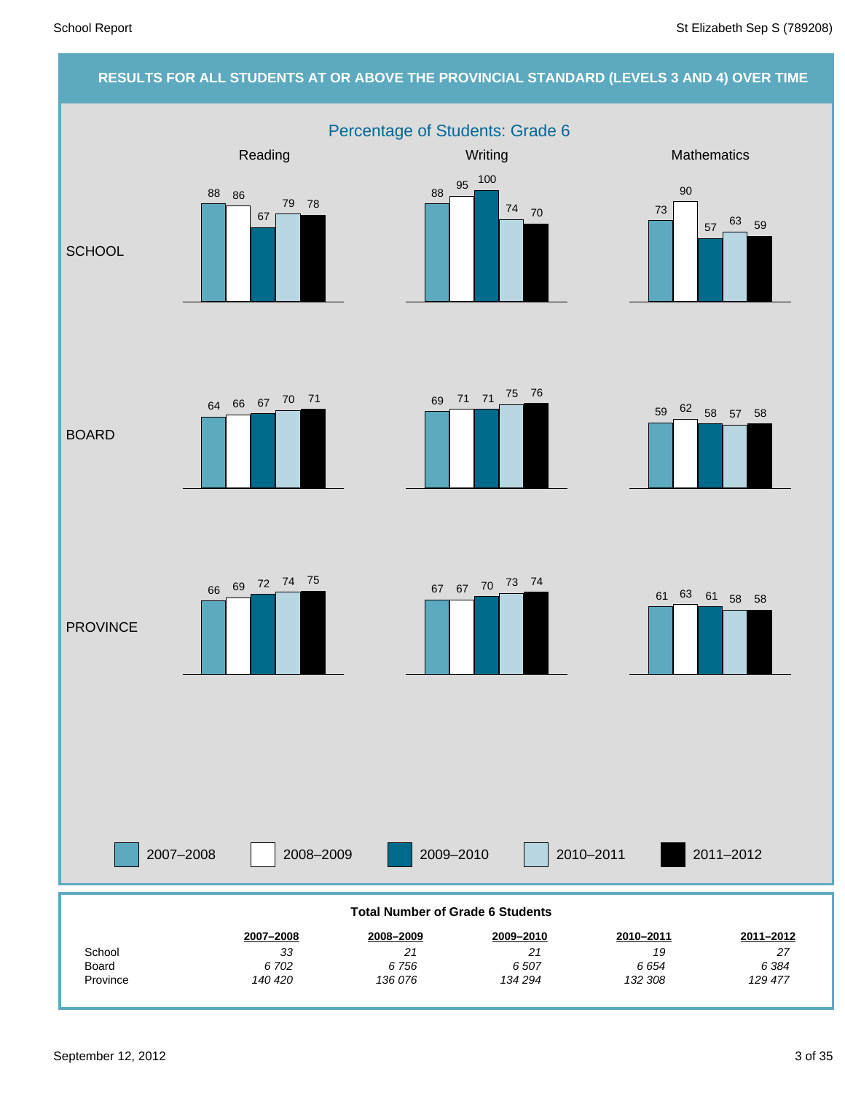# **RESULTS FOR ALL STUDENTS AT OR ABOVE THE PROVINCIAL STANDARD (LEVELS 3 AND 4) OVER TIME**

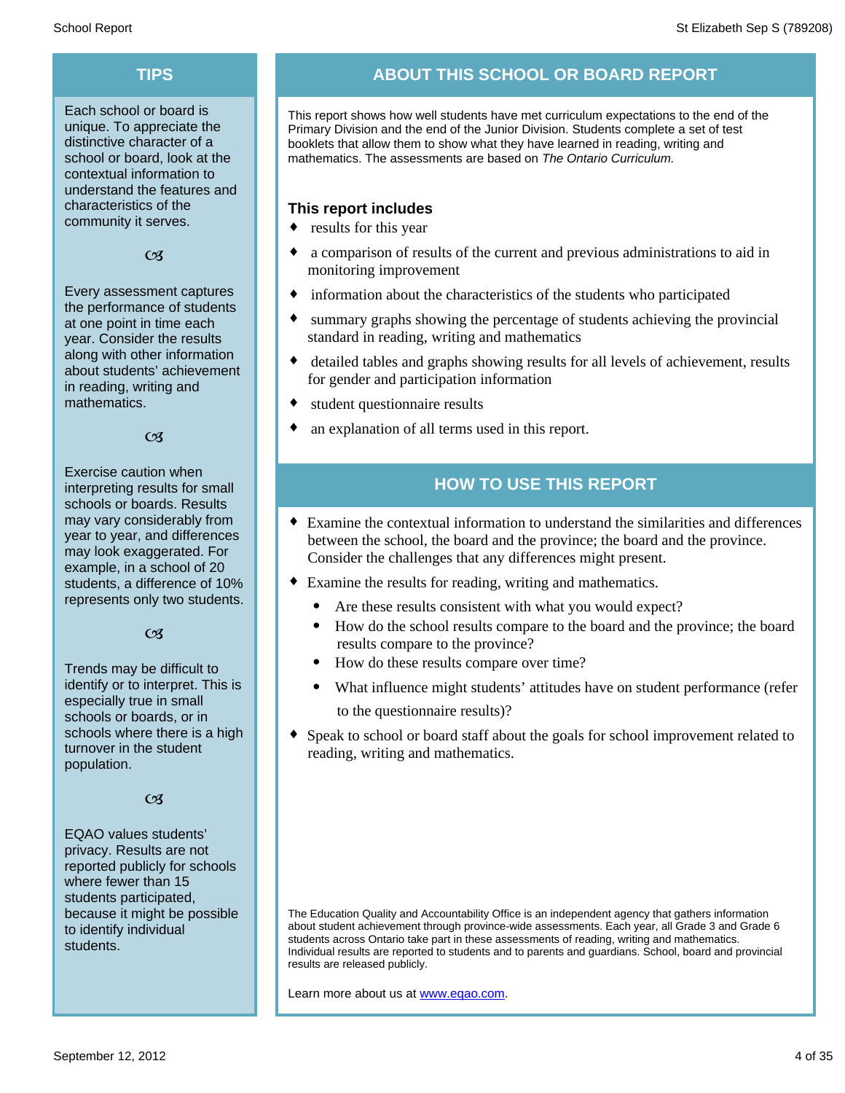Each school or board is unique. To appreciate the distinctive character of a school or board, look at the contextual information to understand the features and characteristics of the community it serves.

### $C<sub>3</sub>$

Every assessment captures the performance of students at one point in time each year. Consider the results along with other information about students' achievement in reading, writing and mathematics.

### $\alpha$

Exercise caution when interpreting results for small schools or boards. Results may vary considerably from year to year, and differences may look exaggerated. For example, in a school of 20 students, a difference of 10% represents only two students.

### $C<sub>3</sub>$

Trends may be difficult to identify or to interpret. This is especially true in small schools or boards, or in schools where there is a high turnover in the student population.

### $\alpha$

EQAO values students' privacy. Results are not reported publicly for schools where fewer than 15 students participated, because it might be possible to identify individual students.

# **TIPS ABOUT THIS SCHOOL OR BOARD REPORT**

This report shows how well students have met curriculum expectations to the end of the Primary Division and the end of the Junior Division. Students complete a set of test booklets that allow them to show what they have learned in reading, writing and mathematics. The assessments are based on *The Ontario Curriculum.*

# **This report includes**

- $\bullet$  results for this year
- a comparison of results of the current and previous administrations to aid in monitoring improvement
- information about the characteristics of the students who participated
- summary graphs showing the percentage of students achieving the provincial standard in reading, writing and mathematics
- detailed tables and graphs showing results for all levels of achievement, results for gender and participation information
- student questionnaire results
- an explanation of all terms used in this report.

# **HOW TO USE THIS REPORT**

- ¨ Examine the contextual information to understand the similarities and differences between the school, the board and the province; the board and the province. Consider the challenges that any differences might present.
- Examine the results for reading, writing and mathematics.
	- Are these results consistent with what you would expect?
	- · How do the school results compare to the board and the province; the board results compare to the province?
	- · How do these results compare over time?
	- · What influence might students' attitudes have on student performance (refer to the questionnaire results)?
- Speak to school or board staff about the goals for school improvement related to reading, writing and mathematics.

The Education Quality and Accountability Office is an independent agency that gathers information about student achievement through province-wide assessments. Each year, all Grade 3 and Grade 6 students across Ontario take part in these assessments of reading, writing and mathematics. Individual results are reported to students and to parents and guardians. School, board and provincial results are released publicly.

Learn more about us at www.eqao.com.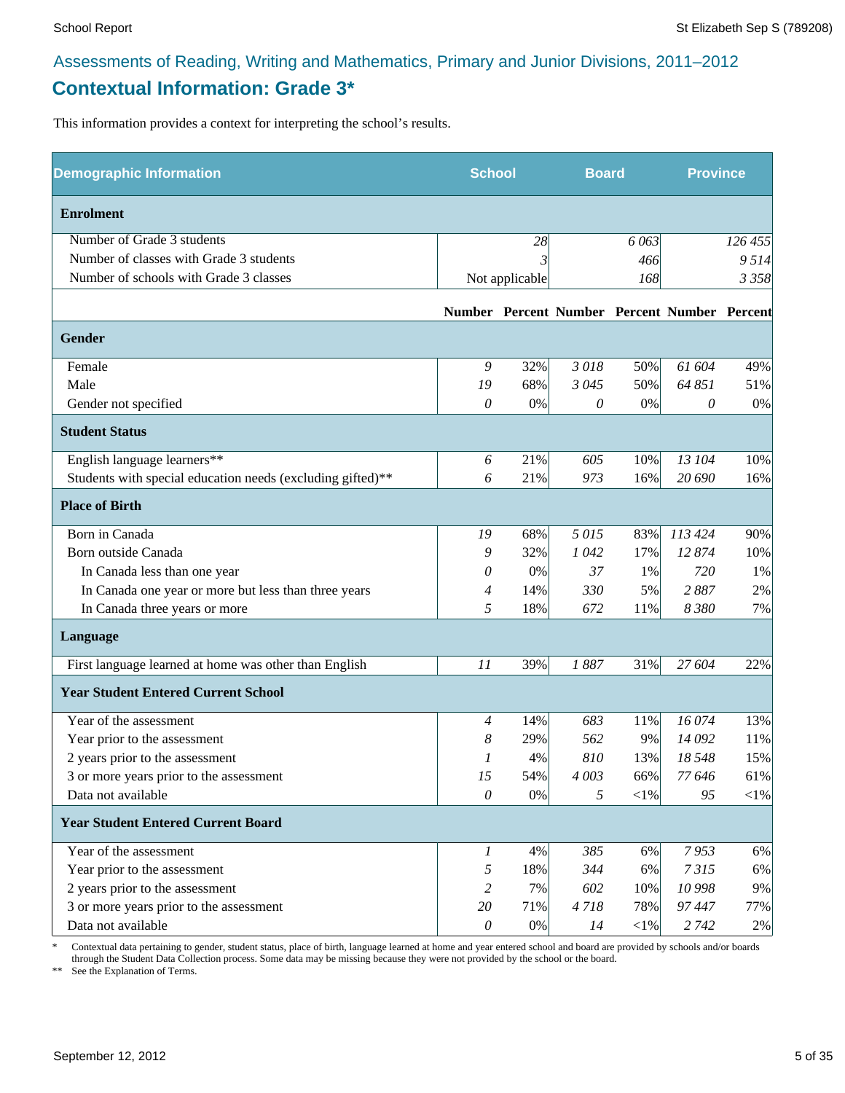# **Contextual Information: Grade 3\***

This information provides a context for interpreting the school's results.

| <b>Demographic Information</b>                             | <b>School</b><br><b>Board</b> |                |         | <b>Province</b> |                                              |            |
|------------------------------------------------------------|-------------------------------|----------------|---------|-----------------|----------------------------------------------|------------|
| <b>Enrolment</b>                                           |                               |                |         |                 |                                              |            |
| Number of Grade 3 students                                 |                               | 28             |         | 6 0 63          |                                              | 126 455    |
| Number of classes with Grade 3 students                    |                               |                |         | 466             |                                              | 9514       |
| Number of schools with Grade 3 classes                     |                               | Not applicable |         | 168             |                                              | 3 3 5 8    |
|                                                            |                               |                |         |                 | Number Percent Number Percent Number Percent |            |
| <b>Gender</b>                                              |                               |                |         |                 |                                              |            |
| Female                                                     | 9                             | 32%            | 3018    | 50%             | 61 604                                       | 49%        |
| Male                                                       | 19                            | 68%            | 3 0 4 5 | 50%             | 64 851                                       | 51%        |
| Gender not specified                                       | 0                             | 0%             | 0       | $0\%$           | 0                                            | 0%         |
| <b>Student Status</b>                                      |                               |                |         |                 |                                              |            |
| English language learners**                                | 6                             | 21%            | 605     | 10%             | 13 104                                       | 10%        |
| Students with special education needs (excluding gifted)** | 6                             | 21%            | 973     | 16%             | 20 690                                       | 16%        |
| <b>Place of Birth</b>                                      |                               |                |         |                 |                                              |            |
| Born in Canada                                             | 19                            | 68%            | 5015    | 83%             | 113 424                                      | 90%        |
| Born outside Canada                                        | 9                             | 32%            | 1042    | 17%             | 12874                                        | 10%        |
| In Canada less than one year                               | 0                             | 0%             | 37      | 1%              | 720                                          | 1%         |
| In Canada one year or more but less than three years       | 4                             | 14%            | 330     | 5%              | 2887                                         | 2%         |
| In Canada three years or more                              | 5                             | 18%            | 672     | 11%             | 8 3 8 0                                      | 7%         |
| Language                                                   |                               |                |         |                 |                                              |            |
| First language learned at home was other than English      | 11                            | 39%            | 1887    | 31%             | 27 604                                       | 22%        |
| <b>Year Student Entered Current School</b>                 |                               |                |         |                 |                                              |            |
| Year of the assessment                                     | $\overline{4}$                | 14%            | 683     | 11%             | 16074                                        | 13%        |
| Year prior to the assessment                               | 8                             | 29%            | 562     | 9%              | 14 092                                       | 11%        |
| 2 years prior to the assessment                            | 1                             | 4%             | 810     | 13%             | 18 548                                       | 15%        |
| 3 or more years prior to the assessment                    | 15                            | 54%            | 4 003   | 66%             | 77 646                                       | 61%        |
| Data not available                                         | $\mathcal O$                  | $0\%$          | 5       | ${<}1\%$        | 95                                           | $<\!\!1\%$ |
| <b>Year Student Entered Current Board</b>                  |                               |                |         |                 |                                              |            |
| Year of the assessment                                     | $\boldsymbol{l}$              | 4%             | 385     | 6%              | 7953                                         | 6%         |
| Year prior to the assessment                               | 5                             | 18%            | 344     | 6%              | 7315                                         | 6%         |
| 2 years prior to the assessment                            | 2                             | 7%             | 602     | 10%             | 10 998                                       | 9%         |
| 3 or more years prior to the assessment                    | 20                            | 71%            | 4718    | 78%             | 97447                                        | 77%        |
| Data not available                                         | $\theta$                      | $0\%$          | 14      | $<$ 1%          | 2 7 4 2                                      | 2%         |

\* Contextual data pertaining to gender, student status, place of birth, language learned at home and year entered school and board are provided by schools and/or boards through the Student Data Collection process. Some data may be missing because they were not provided by the school or the board.

\*\* See the Explanation of Terms.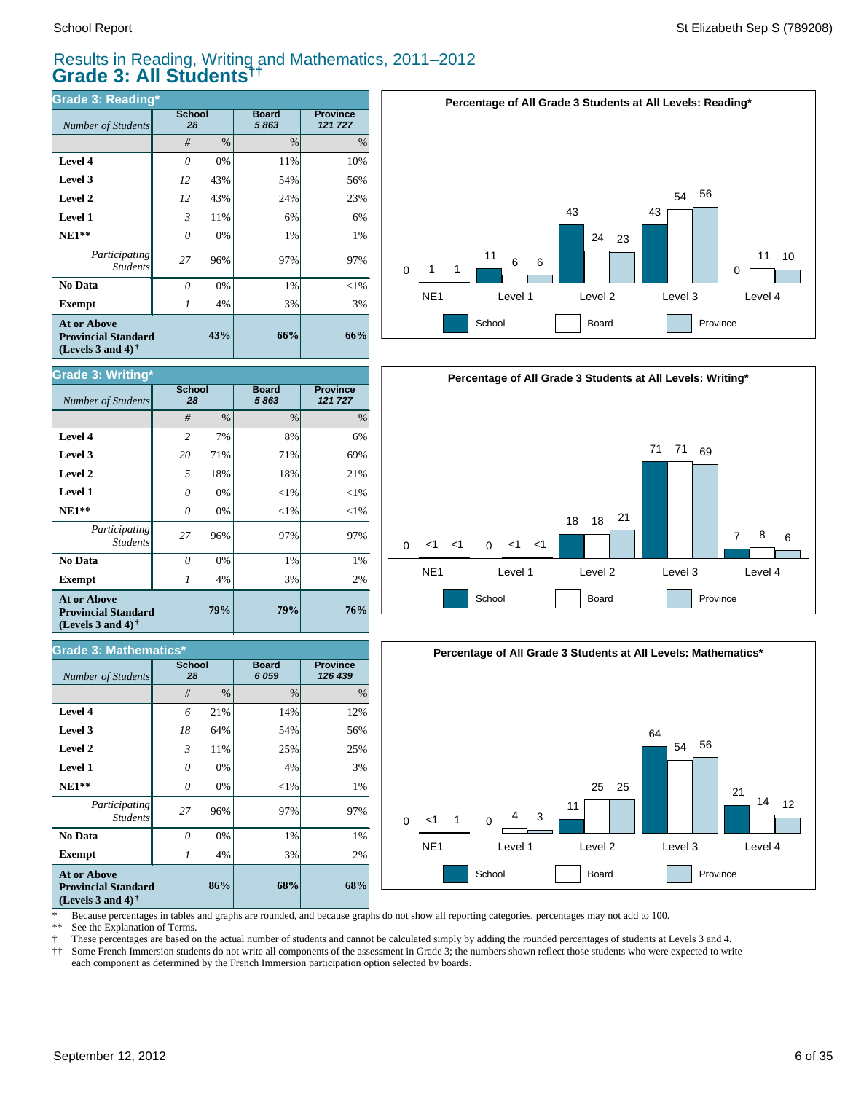*Number of Students* 

**Grade 3: Writing\***

**Exempt**  $1$  1

*Number of Students 28*

**Grade 3: Mathematics\***

*Participating* Student.

 **No Data**

**At or Above Provincial Standard (Levels 3 and 4) †**

 **NE1\*\* Level 1 Level 2 Level 3 Level 4**

# Results in Reading, Writing and Mathematics, 2011–2012 **Grade 3: All Students††**

*#* % % %

**79%**

**68%**

3% 1% 97%  $<$ 1% 4% 25% 54% 14%

**Board** *6 059*

**79%**

**86%**

4% 0% 96% 0% 0% 11% 64% 21%

4% 0% 96% 0% 0% 18% 71% 7%

3% 1% 97%  $<$ 1%  $<$ 1% 18% 71% 8%

**Board** *5 863*

**Province** *121 727*

**76%**

**Province** *126 439*

2% 1% 97%  $<$ 1%  $<$ 1% 21% 69% 6%

| Grade 3: Reading*                                                              |                |      |                      |                            |  |  |  |
|--------------------------------------------------------------------------------|----------------|------|----------------------|----------------------------|--|--|--|
| Number of Students                                                             | School<br>28   |      | <b>Board</b><br>5863 | <b>Province</b><br>121 727 |  |  |  |
|                                                                                | #              | $\%$ | $\%$                 | $\%$                       |  |  |  |
| Level 4                                                                        | 0              | 0%   | 11%                  | 10%                        |  |  |  |
| Level 3                                                                        | 12             | 43%  | 54%                  | 56%                        |  |  |  |
| Level 2                                                                        | 12             | 43%  | 24%                  | 23%                        |  |  |  |
| Level 1                                                                        | $\mathfrak{Z}$ | 11%  | 6%                   | 6%                         |  |  |  |
| $NE1**$                                                                        | 0              | 0%   | 1%                   | 1%                         |  |  |  |
| Participating<br><b>Students</b>                                               | 27             | 96%  | 97%                  | 97%                        |  |  |  |
| No Data                                                                        | 0              | 0%   | 1%                   | $<$ 1%                     |  |  |  |
| <b>Exempt</b>                                                                  |                | 4%   | 3%                   | 3%                         |  |  |  |
| <b>At or Above</b><br><b>Provincial Standard</b><br>(Levels 3 and 4) $\bar{ }$ |                | 43%  | 66%                  | 66%                        |  |  |  |

**School**

**School**







\* Because percentages in tables and graphs are rounded, and because graphs do not show all reporting categories, percentages may not add to 100.

**68%**

 $20%$ 1% 97% 1% 3% 25% 56% 12%

See the Explanation of Terms.

**Exempt** *1* 

*Participating Students*

 **No Data**

**At or Above Provincial Standard (Levels 3 and 4) †**

 **NE1\*\* Level 1 Level 2 Level 3 Level 4**

† These percentages are based on the actual number of students and cannot be calculated simply by adding the rounded percentages of students at Levels 3 and 4.

Some French Immersion students do not write all components of the assessment in Grade 3; the numbers shown reflect those students who were expected to write each component as determined by the French Immersion participation option selected by boards.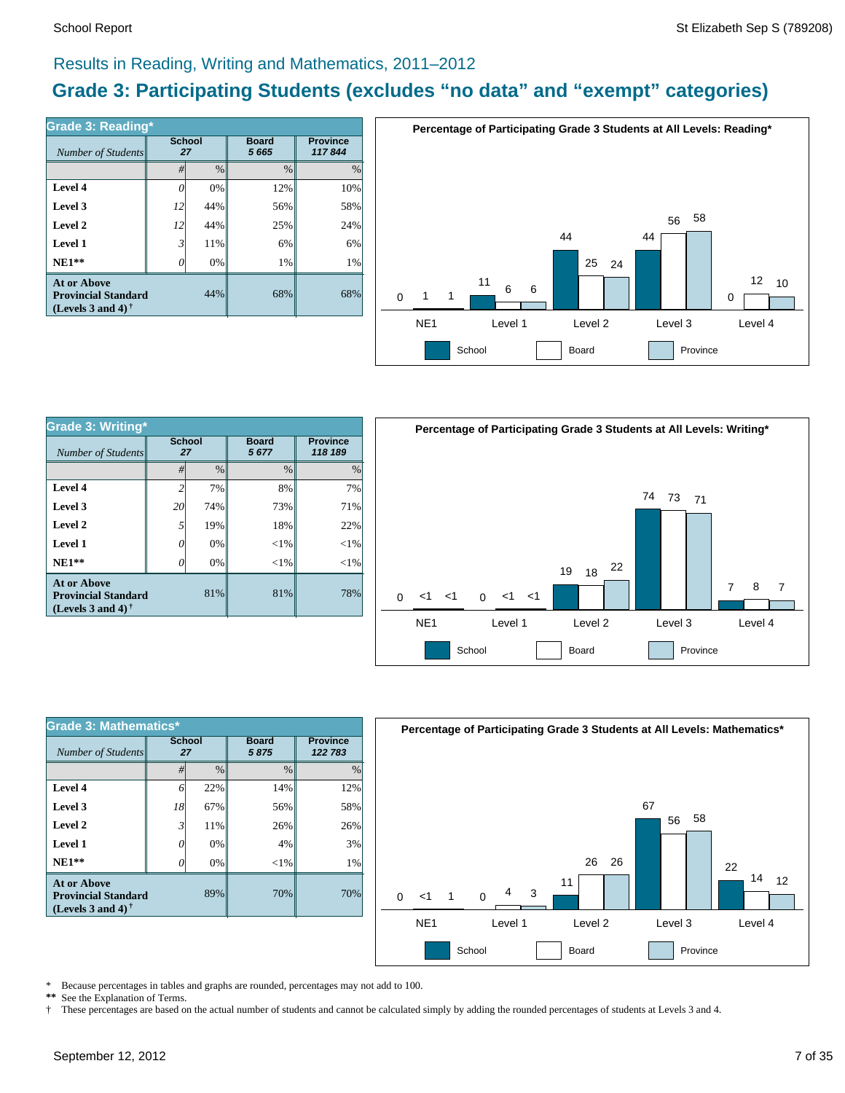# Results in Reading, Writing and Mathematics, 2011–2012

# **Grade 3: Participating Students (excludes "no data" and "exempt" categories)**

| Number of Students                                                             | <b>School</b><br>27 |      | <b>Board</b><br>5 6 6 5 | <b>Province</b><br>117844 |
|--------------------------------------------------------------------------------|---------------------|------|-------------------------|---------------------------|
|                                                                                | #                   | $\%$ | %                       | $\%$                      |
| Level 4                                                                        | ſ                   | 0%   | 12%                     | 10%                       |
| Level 3                                                                        | 12 <sup>1</sup>     | 44%  | 56%                     | 58%                       |
| Level 2                                                                        | 12                  | 44%  | 25%                     | 24%                       |
| Level 1                                                                        | 3                   | 11%  | 6%                      | 6%                        |
| $NE1**$                                                                        |                     | 0%   | 1%                      | 1%                        |
| <b>At or Above</b><br><b>Provincial Standard</b><br>(Levels 3 and 4) $\dagger$ |                     | 44%  | 68%                     | 68%                       |



| <b>Grade 3: Writing*</b>                                                              |                     |               |                      |                            |  |  |  |
|---------------------------------------------------------------------------------------|---------------------|---------------|----------------------|----------------------------|--|--|--|
| Number of Students                                                                    | <b>School</b><br>27 |               | <b>Board</b><br>5677 | <b>Province</b><br>118 189 |  |  |  |
|                                                                                       | #                   | $\frac{0}{0}$ | $\frac{0}{0}$        | $\%$                       |  |  |  |
| Level 4                                                                               | 2                   | 7%            | 8%                   | 7%                         |  |  |  |
| Level 3                                                                               | 20                  | 74%           | 73%                  | 71%                        |  |  |  |
| Level 2                                                                               | 5                   | 19%           | 18%                  | 22%                        |  |  |  |
| Level 1                                                                               | 0                   | 0%            | $<$ 1%               | ${<}1\%$                   |  |  |  |
| $NE1**$                                                                               | 0                   | 0%            | $<$ 1%               | $<$ 1%                     |  |  |  |
| <b>At or Above</b><br>81%<br><b>Provincial Standard</b><br>(Levels 3 and 4) $\dagger$ |                     |               | 81%                  | 78%                        |  |  |  |



| <b>Grade 3: Mathematics*</b>                                                   |                     |               |                      |                            |  |  |  |
|--------------------------------------------------------------------------------|---------------------|---------------|----------------------|----------------------------|--|--|--|
| Number of Students                                                             | <b>School</b><br>27 |               | <b>Board</b><br>5875 | <b>Province</b><br>122 783 |  |  |  |
|                                                                                | #                   | $\frac{0}{0}$ | $\frac{0}{0}$        | $\frac{0}{0}$              |  |  |  |
| Level 4                                                                        | 6                   | 22%           | 14%                  | 12%                        |  |  |  |
| Level 3                                                                        | 18                  | 67%           | 56%                  | 58%                        |  |  |  |
| Level 2                                                                        | 3                   | 11%           | 26%                  | 26%                        |  |  |  |
| Level 1                                                                        | 0                   | 0%            | 4%                   | 3%                         |  |  |  |
| $NE1**$                                                                        | O                   | 0%            | $<$ 1%               | 1%                         |  |  |  |
| <b>At or Above</b><br><b>Provincial Standard</b><br>(Levels 3 and 4) $\dagger$ |                     | 89%           | 70%                  | 70%                        |  |  |  |



\* Because percentages in tables and graphs are rounded, percentages may not add to 100.<br>\*\* See the Explanation of Terms

See the Explanation of Terms.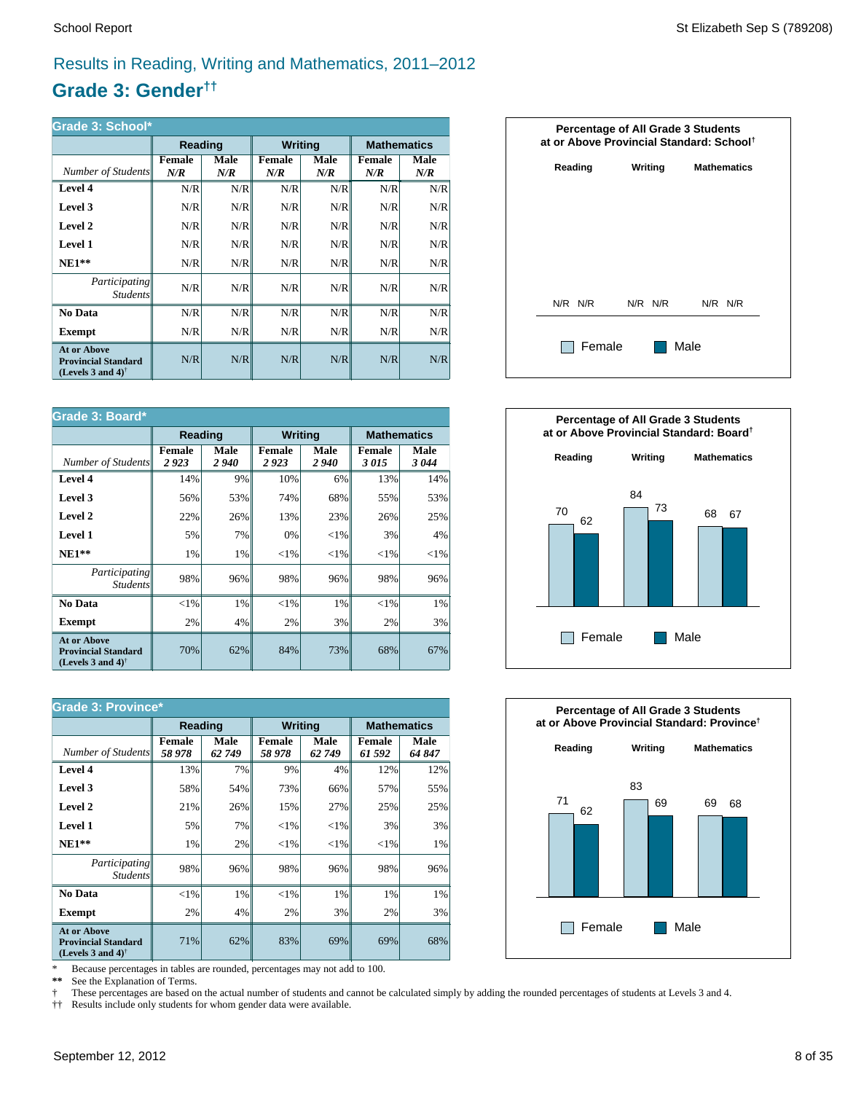# Results in Reading, Writing and Mathematics, 2011–2012

# **Grade 3: Gender††**

| Grade 3: School*                                                                                     |               |                    |                |             |                      |             |  |
|------------------------------------------------------------------------------------------------------|---------------|--------------------|----------------|-------------|----------------------|-------------|--|
|                                                                                                      | Reading       |                    | <b>Writing</b> |             | <b>Mathematics</b>   |             |  |
| Number of Students                                                                                   | Female<br>N/R | <b>Male</b><br>N/R | Female<br>N/R  | Male<br>N/R | <b>Female</b><br>N/R | Male<br>N/R |  |
| Level 4                                                                                              | N/R           | N/R                | N/R            | N/R         | N/R                  | N/R         |  |
| Level 3                                                                                              | N/R           | N/R                | N/R            | N/R         | N/R                  | N/R         |  |
| Level 2                                                                                              | N/R           | N/R                | N/R            | N/R         | N/R                  | N/R         |  |
| Level 1                                                                                              | N/R           | N/R                | N/R            | N/R         | N/R                  | N/R         |  |
| $NE1**$                                                                                              | N/R           | N/R                | N/R            | N/R         | N/R                  | N/R         |  |
| Participating<br><i>Students</i>                                                                     | N/R           | N/R                | N/R            | N/R         | N/R                  | N/R         |  |
| No Data                                                                                              | N/R           | N/R                | N/R            | N/R         | N/R                  | N/R         |  |
| Exempt                                                                                               | N/R           | N/R                | N/R            | N/R         | N/R                  | N/R         |  |
| <b>At or Above</b><br><b>Provincial Standard</b><br>(Levels 3 and 4) <sup><math>\dagger</math></sup> | N/R           | N/R                | N/R            | N/R         | N/R                  | N/R         |  |

| Grade 3: Board*                                                                                      |                       |                                                        |                       |              |                       |              |
|------------------------------------------------------------------------------------------------------|-----------------------|--------------------------------------------------------|-----------------------|--------------|-----------------------|--------------|
|                                                                                                      |                       | <b>Writing</b><br><b>Mathematics</b><br><b>Reading</b> |                       |              |                       |              |
| Number of Students                                                                                   | <b>Female</b><br>2923 | Male<br>2940                                           | <b>Female</b><br>2923 | Male<br>2940 | <b>Female</b><br>3015 | Male<br>3044 |
| Level 4                                                                                              | 14%                   | 9%                                                     | 10%                   | 6%           | 13%                   | 14%          |
| Level 3                                                                                              | 56%                   | 53%                                                    | 74%                   | 68%          | 55%                   | 53%          |
| Level 2                                                                                              | 22%                   | 26%                                                    | 13%                   | 23%          | 26%                   | 25%          |
| Level 1                                                                                              | 5%                    | 7%                                                     | 0%                    | ${<}1\%$     | 3%                    | 4%           |
| $NE1**$                                                                                              | 1%                    | 1%                                                     | ${<}1\%$              | ${<}1\%$     | ${<}1\%$              | ${<}1\%$     |
| Participating<br><b>Students</b>                                                                     | 98%                   | 96%                                                    | 98%                   | 96%          | 98%                   | 96%          |
| No Data                                                                                              | $<$ 1%                | 1%                                                     | ${<}1\%$              | 1%           | ${<}1\%$              | 1%           |
| <b>Exempt</b>                                                                                        | 2%                    | 4%                                                     | 2%                    | 3%           | 2%                    | 3%           |
| <b>At or Above</b><br><b>Provincial Standard</b><br>(Levels 3 and 4) <sup><math>\dagger</math></sup> | 70%                   | 62%                                                    | 84%                   | 73%          | 68%                   | 67%          |

| <b>Grade 3: Province*</b>                                                                            |                        |               |                         |                       |                         |                |  |
|------------------------------------------------------------------------------------------------------|------------------------|---------------|-------------------------|-----------------------|-------------------------|----------------|--|
|                                                                                                      | <b>Reading</b>         |               | <b>Writing</b>          |                       | <b>Mathematics</b>      |                |  |
| Number of Students                                                                                   | <b>Female</b><br>58978 | Male<br>62749 | <b>Female</b><br>58 978 | <b>Male</b><br>62 749 | <b>Female</b><br>61 592 | Male<br>64 847 |  |
| Level 4                                                                                              | 13%                    | 7%            | 9%                      | 4%                    | 12%                     | 12%            |  |
| Level 3                                                                                              | 58%                    | 54%           | 73%                     | 66%                   | 57%                     | 55%            |  |
| Level 2                                                                                              | 21%                    | 26%           | 15%                     | 27%                   | 25%                     | 25%            |  |
| Level 1                                                                                              | 5%                     | 7%            | ${<}1\%$                | ${<}1\%$              | 3%                      | 3%             |  |
| $NE1**$                                                                                              | 1%                     | 2%            | ${<}1\%$                | ${<}1\%$              | ${<}1\%$                | 1%             |  |
| <i>Participating</i><br><i>Students</i>                                                              | 98%                    | 96%           | 98%                     | 96%                   | 98%                     | 96%            |  |
| No Data                                                                                              | ${<}1\%$               | 1%            | ${<}1\%$                | 1%                    | 1%                      | 1%             |  |
| <b>Exempt</b>                                                                                        | 2%                     | 4%            | 2%                      | 3%                    | 2%                      | 3%             |  |
| <b>At or Above</b><br><b>Provincial Standard</b><br>(Levels 3 and 4) <sup><math>\dagger</math></sup> | 71%                    | 62%           | 83%                     | 69%                   | 69%                     | 68%            |  |

\* Because percentages in tables are rounded, percentages may not add to 100.<br>\*\* See the Explanation of Terms.

See the Explanation of Terms.

† These percentages are based on the actual number of students and cannot be calculated simply by adding the rounded percentages of students at Levels 3 and 4.<br>†† Results include only students for whom gender data were ava

†† Results include only students for whom gender data were available.





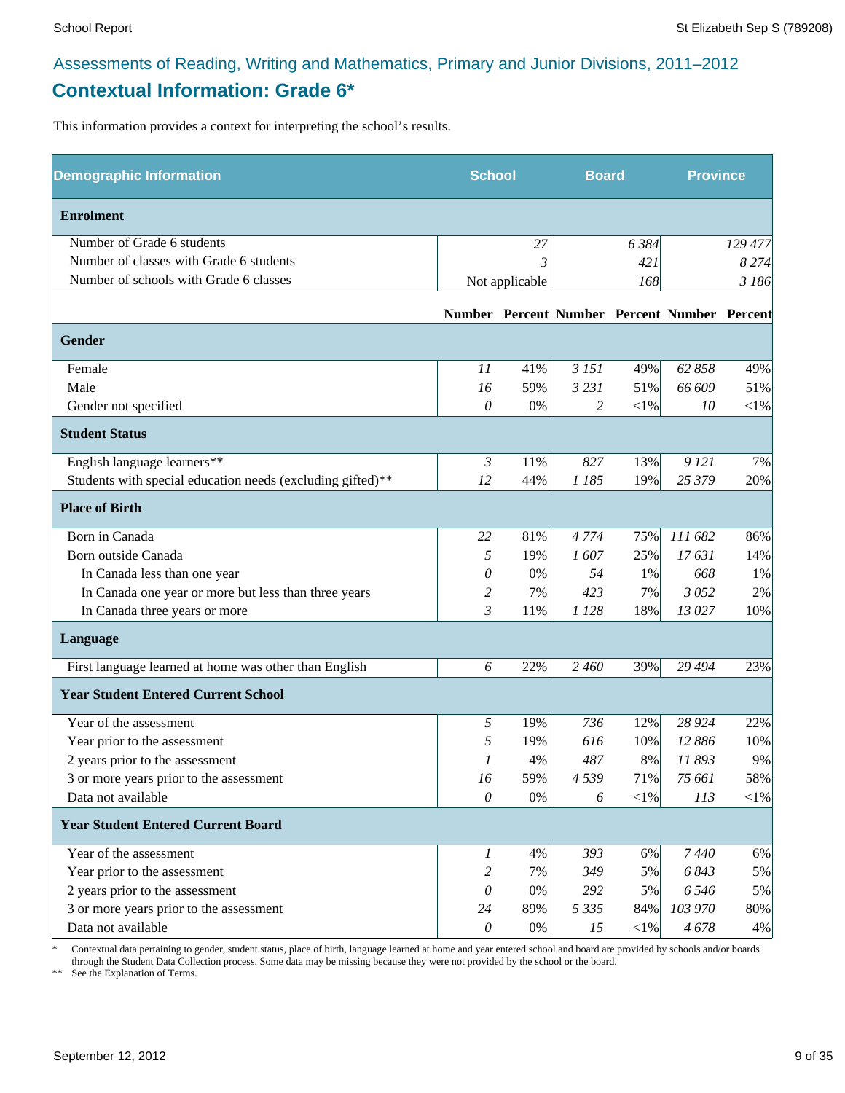# Assessments of Reading, Writing and Mathematics, Primary and Junior Divisions, 2011–2012 **Contextual Information: Grade 6\***

This information provides a context for interpreting the school's results.

| <b>Demographic Information</b>                             | <b>School</b>  |                | <b>Board</b> |            | <b>Province</b>                              |         |
|------------------------------------------------------------|----------------|----------------|--------------|------------|----------------------------------------------|---------|
| <b>Enrolment</b>                                           |                |                |              |            |                                              |         |
| Number of Grade 6 students                                 |                | 27             |              | 6384       |                                              | 129 477 |
| Number of classes with Grade 6 students                    |                |                |              | 421        |                                              | 8274    |
| Number of schools with Grade 6 classes                     |                | Not applicable |              | 168        |                                              | 3 186   |
|                                                            |                |                |              |            | Number Percent Number Percent Number Percent |         |
| <b>Gender</b>                                              |                |                |              |            |                                              |         |
| Female                                                     | 11             | 41%            | 3 15 1       | 49%        | 62 858                                       | 49%     |
| Male                                                       | 16             | 59%            | 3 2 3 1      | 51%        | 66 609                                       | 51%     |
| Gender not specified                                       | $\theta$       | $0\%$          | 2            | $<\!\!1\%$ | 10                                           | $<$ 1%  |
| <b>Student Status</b>                                      |                |                |              |            |                                              |         |
| English language learners**                                | $\mathfrak{Z}$ | 11%            | 827          | 13%        | 9 12 1                                       | 7%      |
| Students with special education needs (excluding gifted)** | 12             | 44%            | 1 185        | 19%        | 25 379                                       | 20%     |
| <b>Place of Birth</b>                                      |                |                |              |            |                                              |         |
| Born in Canada                                             | 22             | 81%            | 4 7 7 4      | 75%        | 111 682                                      | 86%     |
| Born outside Canada                                        | 5              | 19%            | 1607         | 25%        | 17631                                        | 14%     |
| In Canada less than one year                               | 0              | 0%             | 54           | 1%         | 668                                          | 1%      |
| In Canada one year or more but less than three years       | 2              | 7%             | 423          | 7%         | 3052                                         | 2%      |
| In Canada three years or more                              | 3              | 11%            | 1 1 2 8      | 18%        | 13 027                                       | 10%     |
| Language                                                   |                |                |              |            |                                              |         |
| First language learned at home was other than English      | 6              | 22%            | 2 4 6 0      | 39%        | 29 4 94                                      | 23%     |
| <b>Year Student Entered Current School</b>                 |                |                |              |            |                                              |         |
| Year of the assessment                                     | 5              | 19%            | 736          | 12%        | 28 9 24                                      | 22%     |
| Year prior to the assessment                               | 5              | 19%            | 616          | 10%        | 12 886                                       | 10%     |
| 2 years prior to the assessment                            | 1              | 4%             | 487          | 8%         | 11893                                        | 9%      |
| 3 or more years prior to the assessment                    | 16             | 59%            | 4539         | 71%        | 75 661                                       | 58%     |
| Data not available                                         | $\theta$       | 0%             | 6            | $<\!\!1\%$ | 113                                          | $<$ 1%  |
| <b>Year Student Entered Current Board</b>                  |                |                |              |            |                                              |         |
| Year of the assessment                                     | 1              | 4%             | 393          | 6%         | 7440                                         | 6%      |
| Year prior to the assessment                               | 2              | 7%             | 349          | 5%         | 6843                                         | 5%      |
| 2 years prior to the assessment                            | 0              | 0%             | 292          | 5%         | 6 5 4 6                                      | 5%      |
| 3 or more years prior to the assessment                    | 24             | 89%            | 5 3 3 5      | 84%        | 103 970                                      | 80%     |
| Data not available                                         | $\theta$       | $0\%$          | 15           | $<\!\!1\%$ | 4678                                         | 4%      |

\* Contextual data pertaining to gender, student status, place of birth, language learned at home and year entered school and board are provided by schools and/or boards through the Student Data Collection process. Some data may be missing because they were not provided by the school or the board.

\*\* See the Explanation of Terms.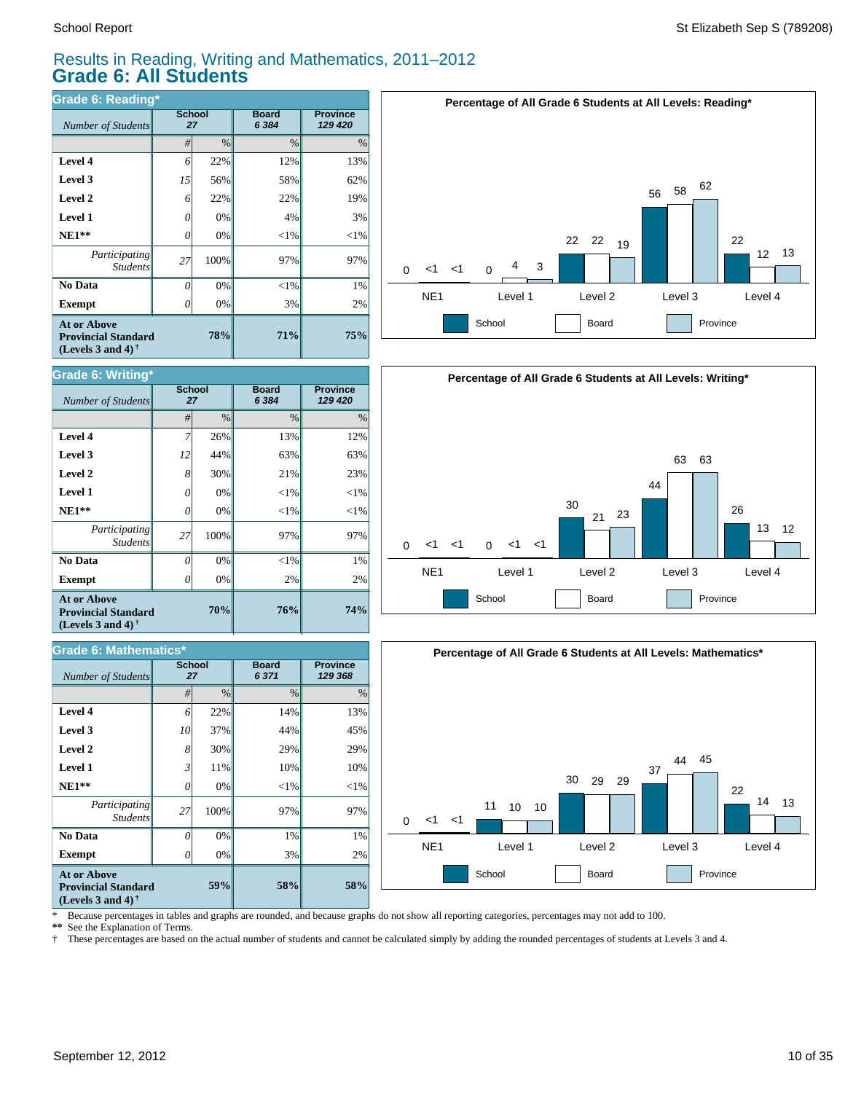*Number of Students* 

**Grade 6: Writing\***

**Exempt**  $\qquad$  0

*Number of Students 27*

**Grade 6: Mathematics\***

*Participating Students*

 **No Data**

**At or Above Provincial Standard (Levels 3 and 4) †**

 **NE1\*\* Level 1 Level 2 Level 3 Level 4**

# Results in Reading, Writing and Mathematics, 2011–2012 **Grade 6: All Students**

**Board** *6 384*

**76%**

**58%**

3% 1% 97%  $<$ 1% 10% 29% 44% 14%

**Board** *6 371*

**70%**

**59%**

0% 0% 100% 0% 11% 30% 37% 22%

0% 0% 100% 0% 0% 30% 44% 26%

**School**

2%  $<$ 1% 97%  $<$ 1%  $< 1\%$ 21% 63% 13%

| Grade 6: Reading*                                                                                           |                     |               |                         |                            |  |  |  |
|-------------------------------------------------------------------------------------------------------------|---------------------|---------------|-------------------------|----------------------------|--|--|--|
| Number of Students                                                                                          | <b>School</b><br>27 |               | <b>Board</b><br>6 3 8 4 | <b>Province</b><br>129 420 |  |  |  |
|                                                                                                             | #                   | $\frac{0}{0}$ | $\frac{0}{0}$           | $\%$                       |  |  |  |
| Level 4                                                                                                     | 6                   | 22%           | 12%                     | 13%                        |  |  |  |
| Level 3                                                                                                     | 15                  | 56%           | 58%                     | 62%                        |  |  |  |
| Level 2                                                                                                     | 6                   | 22%           | 22%                     | 19%                        |  |  |  |
| Level 1                                                                                                     | 0                   | 0%            | 4%                      | 3%                         |  |  |  |
| $NE1**$                                                                                                     | 0                   | 0%            | $<$ 1%                  | $<$ 1%                     |  |  |  |
| Participating<br><b>Students</b>                                                                            | 27                  | 100%          | 97%                     | 97%                        |  |  |  |
| No Data                                                                                                     | 0                   | 0%            | $<$ 1%                  | 1%                         |  |  |  |
| <b>Exempt</b>                                                                                               | Ω                   | 0%            | 3%                      | 2%                         |  |  |  |
| <b>At or Above</b><br>78%<br><b>Provincial Standard</b><br>(Levels 3 and 4) <sup><math>\dagger</math></sup> |                     |               | 71%                     | 75%                        |  |  |  |

**School**







**Provincial Standard (Levels 3 and 4) †**

 **No Data**

**At or Above**

 **NE1\*\* Level 1 Level 2 Level 3 Level 4**

\* Because percentages in tables and graphs are rounded, and because graphs do not show all reporting categories, percentages may not add to 100.

**58%**

 $20%$ 1% 97%  $<$ 1% 10% 29% 45% 13%

**Province** *129 420*

**Province** *129 368*

**\*\*** See the Explanation of Terms.

**Exempt** *0* 

*Participating Students*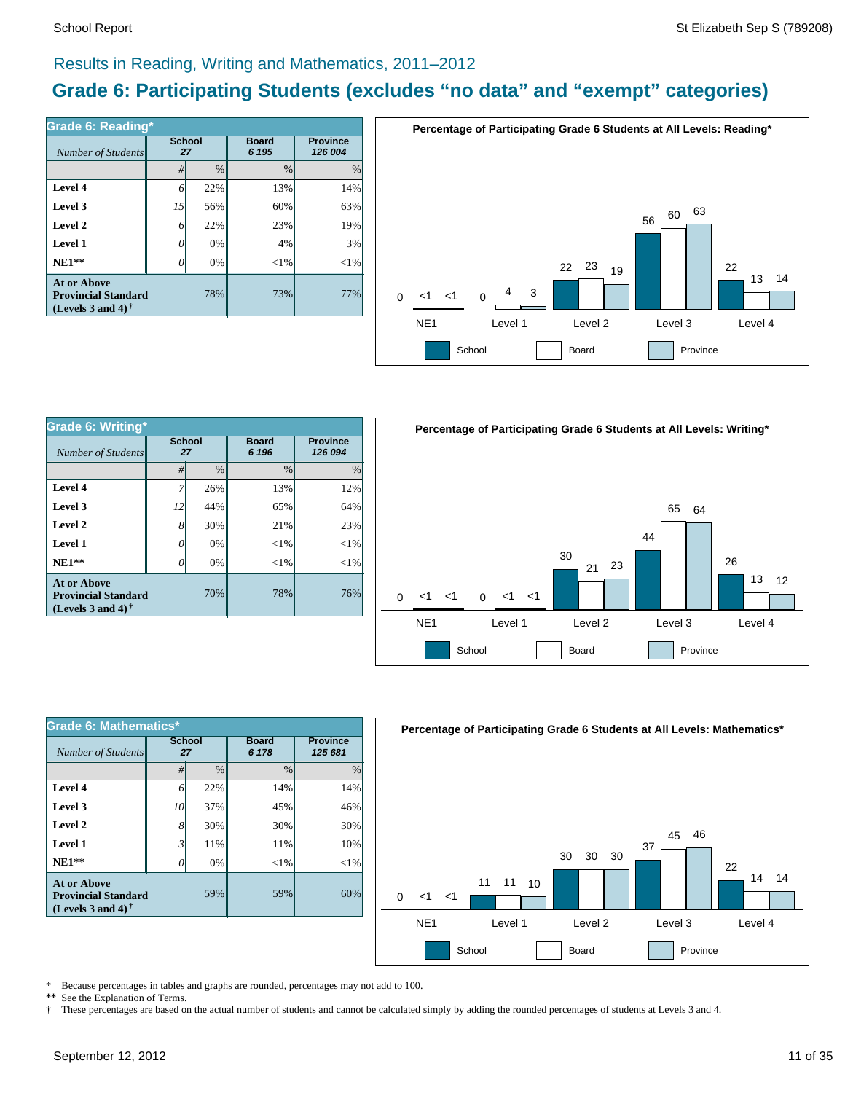# Results in Reading, Writing and Mathematics, 2011–2012

# **Grade 6: Participating Students (excludes "no data" and "exempt" categories)**

| Number of Students                                                             | <b>School</b><br>27 |      | <b>Board</b><br>6 195 | <b>Province</b><br>126 004 |  |
|--------------------------------------------------------------------------------|---------------------|------|-----------------------|----------------------------|--|
|                                                                                | #                   | $\%$ | $\frac{0}{0}$         | $\%$                       |  |
| Level 4                                                                        | 6                   | 22%  | 13%                   | 14%                        |  |
| Level 3                                                                        | 15                  | 56%  | 60%                   | 63%                        |  |
| Level 2                                                                        | 6                   | 22%  | 23%                   | 19%                        |  |
| Level 1                                                                        | 0                   | 0%   | 4%                    | 3%                         |  |
| $NE1**$                                                                        | O                   | 0%   | ${<}1\%$              | $<$ 1%                     |  |
| <b>At or Above</b><br><b>Provincial Standard</b><br>(Levels 3 and 4) $\dagger$ |                     | 78%  | 73%                   | 77%                        |  |



| Grade 6: Writing*                                                              |                     |               |                       |                            |  |  |  |
|--------------------------------------------------------------------------------|---------------------|---------------|-----------------------|----------------------------|--|--|--|
| Number of Students                                                             | <b>School</b><br>27 |               | <b>Board</b><br>6 196 | <b>Province</b><br>126 094 |  |  |  |
|                                                                                | #                   | $\frac{0}{0}$ | $\frac{0}{0}$         | $\frac{0}{0}$              |  |  |  |
| Level 4                                                                        |                     | 26%           | 13%                   | 12%                        |  |  |  |
| Level 3                                                                        | 12                  | 44%           | 65%                   | 64%                        |  |  |  |
| Level 2                                                                        | 8                   | 30%           | 21%                   | 23%                        |  |  |  |
| <b>Level 1</b>                                                                 | 0                   | 0%            | ${<}1\%$              | ${<}1\%$                   |  |  |  |
| $NE1**$                                                                        |                     | 0%            | ${<}1\%$              | $<$ 1%                     |  |  |  |
| <b>At or Above</b><br><b>Provincial Standard</b><br>(Levels 3 and 4) $\dagger$ |                     | 70%           | 78%                   | 76%                        |  |  |  |



| Grade 6: Mathematics*                                                                 |                     |               |                       |          |  |  |  |  |
|---------------------------------------------------------------------------------------|---------------------|---------------|-----------------------|----------|--|--|--|--|
| Number of Students                                                                    | <b>School</b><br>27 |               | <b>Board</b><br>6 178 |          |  |  |  |  |
|                                                                                       | #                   | $\frac{0}{0}$ | $\frac{0}{0}$         | $\%$     |  |  |  |  |
| Level 4                                                                               | 6                   | 22%           | 14%                   | 14%      |  |  |  |  |
| Level 3                                                                               | 10                  | 37%           | 45%                   | 46%      |  |  |  |  |
| Level 2                                                                               | 8                   | 30%           | 30%                   | 30%      |  |  |  |  |
| Level 1                                                                               | 3                   | 11%           | 11%                   | 10%      |  |  |  |  |
| $NE1**$                                                                               | 0                   | 0%            | $<$ 1%                | ${<}1\%$ |  |  |  |  |
| <b>At or Above</b><br>59%<br><b>Provincial Standard</b><br>(Levels 3 and 4) $\dagger$ |                     |               | 59%                   | 60%      |  |  |  |  |



\* Because percentages in tables and graphs are rounded, percentages may not add to 100.<br>\*\* See the Explanation of Terms See the Explanation of Terms.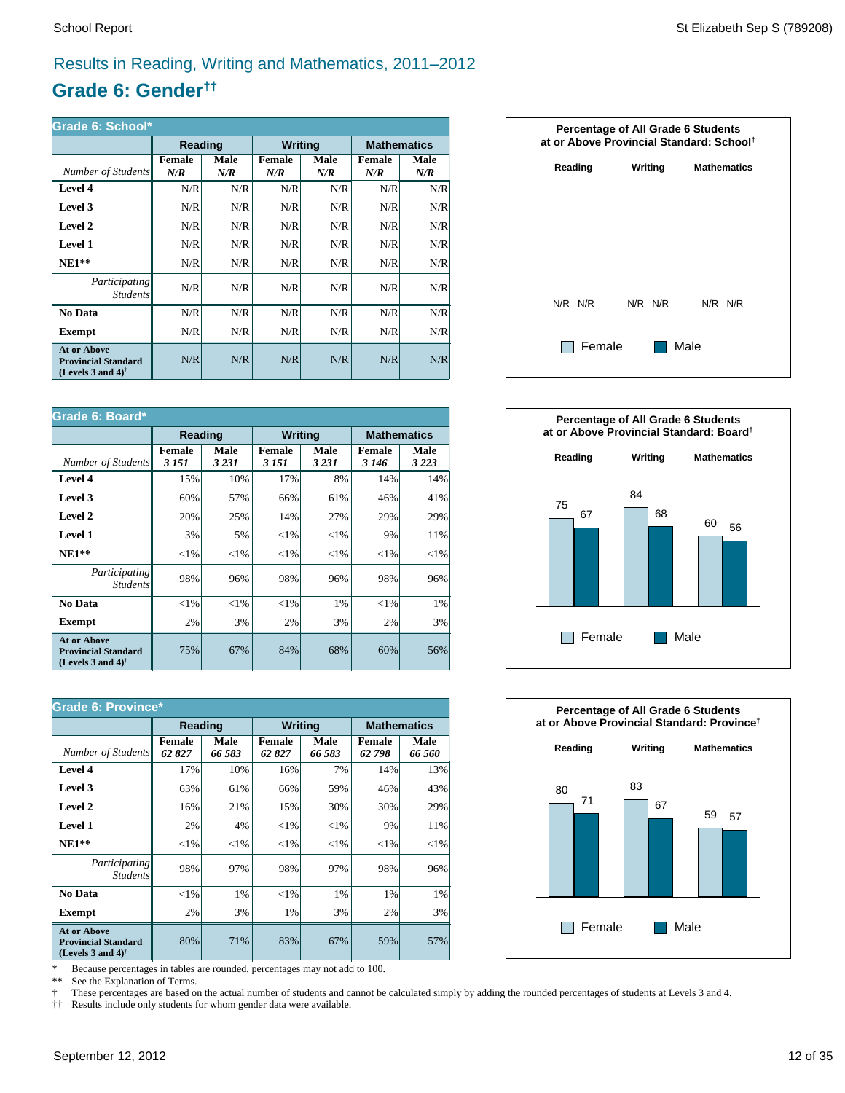# Results in Reading, Writing and Mathematics, 2011–2012

# **Grade 6: Gender††**

| Grade 6: School*                                                                                     |                      |             |                      |             |                      |             |  |  |
|------------------------------------------------------------------------------------------------------|----------------------|-------------|----------------------|-------------|----------------------|-------------|--|--|
|                                                                                                      | Reading              |             | <b>Writing</b>       |             | <b>Mathematics</b>   |             |  |  |
| Number of Students                                                                                   | <b>Female</b><br>N/R | Male<br>N/R | <b>Female</b><br>N/R | Male<br>N/R | <b>Female</b><br>N/R | Male<br>N/R |  |  |
| Level 4                                                                                              | N/R                  | N/R         | N/R                  | N/R         | N/R                  | N/R         |  |  |
| Level 3                                                                                              | N/R                  | N/R         | N/R                  | N/R         | N/R                  | N/R         |  |  |
| Level 2                                                                                              | N/R                  | N/R         | N/R                  | N/R         | N/R                  | N/R         |  |  |
| Level 1                                                                                              | N/R                  | N/R         | N/R                  | N/R         | N/R                  | N/R         |  |  |
| $NE1**$                                                                                              | N/R                  | N/R         | N/R                  | N/R         | N/R                  | N/R         |  |  |
| <i>Participating</i><br><i>Students</i>                                                              | N/R                  | N/R         | N/R                  | N/R         | N/R                  | N/R         |  |  |
| No Data                                                                                              | N/R                  | N/R         | N/R                  | N/R         | N/R                  | N/R         |  |  |
| Exempt                                                                                               | N/R                  | N/R         | N/R                  | N/R         | N/R                  | N/R         |  |  |
| <b>At or Above</b><br><b>Provincial Standard</b><br>(Levels 3 and 4) <sup><math>\dagger</math></sup> | N/R                  | N/R         | N/R                  | N/R         | N/R                  | N/R         |  |  |

| Grade 6: Board*                                                                                      |                          |                 |                         |                 |                          |                    |  |
|------------------------------------------------------------------------------------------------------|--------------------------|-----------------|-------------------------|-----------------|--------------------------|--------------------|--|
|                                                                                                      |                          | <b>Reading</b>  |                         | <b>Writing</b>  |                          | <b>Mathematics</b> |  |
| Number of Students                                                                                   | <b>Female</b><br>3 1 5 1 | Male<br>3 2 3 1 | <b>Female</b><br>3 15 1 | Male<br>3 2 3 1 | <b>Female</b><br>3 1 4 6 | Male<br>3 2 2 3    |  |
| Level 4                                                                                              | 15%                      | 10%             | 17%                     | 8%              | 14%                      | 14%                |  |
| Level 3                                                                                              | 60%                      | 57%             | 66%                     | 61%             | 46%                      | 41%                |  |
| Level 2                                                                                              | 20%                      | 25%             | 14%                     | 27%             | 29%                      | 29%                |  |
| Level 1                                                                                              | 3%                       | 5%              | ${<}1\%$                | ${<}1\%$        | 9%                       | 11%                |  |
| $NE1**$                                                                                              | ${<}1\%$                 | ${<}1\%$        | ${<}1\%$                | ${<}1\%$        | ${<}1\%$                 | ${<}1\%$           |  |
| Participating<br><b>Students</b>                                                                     | 98%                      | 96%             | 98%                     | 96%             | 98%                      | 96%                |  |
| No Data                                                                                              | $<$ 1%                   | $< 1\%$         | $<$ 1%                  | $1\%$           | ${<}1\%$                 | 1%                 |  |
| <b>Exempt</b>                                                                                        | 2%                       | 3%              | 2%                      | 3%              | 2%                       | 3%                 |  |
| <b>At or Above</b><br><b>Provincial Standard</b><br>(Levels 3 and 4) <sup><math>\dagger</math></sup> | 75%                      | 67%             | 84%                     | 68%             | 60%                      | 56%                |  |

| <b>Grade 6: Province*</b>                                                      |                        |                |                        |                |                        |                    |  |
|--------------------------------------------------------------------------------|------------------------|----------------|------------------------|----------------|------------------------|--------------------|--|
|                                                                                | Reading                |                | <b>Writing</b>         |                |                        | <b>Mathematics</b> |  |
| Number of Students                                                             | <b>Female</b><br>62827 | Male<br>66 583 | <b>Female</b><br>62827 | Male<br>66 583 | <b>Female</b><br>62798 | Male<br>66 560     |  |
| Level 4                                                                        | 17%                    | 10%            | 16%                    | 7%             | 14%                    | 13%                |  |
| Level 3                                                                        | 63%                    | 61%            | 66%                    | 59%            | 46%                    | 43%                |  |
| Level 2                                                                        | 16%                    | 21%            | 15%                    | 30%            | 30%                    | 29%                |  |
| Level 1                                                                        | 2%                     | 4%             | ${<}1\%$               | ${<}1\%$       | 9%                     | 11%                |  |
| $NE1**$                                                                        | ${<}1\%$               | ${<}1\%$       | ${<}1\%$               | ${<}1\%$       | ${<}1\%$               | ${<}1\%$           |  |
| <i>Participating</i><br><i>Students</i>                                        | 98%                    | 97%            | 98%                    | 97%            | 98%                    | 96%                |  |
| No Data                                                                        | ${<}1\%$               | $1\%$          | $<$ 1%                 | 1%             | 1%                     | 1%                 |  |
| <b>Exempt</b>                                                                  | 2%                     | 3%             | 1%                     | 3%             | 2%                     | 3%                 |  |
| <b>At or Above</b><br><b>Provincial Standard</b><br>(Levels 3 and 4) $\dagger$ | 80%                    | 71%            | 83%                    | 67%            | 59%                    | 57%                |  |

\* Because percentages in tables are rounded, percentages may not add to 100.<br>\*\* See the Explanation of Terms.

See the Explanation of Terms.

† These percentages are based on the actual number of students and cannot be calculated simply by adding the rounded percentages of students at Levels 3 and 4.<br>†† Results include only students for whom gender data were ava

†† Results include only students for whom gender data were available.





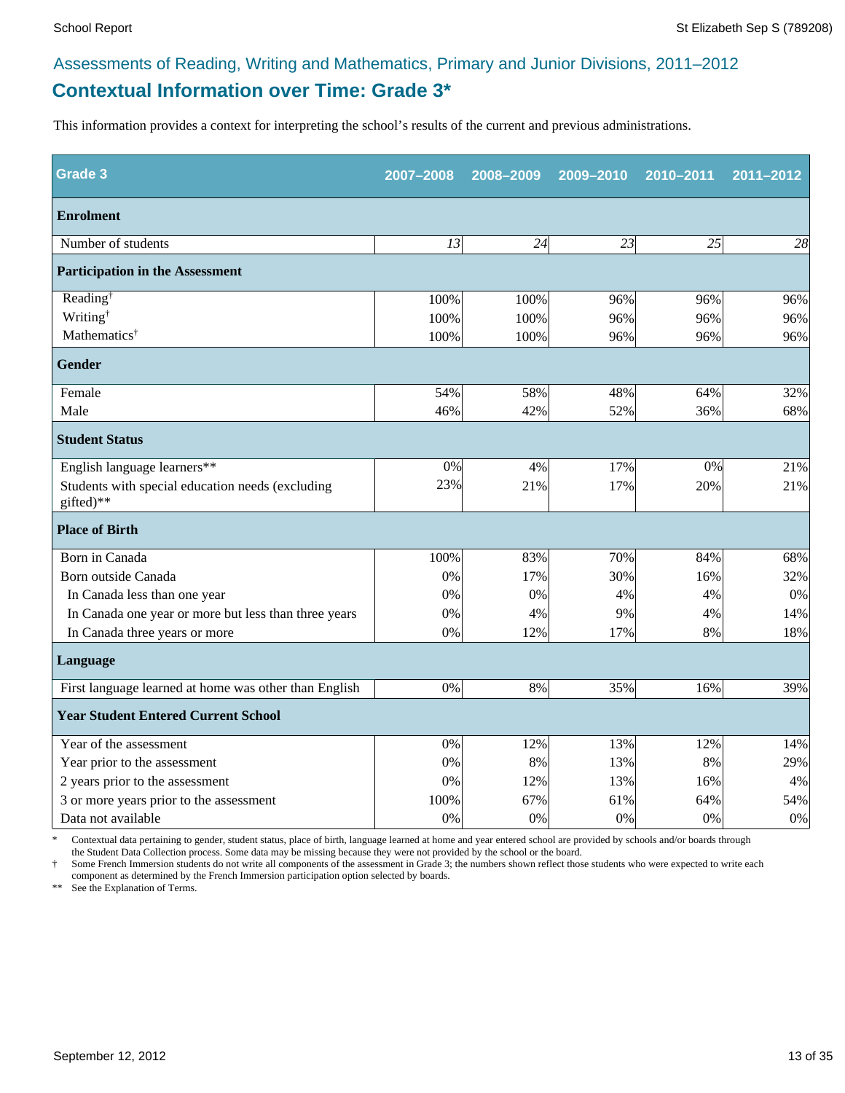# **Contextual Information over Time: Grade 3\*** Assessments of Reading, Writing and Mathematics, Primary and Junior Divisions, 2011–2012

This information provides a context for interpreting the school's results of the current and previous administrations.

| <b>Grade 3</b>                                                | 2007-2008       | 2008-2009 | 2009-2010 | 2010-2011 | 2011-2012 |
|---------------------------------------------------------------|-----------------|-----------|-----------|-----------|-----------|
| <b>Enrolment</b>                                              |                 |           |           |           |           |
| Number of students                                            | $\overline{13}$ | 24        | 23        | 25        | 28        |
| <b>Participation in the Assessment</b>                        |                 |           |           |           |           |
| Reading <sup>†</sup>                                          | 100%            | 100%      | 96%       | 96%       | 96%       |
| Writing <sup>†</sup>                                          | 100%            | 100%      | 96%       | 96%       | 96%       |
| Mathematics <sup>†</sup>                                      | 100%            | 100%      | 96%       | 96%       | 96%       |
| <b>Gender</b>                                                 |                 |           |           |           |           |
| Female                                                        | 54%             | 58%       | 48%       | 64%       | 32%       |
| Male                                                          | 46%             | 42%       | 52%       | 36%       | 68%       |
| <b>Student Status</b>                                         |                 |           |           |           |           |
| English language learners**                                   | 0%              | 4%        | 17%       | 0%        | 21%       |
| Students with special education needs (excluding<br>gifted)** | 23%             | 21%       | 17%       | 20%       | 21%       |
| <b>Place of Birth</b>                                         |                 |           |           |           |           |
| Born in Canada                                                | 100%            | 83%       | 70%       | 84%       | 68%       |
| Born outside Canada                                           | 0%              | 17%       | 30%       | 16%       | 32%       |
| In Canada less than one year                                  | 0%              | 0%        | 4%        | 4%        | 0%        |
| In Canada one year or more but less than three years          | 0%              | 4%        | 9%        | 4%        | 14%       |
| In Canada three years or more                                 | 0%              | 12%       | 17%       | 8%        | 18%       |
| Language                                                      |                 |           |           |           |           |
| First language learned at home was other than English         | $0\%$           | 8%        | 35%       | 16%       | 39%       |
| <b>Year Student Entered Current School</b>                    |                 |           |           |           |           |
| Year of the assessment                                        | $0\%$           | 12%       | 13%       | 12%       | 14%       |
| Year prior to the assessment                                  | 0%              | 8%        | 13%       | 8%        | 29%       |
| 2 years prior to the assessment                               | $0\%$           | 12%       | 13%       | 16%       | 4%        |
| 3 or more years prior to the assessment                       | 100%            | 67%       | 61%       | 64%       | 54%       |
| Data not available                                            | 0%              | 0%        | 0%        | 0%        | $0\%$     |

\* Contextual data pertaining to gender, student status, place of birth, language learned at home and year entered school are provided by schools and/or boards through the Student Data Collection process. Some data may be missing because they were not provided by the school or the board.

† Some French Immersion students do not write all components of the assessment in Grade 3; the numbers shown reflect those students who were expected to write each component as determined by the French Immersion participation option selected by boards.

\*\* See the Explanation of Terms.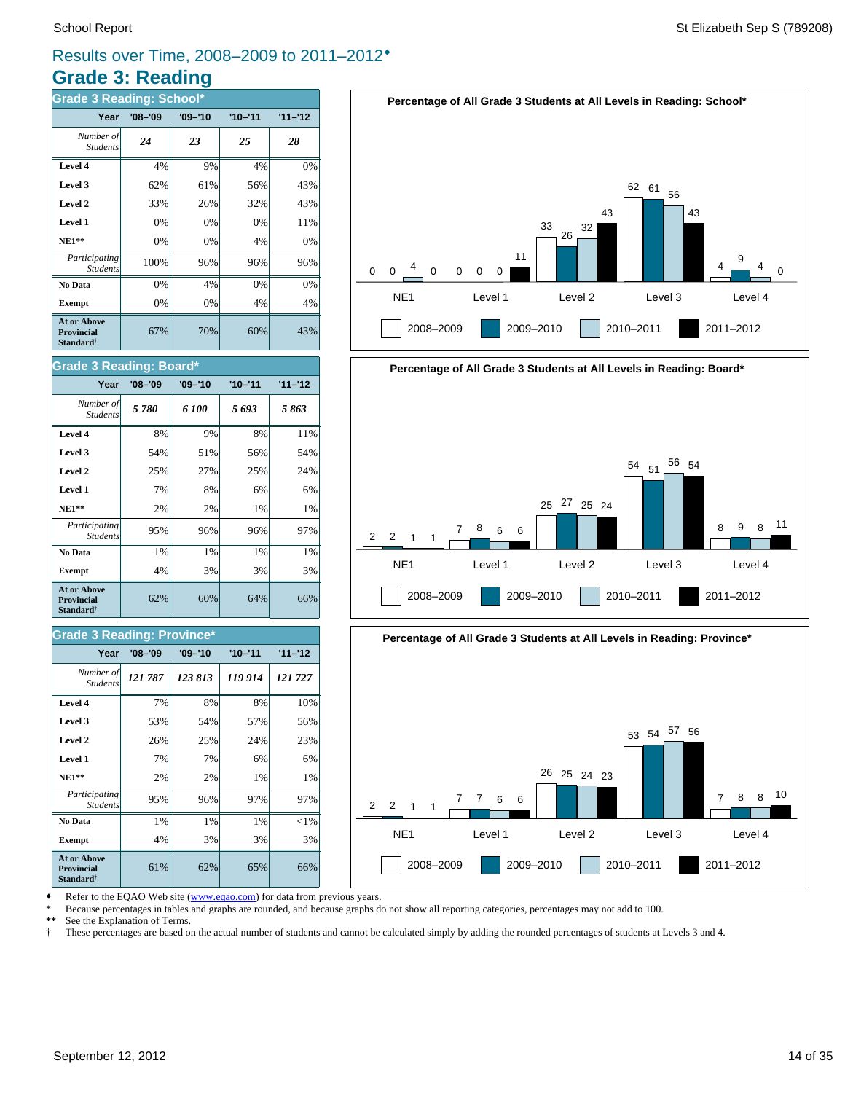# **Grade 3: Reading** Results over Time, 2008–2009 to 2011–2012®

| <b>Grade 3 Reading: School*</b>                                         |             |             |             |           |  |  |  |
|-------------------------------------------------------------------------|-------------|-------------|-------------|-----------|--|--|--|
| Year                                                                    | $'08 - '09$ | $'09 - '10$ | $'10 - '11$ | $11 - 12$ |  |  |  |
| Number of<br><b>Students</b>                                            | 24          | 23          | 25          | 28        |  |  |  |
| Level 4                                                                 | 4%          | 9%          | 4%          | 0%        |  |  |  |
| Level 3                                                                 | 62%         | 61%         | 56%         | 43%       |  |  |  |
| Level 2                                                                 | 33%         | 26%         | 32%         | 43%       |  |  |  |
| Level 1                                                                 | 0%          | 0%          | 0%          | 11%       |  |  |  |
| <b>NE1**</b>                                                            | 0%          | 0%          | 4%          | 0%        |  |  |  |
| Participating<br><b>Students</b>                                        | 100%        | 96%         | 96%         | 96%       |  |  |  |
| No Data                                                                 | 0%          | 4%          | 0%          | 0%        |  |  |  |
| <b>Exempt</b>                                                           | 0%          | 0%          | 4%          | 4%        |  |  |  |
| <b>At or Above</b><br><b>Provincial</b><br><b>Standard</b> <sup>†</sup> | 67%         | 70%         | 60%         | 43%       |  |  |  |

### **Grade 3 Reading: Board\***

| Year                                                                    | $'08 - '09$ | $'09 - '10$ | $'10 - '11$ | $11 - 12$ |
|-------------------------------------------------------------------------|-------------|-------------|-------------|-----------|
| Number of<br><b>Students</b>                                            | 5 780       | 6 100       | 5693        | 5863      |
| Level 4                                                                 | 8%          | 9%          | 8%          | 11%       |
| Level 3                                                                 | 54%         | 51%         | 56%         | 54%       |
| Level 2                                                                 | 25%         | 27%         | 25%         | 24%       |
| Level 1                                                                 | 7%          | 8%          | 6%          | 6%        |
| $NE1**$                                                                 | 2%          | 2%          | 1%          | 1%        |
| Participating<br><b>Students</b>                                        | 95%         | 96%         | 96%         | 97%       |
| No Data                                                                 | 1%          | 1%          | 1%          | 1%        |
| <b>Exempt</b>                                                           | 4%          | 3%          | 3%          | 3%        |
| <b>At or Above</b><br><b>Provincial</b><br><b>Standard</b> <sup>†</sup> | 62%         | 60%         | 64%         | 66%       |

### **Grade 3 Reading: Province\***

| Year                                                                    | '08–'09 | $'09 - '10$ | $'10 - '11$ | $11 - 12$ |
|-------------------------------------------------------------------------|---------|-------------|-------------|-----------|
| Number of<br><b>Students</b>                                            | 121 787 | 123 813     | 119 914     | 121727    |
| Level 4                                                                 | 7%      | 8%          | 8%          | 10%       |
| Level 3                                                                 | 53%     | 54%         | 57%         | 56%       |
| Level 2                                                                 | 26%     | 25%         | 24%         | 23%       |
| Level 1                                                                 | 7%      | 7%          | 6%          | 6%        |
| $NE1**$                                                                 | 2%      | 2%          | 1%          | 1%        |
| Participating<br><b>Students</b>                                        | 95%     | 96%         | 97%         | 97%       |
| No Data                                                                 | 1%      | 1%          | 1%          | $<$ 1%    |
| <b>Exempt</b>                                                           | 4%      | 3%          | 3%          | 3%        |
| <b>At or Above</b><br><b>Provincial</b><br><b>Standard</b> <sup>†</sup> | 61%     | 62%         | 65%         | 66%       |







Refer to the EQAO Web site (www.eqao.com) for data from previous years.

\* Because percentages in tables and graphs are rounded, and because graphs do not show all reporting categories, percentages may not add to 100.

**\*\*** See the Explanation of Terms.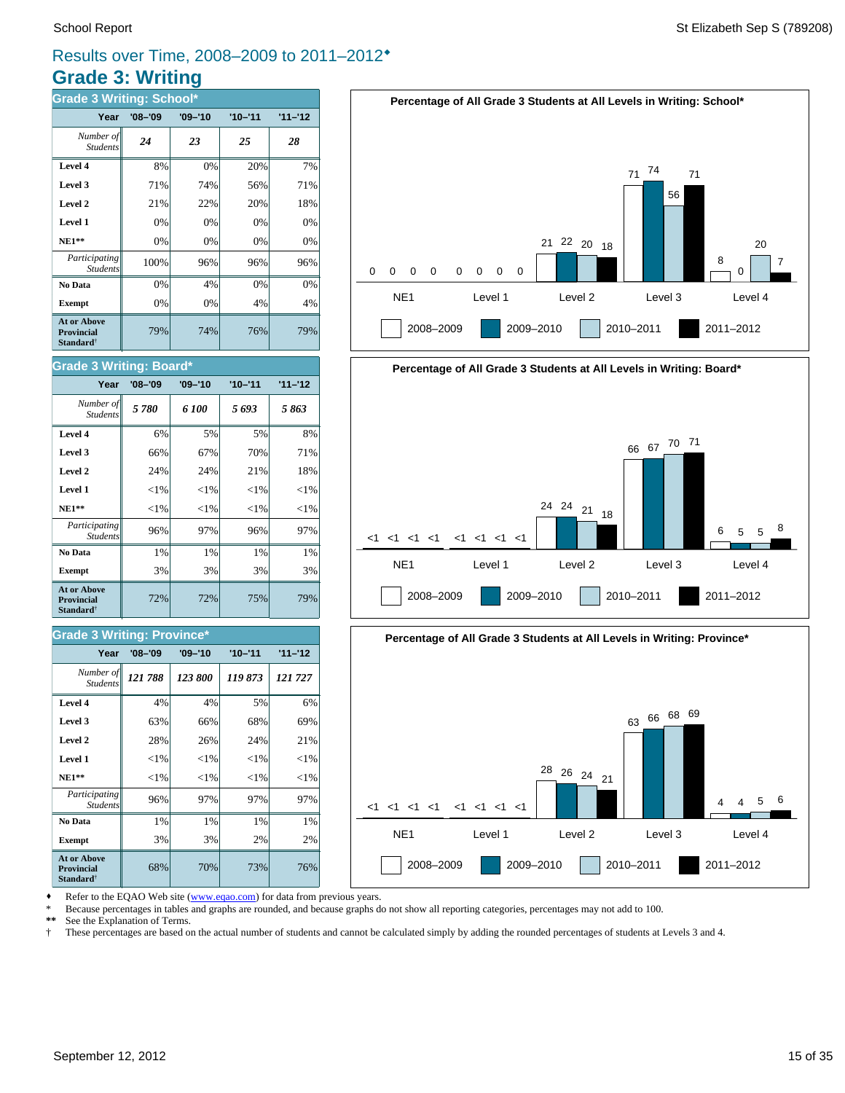7

# **Grade 3: Writing** Results over Time, 2008–2009 to 2011–2012®

| <b>Grade 3 Writing: School*</b>                                         |             |             |             |           |  |  |  |  |
|-------------------------------------------------------------------------|-------------|-------------|-------------|-----------|--|--|--|--|
| Year                                                                    | $'08 - '09$ | $'09 - '10$ | $'10 - '11$ | $11 - 12$ |  |  |  |  |
| Number of<br><b>Students</b>                                            | 24          | 23          | 25          | 28        |  |  |  |  |
| Level 4                                                                 | 8%          | 0%          | 20%         | 7%        |  |  |  |  |
| Level 3                                                                 | 71%         | 74%         | 56%         | 71%       |  |  |  |  |
| Level 2                                                                 | 21%         | 22%         | 20%         | 18%       |  |  |  |  |
| Level 1                                                                 | 0%          | 0%          | 0%          | 0%        |  |  |  |  |
| <b>NE1**</b>                                                            | 0%          | 0%          | 0%          | 0%        |  |  |  |  |
| Participating<br><b>Students</b>                                        | 100%        | 96%         | 96%         | 96%       |  |  |  |  |
| No Data                                                                 | 0%          | 4%          | 0%          | 0%        |  |  |  |  |
| <b>Exempt</b>                                                           | 0%          | 0%          | 4%          | 4%        |  |  |  |  |
| <b>At or Above</b><br><b>Provincial</b><br><b>Standard</b> <sup>†</sup> | 79%         | 74%         | 76%         | 79%       |  |  |  |  |







Refer to the EQAO Web site (www.eqao.com) for data from previous years.

\* Because percentages in tables and graphs are rounded, and because graphs do not show all reporting categories, percentages may not add to 100.

**\*\*** See the Explanation of Terms.

† These percentages are based on the actual number of students and cannot be calculated simply by adding the rounded percentages of students at Levels 3 and 4.

### **Level 4** 6% 5% 5% 8% *5 780 6 100 5 693 5 863 Number of* Student.

**Grade 3 Writing: Board\***

| Level 3                                                          | 66%      | 67%      | 70%      | 71%      |
|------------------------------------------------------------------|----------|----------|----------|----------|
| Level 2                                                          | 24%      | 24%      | 21%      | 18%      |
| Level 1                                                          | ${<}1\%$ | ${<}1\%$ | ${<}1\%$ | ${<}1\%$ |
| $NE1**$                                                          | ${<}1\%$ | ${<}1\%$ | ${<}1\%$ | ${<}1\%$ |
| Participating<br><b>Students</b>                                 | 96%      | 97%      | 96%      | 97%      |
| No Data                                                          | 1%       | 1%       | 1%       | 1%       |
| <b>Exempt</b>                                                    | 3%       | 3%       | 3%       | 3%       |
| At or Above<br><b>Provincial</b><br><b>Standard</b> <sup>†</sup> | 72%      | 72%      | 75%      | 79%      |

**Year '08–'09 '09–'10 '10–'11 '11–'12**

### **Grade 3 Writing: Province\***

| Year                                                                    | $'08 - '09$ | $'09 - '10$ | $'10 - '11$ | $11 - 12$ |
|-------------------------------------------------------------------------|-------------|-------------|-------------|-----------|
| Number of<br><b>Students</b>                                            | 121788      | 123 800     | 119873      | 121 727   |
| Level 4                                                                 | 4%          | 4%          | 5%          | 6%        |
| Level 3                                                                 | 63%         | 66%         | 68%         | 69%       |
| Level 2                                                                 | 28%         | 26%         | 24%         | 21%       |
| Level 1                                                                 | ${<}1\%$    | ${<}1\%$    | ${<}1\%$    | ${<}1\%$  |
| <b>NE1**</b>                                                            | ${<}1\%$    | ${<}1\%$    | ${<}1\%$    | ${<}1\%$  |
| Participating<br><b>Students</b>                                        | 96%         | 97%         | 97%         | 97%       |
| No Data                                                                 | 1%          | 1%          | 1%          | 1%        |
| <b>Exempt</b>                                                           | 3%          | 3%          | 2%          | 2%        |
| <b>At or Above</b><br><b>Provincial</b><br><b>Standard</b> <sup>†</sup> | 68%         | 70%         | 73%         | 76%       |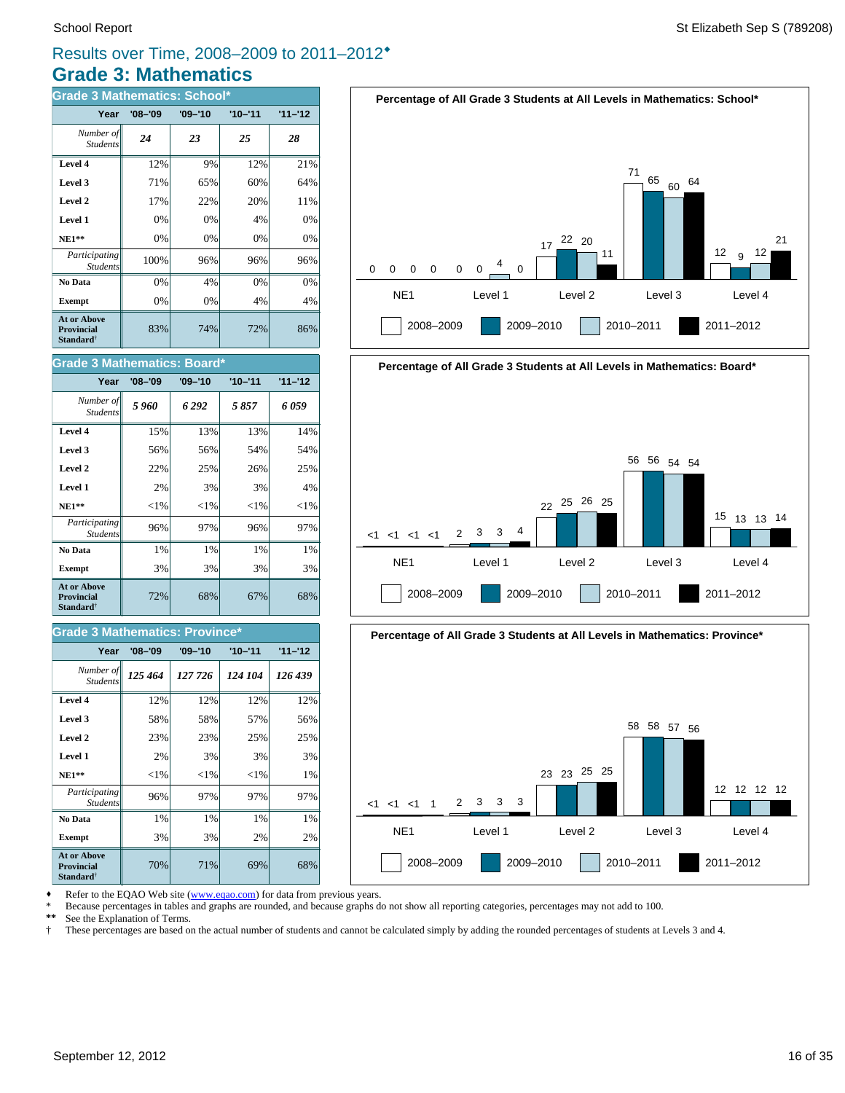# **Grade 3: Mathematics** Results over Time, 2008–2009 to 2011–2012®

| <b>Grade 3 Mathematics: School*</b>                                     |             |             |             |           |  |
|-------------------------------------------------------------------------|-------------|-------------|-------------|-----------|--|
| Year                                                                    | $'08 - '09$ | $'09 - '10$ | $'10 - '11$ | $11 - 12$ |  |
| Number of<br><b>Students</b>                                            | 24          | 23          | 25          | 28        |  |
| Level 4                                                                 | 12%         | 9%          | 12%         | 21%       |  |
| Level 3                                                                 | 71%         | 65%         | 60%         | 64%       |  |
| Level 2                                                                 | 17%         | 22%         | 20%         | 11%       |  |
| Level 1                                                                 | 0%          | 0%          | 4%          | 0%        |  |
| $NE1**$                                                                 | 0%          | 0%          | 0%          | 0%        |  |
| Participating<br><b>Students</b>                                        | 100%        | 96%         | 96%         | 96%       |  |
| No Data                                                                 | 0%          | 4%          | 0%          | 0%        |  |
| <b>Exempt</b>                                                           | 0%          | 0%          | 4%          | 4%        |  |
| <b>At or Above</b><br><b>Provincial</b><br><b>Standard</b> <sup>†</sup> | 83%         | 74%         | 72%         | 86%       |  |

72% 68% 67% 68% **Exempt**  $\begin{vmatrix} 3\% & 3\% \end{vmatrix}$  3% 3% 3% **No Data**  $\begin{vmatrix} 1\% & 1\% \end{vmatrix}$  1% 1% 1% 1% *Participating* 96% 97% 96% 97% Student **NE1\*\***  $|\hspace{-.1cm}1\%| \hspace{-.1cm}|\hspace{-.1cm}|\hspace{-.1cm}|\hspace{-.1cm}|\hspace{-.1cm}|\hspace{-.1cm}|\hspace{-.1cm}|\hspace{-.1cm}|\hspace{-.1cm}|\hspace{-.1cm}|\hspace{-.1cm}|\hspace{-.1cm}|\hspace{-.1cm}|\hspace{-.1cm}|\hspace{-.1cm}|\hspace{-.1cm}|\hspace{-.1cm}|\hspace{-.1cm}|\hspace{-.1cm}|\hspace{-.1cm}|\hspace{-.1cm}|\hspace{-.1cm}|\hspace{-.1cm}|\hspace{-.1cm}|\hspace{-.1cm}$ **Level 1**  $\begin{vmatrix} 2\% & 3\% \end{vmatrix}$  3% 3% 4% **Level 2**  $\begin{array}{ccc} \hline \end{array}$  22% 25% 26% 25% **Level 3 56% 56% 56% 54% 54% Level 4 15% 13% 13% 14%** *5 960 6 292 5 857 6 059 Number of* Student. **Year '08–'09 '09–'10 '10–'11 '11–'12 Grade 3 Mathematics: Board\* At or Above Provincial Standard**†

### **Grade 3 Mathematics: Province\***

| Year                                                                    | $'08 - '09$ | $'09 - '10$ | $'10 - '11$ | $11 - 12$ |
|-------------------------------------------------------------------------|-------------|-------------|-------------|-----------|
| Number of<br><b>Students</b>                                            | 125 464     | 127 726     | 124 104     | 126 439   |
| Level 4                                                                 | 12%         | 12%         | 12%         | 12%       |
| Level 3                                                                 | 58%         | 58%         | 57%         | 56%       |
| Level 2                                                                 | 23%         | 23%         | 25%         | 25%       |
| Level 1                                                                 | 2%          | 3%          | 3%          | 3%        |
| $NE1**$                                                                 | ${<}1\%$    | ${<}1\%$    | ${<}1\%$    | 1%        |
| Participating<br><b>Students</b>                                        | 96%         | 97%         | 97%         | 97%       |
| No Data                                                                 | 1%          | 1%          | 1%          | 1%        |
| <b>Exempt</b>                                                           | 3%          | 3%          | 2%          | 2%        |
| <b>At or Above</b><br><b>Provincial</b><br><b>Standard</b> <sup>†</sup> | 70%         | 71%         | 69%         | 68%       |







Refer to the EQAO Web site (www.eqao.com) for data from previous years.

\* Because percentages in tables and graphs are rounded, and because graphs do not show all reporting categories, percentages may not add to 100.<br>\*\* See the Explanation of Terms

\*\* See the Explanation of Terms.<br><sup>†</sup> These percentages are based of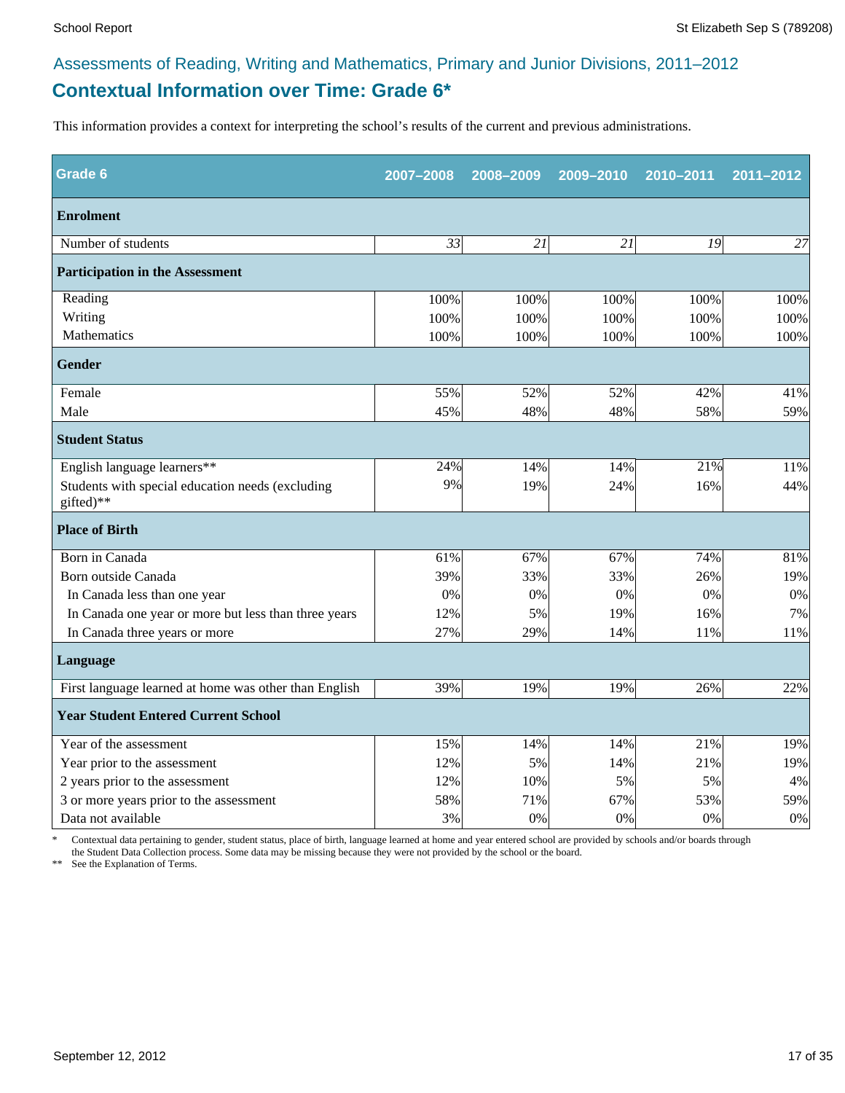# **Contextual Information over Time: Grade 6\*** Assessments of Reading, Writing and Mathematics, Primary and Junior Divisions, 2011–2012

This information provides a context for interpreting the school's results of the current and previous administrations.

| Grade 6                                                       | 2007-2008 | 2008-2009 | 2009-2010 | 2010-2011 | 2011-2012 |
|---------------------------------------------------------------|-----------|-----------|-----------|-----------|-----------|
| <b>Enrolment</b>                                              |           |           |           |           |           |
| Number of students                                            | 33        | 21        | 21        | 19        | 27        |
| <b>Participation in the Assessment</b>                        |           |           |           |           |           |
| Reading                                                       | 100%      | 100%      | 100%      | 100%      | 100%      |
| Writing                                                       | 100%      | 100%      | 100%      | 100%      | 100%      |
| Mathematics                                                   | 100%      | 100%      | 100%      | 100%      | 100%      |
| <b>Gender</b>                                                 |           |           |           |           |           |
| Female                                                        | 55%       | 52%       | 52%       | 42%       | 41%       |
| Male                                                          | 45%       | 48%       | 48%       | 58%       | 59%       |
| <b>Student Status</b>                                         |           |           |           |           |           |
| English language learners**                                   | 24%       | 14%       | 14%       | 21%       | 11%       |
| Students with special education needs (excluding<br>gifted)** | 9%        | 19%       | 24%       | 16%       | 44%       |
| <b>Place of Birth</b>                                         |           |           |           |           |           |
| Born in Canada                                                | 61%       | 67%       | 67%       | 74%       | 81%       |
| Born outside Canada                                           | 39%       | 33%       | 33%       | 26%       | 19%       |
| In Canada less than one year                                  | 0%        | 0%        | 0%        | 0%        | 0%        |
| In Canada one year or more but less than three years          | 12%       | 5%        | 19%       | 16%       | 7%        |
| In Canada three years or more                                 | 27%       | 29%       | 14%       | 11%       | 11%       |
| Language                                                      |           |           |           |           |           |
| First language learned at home was other than English         | 39%       | 19%       | 19%       | 26%       | 22%       |
| <b>Year Student Entered Current School</b>                    |           |           |           |           |           |
| Year of the assessment                                        | 15%       | 14%       | 14%       | 21%       | 19%       |
| Year prior to the assessment                                  | 12%       | 5%        | 14%       | 21%       | 19%       |
| 2 years prior to the assessment                               | 12%       | 10%       | 5%        | 5%        | 4%        |
| 3 or more years prior to the assessment                       | 58%       | 71%       | 67%       | 53%       | 59%       |
| Data not available                                            | 3%        | 0%        | 0%        | 0%        | 0%        |

\* Contextual data pertaining to gender, student status, place of birth, language learned at home and year entered school are provided by schools and/or boards through the Student Data Collection process. Some data may be missing because they were not provided by the school or the board.

\*\* See the Explanation of Terms.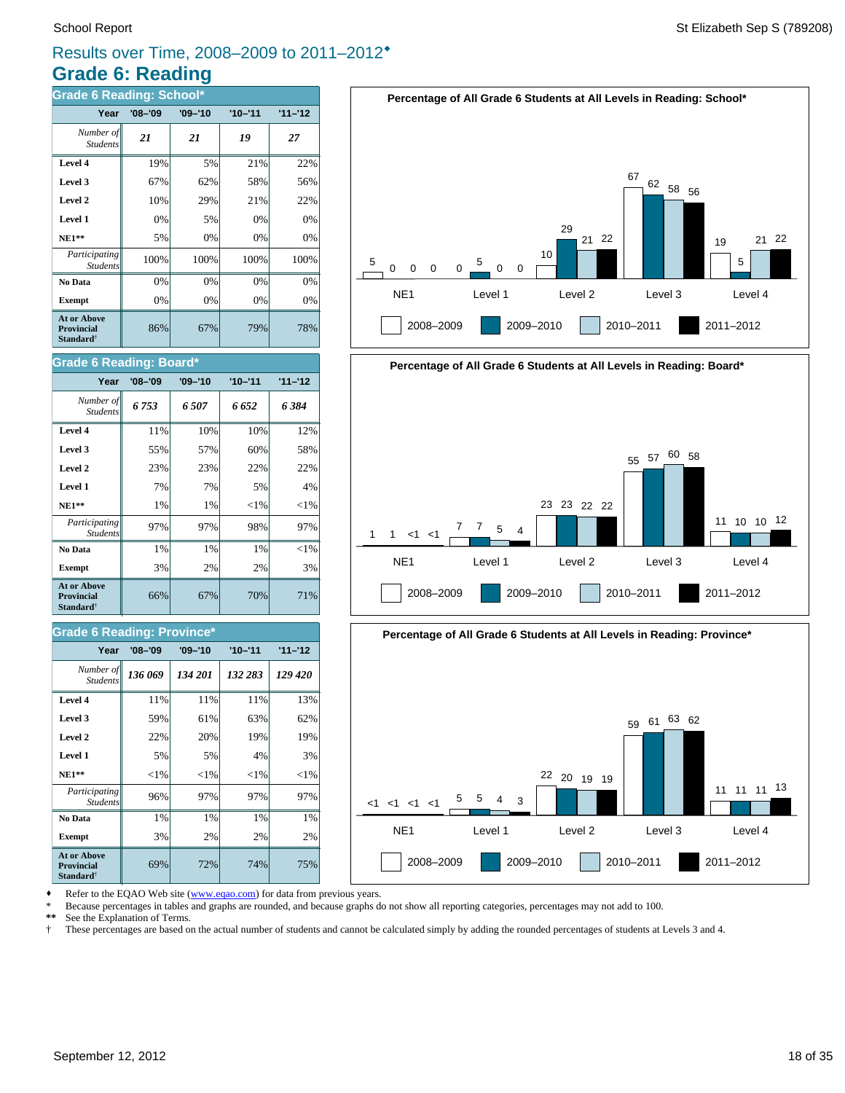# **Grade 6: Reading** Results over Time, 2008–2009 to 2011–2012®

| Grade 6 Reading: School*                                                |             |             |             |           |  |
|-------------------------------------------------------------------------|-------------|-------------|-------------|-----------|--|
| Year                                                                    | $'08 - '09$ | $'09 - '10$ | $'10 - '11$ | $11 - 12$ |  |
| Number of<br><b>Students</b>                                            | 21          | 21          | 19          | 27        |  |
| Level 4                                                                 | 19%         | 5%          | 21%         | 22%       |  |
| Level 3                                                                 | 67%         | 62%         | 58%         | 56%       |  |
| Level 2                                                                 | 10%         | 29%         | 21%         | 22%       |  |
| Level 1                                                                 | 0%          | 5%          | 0%          | 0%        |  |
| $NE1**$                                                                 | 5%          | 0%          | 0%          | 0%        |  |
| Participating<br><b>Students</b>                                        | 100%        | 100%        | 100%        | 100%      |  |
| No Data                                                                 | 0%          | 0%          | 0%          | 0%        |  |
| <b>Exempt</b>                                                           | 0%          | 0%          | 0%          | 0%        |  |
| <b>At or Above</b><br><b>Provincial</b><br><b>Standard</b> <sup>†</sup> | 86%         | 67%         | 79%         | 78%       |  |

### **Grade 6 Reading: Board\***

| Year                                                             | $'08 - '09$ | $'09 - '10$ | $'10 - '11$ | $11 - 12$ |
|------------------------------------------------------------------|-------------|-------------|-------------|-----------|
| Number of<br><b>Students</b>                                     | 6753        | 6507        | 6 652       | 6 384     |
| Level 4                                                          | 11%         | 10%         | 10%         | 12%       |
| Level 3                                                          | 55%         | 57%         | 60%         | 58%       |
| Level 2                                                          | 23%         | 23%         | 22%         | 22%       |
| Level 1                                                          | 7%          | 7%          | 5%          | 4%        |
| <b>NE1**</b>                                                     | 1%          | 1%          | ${<}1\%$    | ${<}1\%$  |
| Participating<br><b>Students</b>                                 | 97%         | 97%         | 98%         | 97%       |
| No Data                                                          | 1%          | $1\%$       | $1\%$       | ${<}1\%$  |
| <b>Exempt</b>                                                    | 3%          | 2%          | 2%          | 3%        |
| <b>At or Above</b><br><b>Provincial</b><br>Standard <sup>†</sup> | 66%         | 67%         | 70%         | 71%       |

### **Grade 6 Reading: Province\***

| Year                                                                    | $'08 - '09$ | $'09 - '10$ | $'10 - '11$ | $11 - 12$ |
|-------------------------------------------------------------------------|-------------|-------------|-------------|-----------|
| Number of<br><b>Students</b>                                            | 136 069     | 134 201     | 132 283     | 129 420   |
| Level 4                                                                 | 11%         | 11%         | 11%         | 13%       |
| Level 3                                                                 | 59%         | 61%         | 63%         | 62%       |
| Level 2                                                                 | 22%         | 20%         | 19%         | 19%       |
| Level 1                                                                 | 5%          | 5%          | 4%          | 3%        |
| $NE1**$                                                                 | ${<}1\%$    | ${<}1\%$    | ${<}1\%$    | ${<}1\%$  |
| Participating<br><b>Students</b>                                        | 96%         | 97%         | 97%         | 97%       |
| No Data                                                                 | 1%          | 1%          | 1%          | 1%        |
| <b>Exempt</b>                                                           | 3%          | 2%          | 2%          | 2%        |
| <b>At or Above</b><br><b>Provincial</b><br><b>Standard</b> <sup>†</sup> | 69%         | 72%         | 74%         | 75%       |







Refer to the EQAO Web site (www.eqao.com) for data from previous years.

\* Because percentages in tables and graphs are rounded, and because graphs do not show all reporting categories, percentages may not add to 100.

**\*\*** See the Explanation of Terms.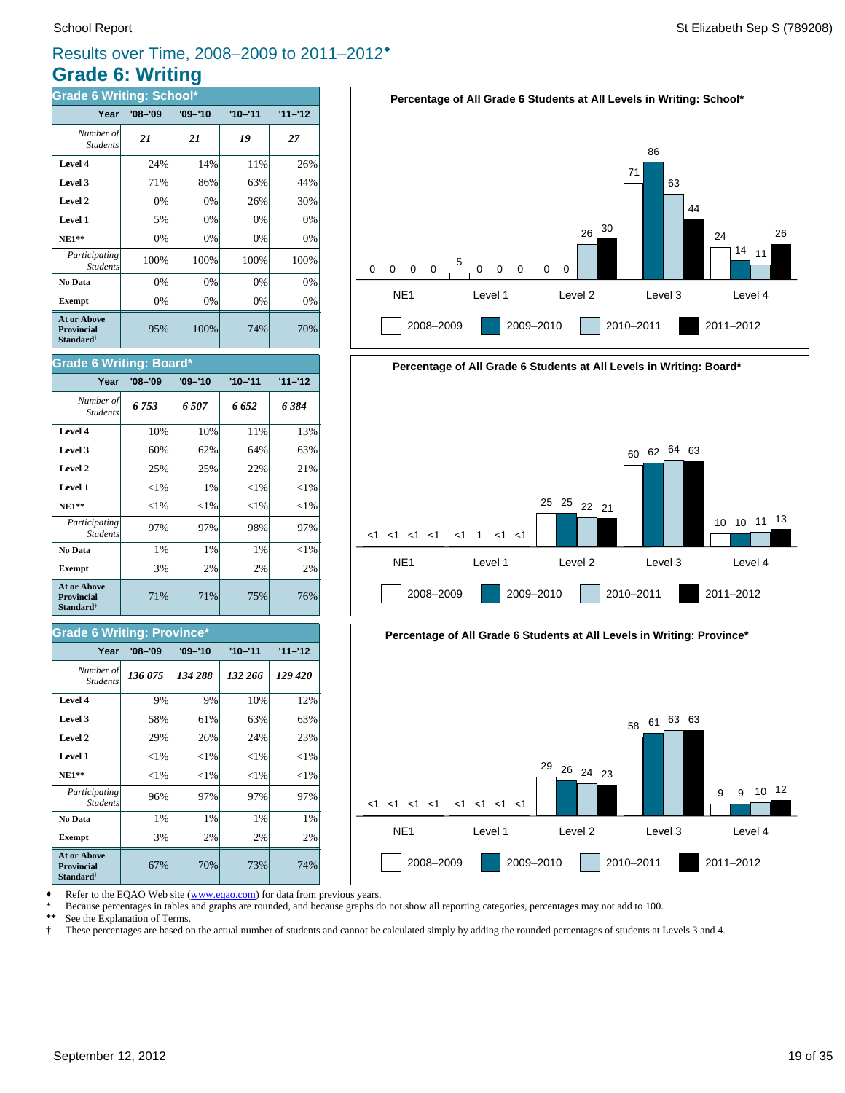# **Grade 6: Writing** Results over Time, 2008–2009 to 2011–2012®

| <b>Grade 6 Writing: School*</b>                                  |             |             |             |           |  |
|------------------------------------------------------------------|-------------|-------------|-------------|-----------|--|
| Year                                                             | $'08 - '09$ | $'09 - '10$ | $'10 - '11$ | $11 - 12$ |  |
| Number of<br><b>Students</b>                                     | 21          | 21          | 19          | 27        |  |
| Level 4                                                          | 24%         | 14%         | 11%         | 26%       |  |
| Level 3                                                          | 71%         | 86%         | 63%         | 44%       |  |
| Level 2                                                          | 0%          | 0%          | 26%         | 30%       |  |
| Level 1                                                          | 5%          | 0%          | 0%          | 0%        |  |
| $NE1**$                                                          | 0%          | 0%          | 0%          | 0%        |  |
| Participating<br><b>Students</b>                                 | 100%        | 100%        | 100%        | 100%      |  |
| No Data                                                          | 0%          | 0%          | 0%          | 0%        |  |
| <b>Exempt</b>                                                    | 0%          | 0%          | 0%          | 0%        |  |
| <b>At or Above</b><br>Provincial<br><b>Standard</b> <sup>†</sup> | 95%         | 100%        | 74%         | 70%       |  |

### **Grade 6 Writing: Board\***

| Year                                                                    | $'08 - '09$ | $'09 - '10$ | $'10 - '11$ | $11 - 12$ |
|-------------------------------------------------------------------------|-------------|-------------|-------------|-----------|
| Number of<br><b>Students</b>                                            | 6753        | 6.507       | 6 652       | 6 384     |
| Level 4                                                                 | 10%         | 10%         | 11%         | 13%       |
| Level 3                                                                 | 60%         | 62%         | 64%         | 63%       |
| Level 2                                                                 | 25%         | 25%         | 22%         | 21%       |
| Level 1                                                                 | ${<}1\%$    | 1%          | ${<}1\%$    | ${<}1\%$  |
| <b>NE1**</b>                                                            | ${<}1\%$    | ${<}1\%$    | ${<}1\%$    | ${<}1\%$  |
| Participating<br><b>Students</b>                                        | 97%         | 97%         | 98%         | 97%       |
| No Data                                                                 | 1%          | $1\%$       | $1\%$       | ${<}1\%$  |
| <b>Exempt</b>                                                           | 3%          | 2%          | 2%          | 2%        |
| <b>At or Above</b><br><b>Provincial</b><br><b>Standard</b> <sup>†</sup> | 71%         | 71%         | 75%         | 76%       |

### **Grade 6 Writing: Province\***

| Year                                                                    | $'08 - '09$ | $'09 - '10$ | $'10 - '11$ | $11 - 12$ |
|-------------------------------------------------------------------------|-------------|-------------|-------------|-----------|
| Number of<br><b>Students</b>                                            | 136 075     | 134 288     | 132 266     | 129 420   |
| Level 4                                                                 | 9%          | 9%          | 10%         | 12%       |
| Level 3                                                                 | 58%         | 61%         | 63%         | 63%       |
| Level 2                                                                 | 29%         | 26%         | 24%         | 23%       |
| Level 1                                                                 | ${<}1\%$    | ${<}1\%$    | ${<}1\%$    | ${<}1\%$  |
| $NE1**$                                                                 | ${<}1\%$    | ${<}1\%$    | ${<}1\%$    | ${<}1\%$  |
| Participating<br><b>Students</b>                                        | 96%         | 97%         | 97%         | 97%       |
| No Data                                                                 | 1%          | 1%          | 1%          | 1%        |
| <b>Exempt</b>                                                           | 3%          | 2%          | 2%          | 2%        |
| <b>At or Above</b><br><b>Provincial</b><br><b>Standard</b> <sup>†</sup> | 67%         | 70%         | 73%         | 74%       |







Refer to the EQAO Web site (www.eqao.com) for data from previous years.

\* Because percentages in tables and graphs are rounded, and because graphs do not show all reporting categories, percentages may not add to 100.<br>\*\* See the Explanation of Terms

\*\* See the Explanation of Terms.<br><sup>†</sup> These percentages are based on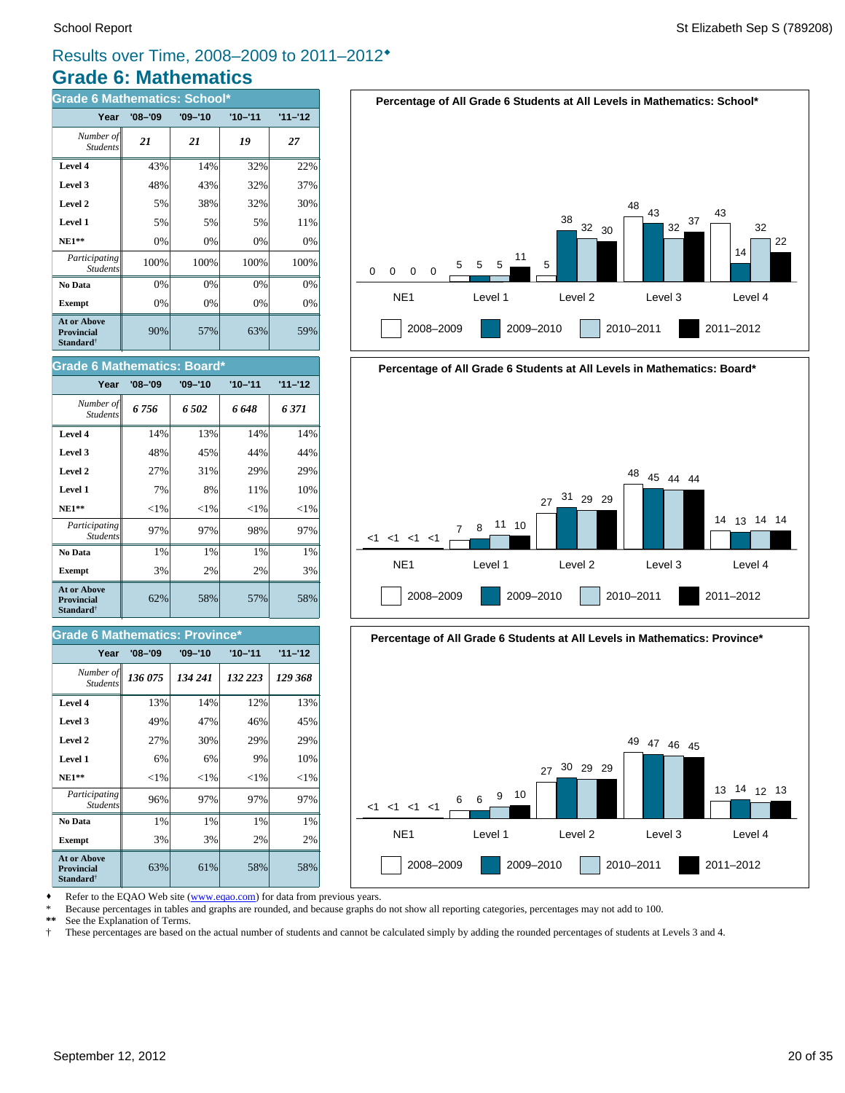# **Grade 6: Mathematics** Results over Time, 2008–2009 to 2011–2012®

| <b>Grade 6 Mathematics: School*</b>                                     |             |             |             |           |  |
|-------------------------------------------------------------------------|-------------|-------------|-------------|-----------|--|
| Year                                                                    | $'08 - '09$ | $'09 - '10$ | $'10 - '11$ | $11 - 12$ |  |
| Number of<br><b>Students</b>                                            | 21          | 21          | 19          | 27        |  |
| Level 4                                                                 | 43%         | 14%         | 32%         | 22%       |  |
| Level 3                                                                 | 48%         | 43%         | 32%         | 37%       |  |
| Level 2                                                                 | 5%          | 38%         | 32%         | 30%       |  |
| Level 1                                                                 | 5%          | 5%          | 5%          | 11%       |  |
| <b>NE1**</b>                                                            | 0%          | 0%          | 0%          | 0%        |  |
| Participating<br><b>Students</b>                                        | 100%        | 100%        | 100%        | 100%      |  |
| No Data                                                                 | 0%          | 0%          | 0%          | 0%        |  |
| <b>Exempt</b>                                                           | 0%          | 0%          | 0%          | 0%        |  |
| <b>At or Above</b><br><b>Provincial</b><br><b>Standard</b> <sup>†</sup> | 90%         | 57%         | 63%         | 59%       |  |







| Year                                                                    | $'08 - '09$ | $'09 - '10$ | $'10 - '11$ | $11 - 12$ |
|-------------------------------------------------------------------------|-------------|-------------|-------------|-----------|
| Number of<br><b>Students</b>                                            | 6756        | 6502        | 6 648       | 6 371     |
| Level 4                                                                 | 14%         | 13%         | 14%         | 14%       |
| Level 3                                                                 | 48%         | 45%         | 44%         | 44%       |
| Level 2                                                                 | 27%         | 31%         | 29%         | 29%       |
| Level 1                                                                 | 7%          | 8%          | 11%         | 10%       |
| $NE1**$                                                                 | ${<}1\%$    | ${<}1\%$    | ${<}1\%$    | ${<}1\%$  |
| Participating<br><b>Students</b>                                        | 97%         | 97%         | 98%         | 97%       |
| No Data                                                                 | 1%          | $1\%$       | $1\%$       | 1%        |
| <b>Exempt</b>                                                           | 3%          | 2%          | 2%          | 3%        |
| <b>At or Above</b><br><b>Provincial</b><br><b>Standard</b> <sup>†</sup> | 62%         | 58%         | 57%         | 58%       |

### **Grade 6 Mathematics: Province\***

| Year                                                                    | $'08 - '09$ | $'09 - '10$ | $'10 - '11$ | $11 - 12$ |
|-------------------------------------------------------------------------|-------------|-------------|-------------|-----------|
| Number of<br><b>Students</b>                                            | 136 075     | 134 241     | 132 223     | 129 368   |
| Level 4                                                                 | 13%         | 14%         | 12%         | 13%       |
| Level 3                                                                 | 49%         | 47%         | 46%         | 45%       |
| Level 2                                                                 | 27%         | 30%         | 29%         | 29%       |
| Level 1                                                                 | 6%          | 6%          | 9%          | 10%       |
| $NE1**$                                                                 | ${<}1\%$    | ${<}1\%$    | ${<}1\%$    | ${<}1\%$  |
| Participating<br><b>Students</b>                                        | 96%         | 97%         | 97%         | 97%       |
| No Data                                                                 | 1%          | 1%          | 1%          | 1%        |
| <b>Exempt</b>                                                           | 3%          | 3%          | 2%          | 2%        |
| <b>At or Above</b><br><b>Provincial</b><br><b>Standard</b> <sup>†</sup> | 63%         | 61%         | 58%         | 58%       |





Refer to the EQAO Web site (www.eqao.com) for data from previous years.

\* Because percentages in tables and graphs are rounded, and because graphs do not show all reporting categories, percentages may not add to 100.

See the Explanation of Terms.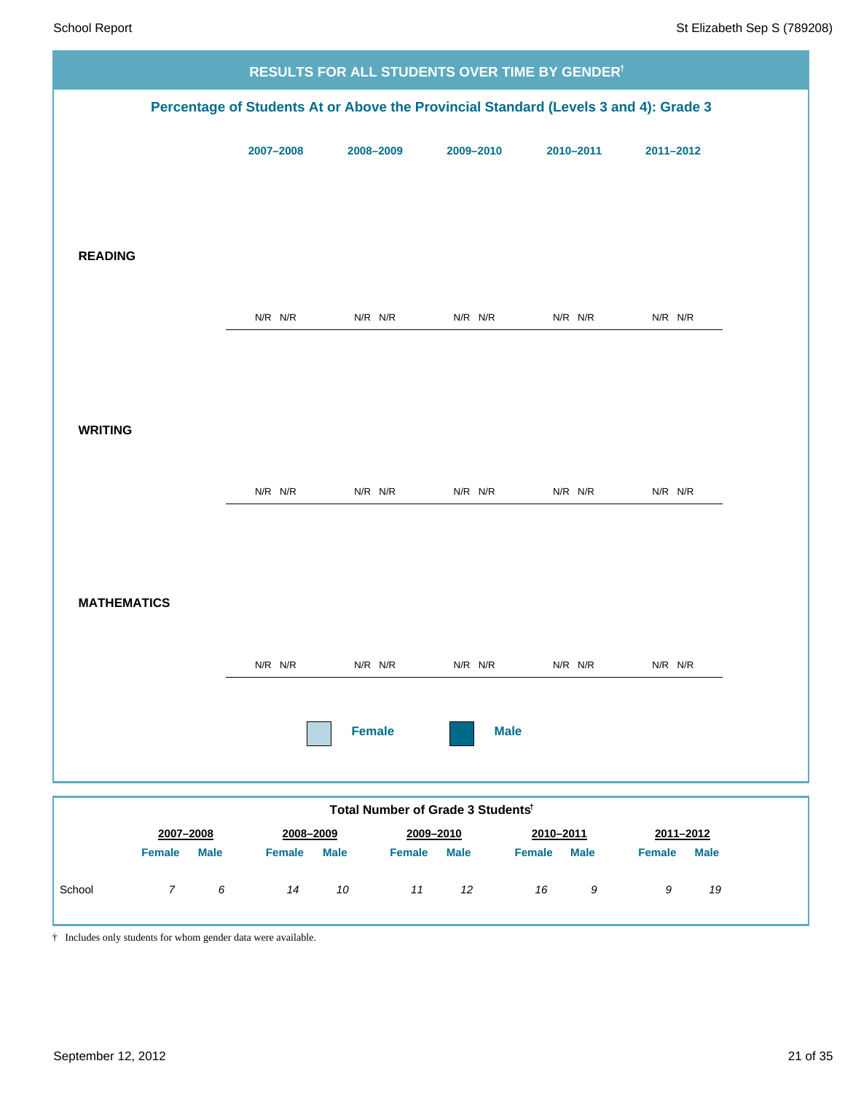| Percentage of Students At or Above the Provincial Standard (Levels 3 and 4): Grade 3<br>2007-2008<br>2011-2012<br>2008-2009<br>2009-2010<br>2010-2011<br><b>READING</b><br>$N/R$ $N/R$<br>$N/R$ $N/R$<br>$N/R$ $N/R$<br>$N/R$ $N/R$<br>$N/R$ $N/R$<br><b>WRITING</b><br>$N/R$ $N/R$<br>$N/R$ $N/R$<br>$N/R$ $N/R$<br>$N/R$ $N/R$<br>$N/R$ $N/R$<br><b>MATHEMATICS</b><br>$N/R$ $N/R$<br>N/R N/R<br>$N/R$ $N/R$<br>$N/R$ $N/R$<br>N/R N/R<br><b>Female</b><br><b>Male</b><br>Total Number of Grade 3 Students <sup>t</sup><br>2007-2008<br>2008-2009<br>2009-2010<br>2010-2011<br>2011-2012<br><b>Female</b><br><b>Male</b><br>Female<br><b>Male</b><br><b>Male</b><br><b>Female</b><br><b>Male</b><br><b>Female</b><br><b>Female</b><br><b>Male</b><br>$\overline{7}$<br>$\boldsymbol{6}$<br>14<br>10<br>11<br>12<br>16<br>9<br>9<br>19 |        |  | RESULTS FOR ALL STUDENTS OVER TIME BY GENDER <sup>†</sup> |  |
|-----------------------------------------------------------------------------------------------------------------------------------------------------------------------------------------------------------------------------------------------------------------------------------------------------------------------------------------------------------------------------------------------------------------------------------------------------------------------------------------------------------------------------------------------------------------------------------------------------------------------------------------------------------------------------------------------------------------------------------------------------------------------------------------------------------------------------------------|--------|--|-----------------------------------------------------------|--|
|                                                                                                                                                                                                                                                                                                                                                                                                                                                                                                                                                                                                                                                                                                                                                                                                                                         |        |  |                                                           |  |
|                                                                                                                                                                                                                                                                                                                                                                                                                                                                                                                                                                                                                                                                                                                                                                                                                                         |        |  |                                                           |  |
|                                                                                                                                                                                                                                                                                                                                                                                                                                                                                                                                                                                                                                                                                                                                                                                                                                         |        |  |                                                           |  |
|                                                                                                                                                                                                                                                                                                                                                                                                                                                                                                                                                                                                                                                                                                                                                                                                                                         |        |  |                                                           |  |
|                                                                                                                                                                                                                                                                                                                                                                                                                                                                                                                                                                                                                                                                                                                                                                                                                                         |        |  |                                                           |  |
|                                                                                                                                                                                                                                                                                                                                                                                                                                                                                                                                                                                                                                                                                                                                                                                                                                         |        |  |                                                           |  |
|                                                                                                                                                                                                                                                                                                                                                                                                                                                                                                                                                                                                                                                                                                                                                                                                                                         |        |  |                                                           |  |
|                                                                                                                                                                                                                                                                                                                                                                                                                                                                                                                                                                                                                                                                                                                                                                                                                                         |        |  |                                                           |  |
|                                                                                                                                                                                                                                                                                                                                                                                                                                                                                                                                                                                                                                                                                                                                                                                                                                         |        |  |                                                           |  |
|                                                                                                                                                                                                                                                                                                                                                                                                                                                                                                                                                                                                                                                                                                                                                                                                                                         |        |  |                                                           |  |
|                                                                                                                                                                                                                                                                                                                                                                                                                                                                                                                                                                                                                                                                                                                                                                                                                                         |        |  |                                                           |  |
|                                                                                                                                                                                                                                                                                                                                                                                                                                                                                                                                                                                                                                                                                                                                                                                                                                         |        |  |                                                           |  |
|                                                                                                                                                                                                                                                                                                                                                                                                                                                                                                                                                                                                                                                                                                                                                                                                                                         |        |  |                                                           |  |
|                                                                                                                                                                                                                                                                                                                                                                                                                                                                                                                                                                                                                                                                                                                                                                                                                                         |        |  |                                                           |  |
|                                                                                                                                                                                                                                                                                                                                                                                                                                                                                                                                                                                                                                                                                                                                                                                                                                         |        |  |                                                           |  |
|                                                                                                                                                                                                                                                                                                                                                                                                                                                                                                                                                                                                                                                                                                                                                                                                                                         |        |  |                                                           |  |
|                                                                                                                                                                                                                                                                                                                                                                                                                                                                                                                                                                                                                                                                                                                                                                                                                                         |        |  |                                                           |  |
|                                                                                                                                                                                                                                                                                                                                                                                                                                                                                                                                                                                                                                                                                                                                                                                                                                         |        |  |                                                           |  |
|                                                                                                                                                                                                                                                                                                                                                                                                                                                                                                                                                                                                                                                                                                                                                                                                                                         |        |  |                                                           |  |
|                                                                                                                                                                                                                                                                                                                                                                                                                                                                                                                                                                                                                                                                                                                                                                                                                                         | School |  |                                                           |  |

† Includes only students for whom gender data were available.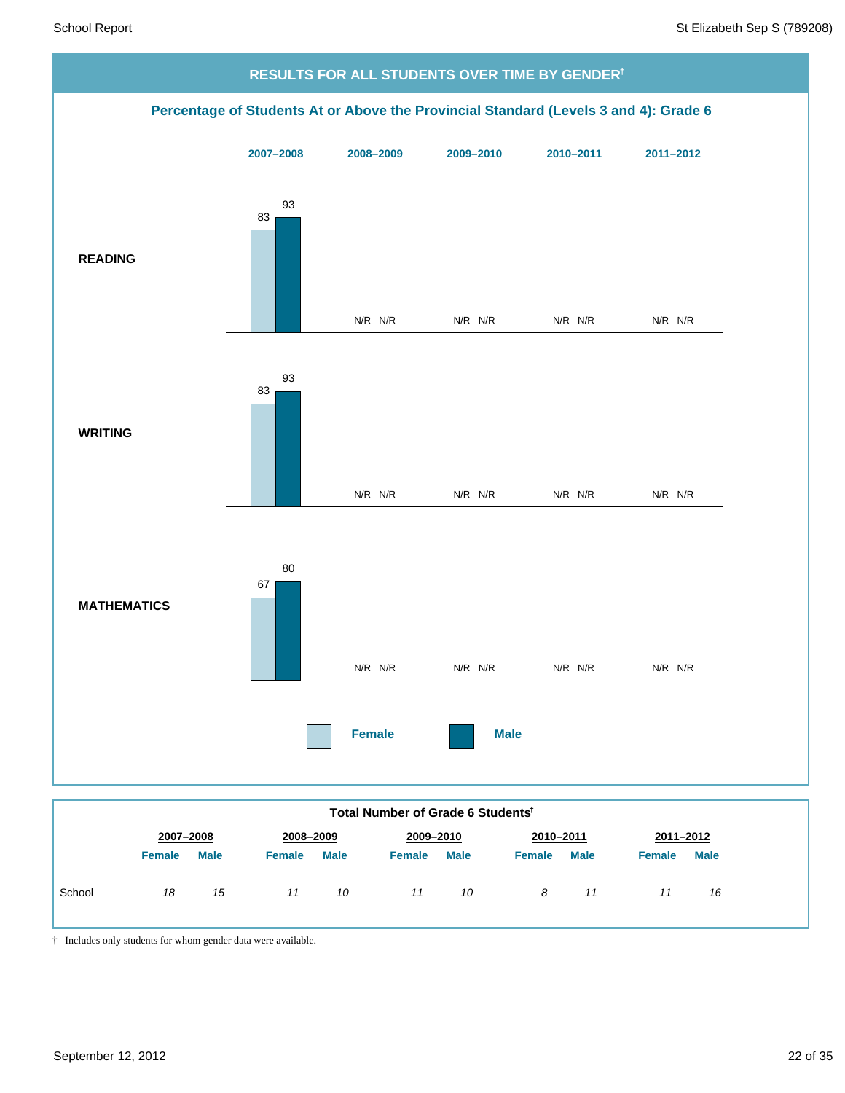

*11 10*

*8 11*

*11 16*

| † Includes only students for whom gender data were available. |
|---------------------------------------------------------------|

*18 15 11 10*

School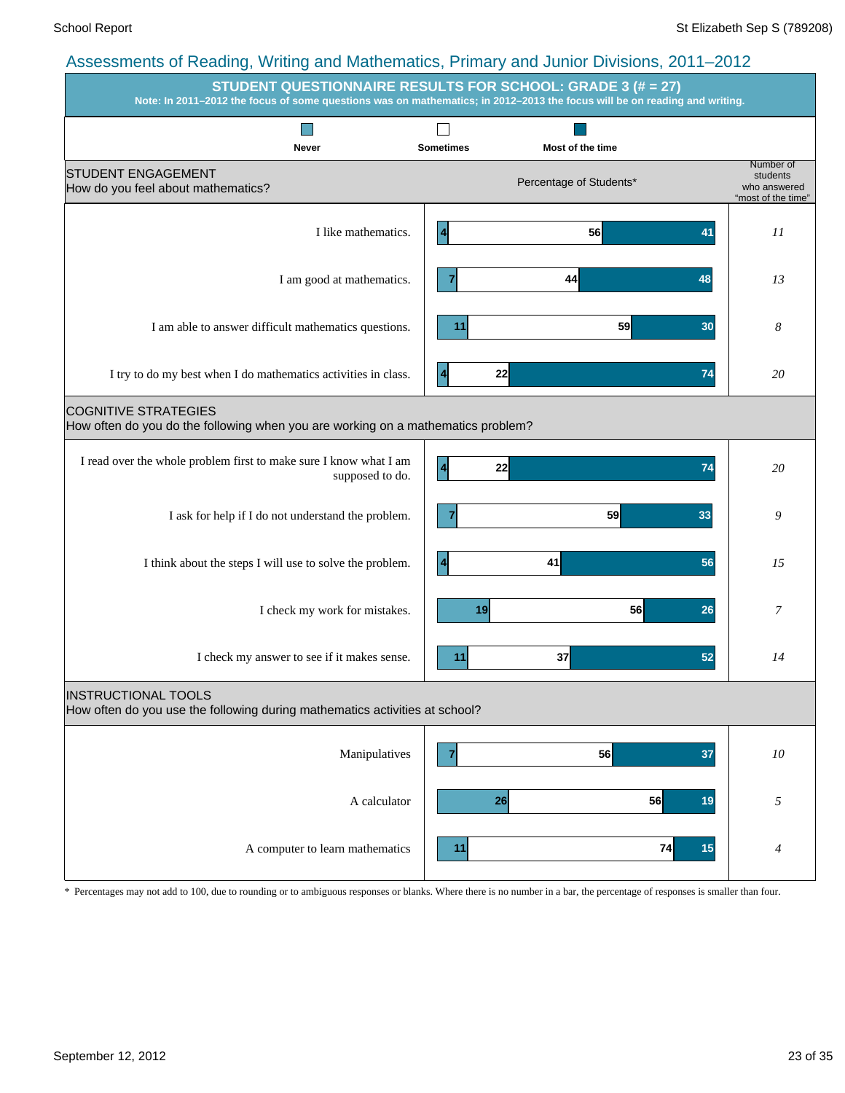|                                                                                                                 | <b>STUDENT QUESTIONNAIRE RESULTS FOR SCHOOL: GRADE 3 (# = 27)</b><br>Note: In 2011-2012 the focus of some questions was on mathematics; in 2012-2013 the focus will be on reading and writing. |                                                             |
|-----------------------------------------------------------------------------------------------------------------|------------------------------------------------------------------------------------------------------------------------------------------------------------------------------------------------|-------------------------------------------------------------|
|                                                                                                                 |                                                                                                                                                                                                |                                                             |
| <b>Never</b><br><b>STUDENT ENGAGEMENT</b><br>How do you feel about mathematics?                                 | <b>Sometimes</b><br>Most of the time<br>Percentage of Students*                                                                                                                                | Number of<br>students<br>who answered<br>"most of the time" |
| I like mathematics.                                                                                             | 56<br>41<br>4                                                                                                                                                                                  | II                                                          |
| I am good at mathematics.                                                                                       | 44<br>48                                                                                                                                                                                       | 13                                                          |
| I am able to answer difficult mathematics questions.                                                            | 59<br>11<br>30                                                                                                                                                                                 | 8                                                           |
| I try to do my best when I do mathematics activities in class.                                                  | 22<br>74<br>4                                                                                                                                                                                  | 20                                                          |
| <b>COGNITIVE STRATEGIES</b><br>How often do you do the following when you are working on a mathematics problem? |                                                                                                                                                                                                |                                                             |
| I read over the whole problem first to make sure I know what I am<br>supposed to do.                            | 22<br>74                                                                                                                                                                                       | 20                                                          |
| I ask for help if I do not understand the problem.                                                              | 59<br>33                                                                                                                                                                                       | 9                                                           |
| I think about the steps I will use to solve the problem.                                                        | 41<br>56<br>4                                                                                                                                                                                  | 15                                                          |
| I check my work for mistakes.                                                                                   | 56<br>26<br>19                                                                                                                                                                                 | 7                                                           |
| I check my answer to see if it makes sense.                                                                     | 37<br>52<br>11                                                                                                                                                                                 | 14                                                          |
| <b>INSTRUCTIONAL TOOLS</b><br>How often do you use the following during mathematics activities at school?       |                                                                                                                                                                                                |                                                             |
| Manipulatives                                                                                                   | 37<br>56<br>7                                                                                                                                                                                  | ${\it 10}$                                                  |
| A calculator                                                                                                    | 56<br>26<br>19                                                                                                                                                                                 | 5                                                           |
| A computer to learn mathematics                                                                                 | 74<br>11<br>15                                                                                                                                                                                 | 4                                                           |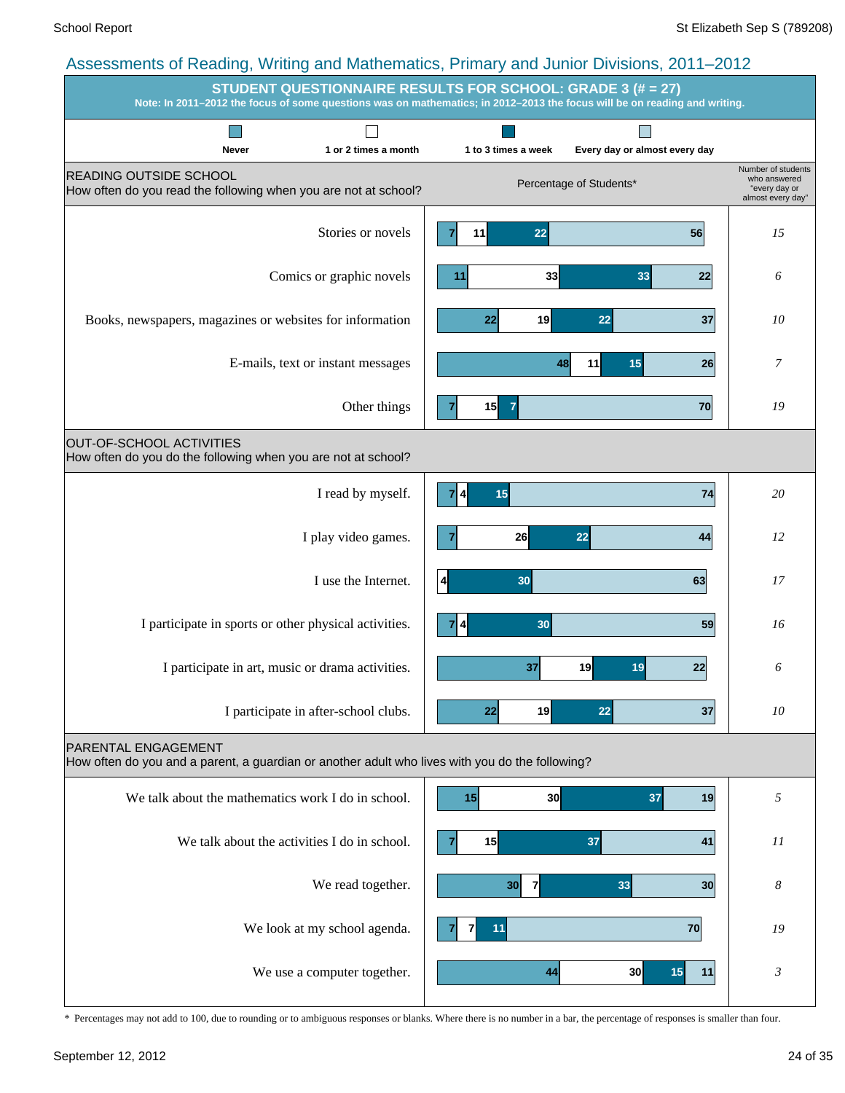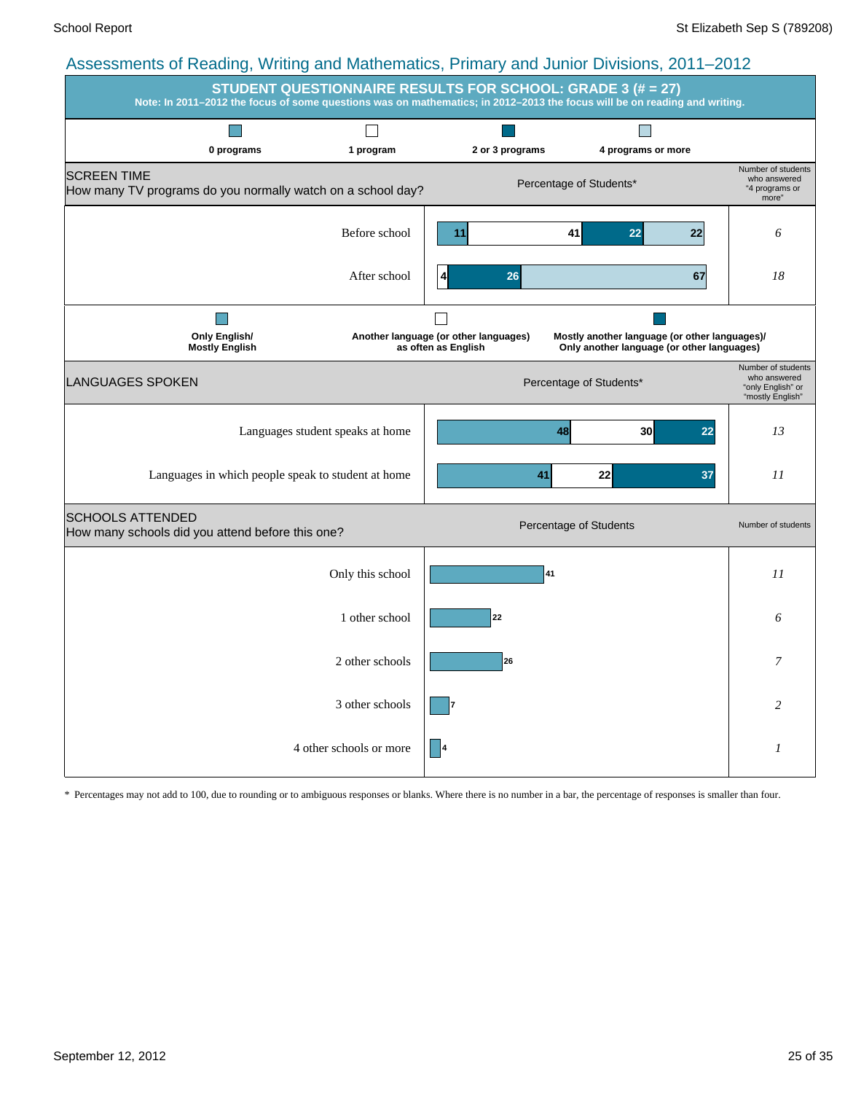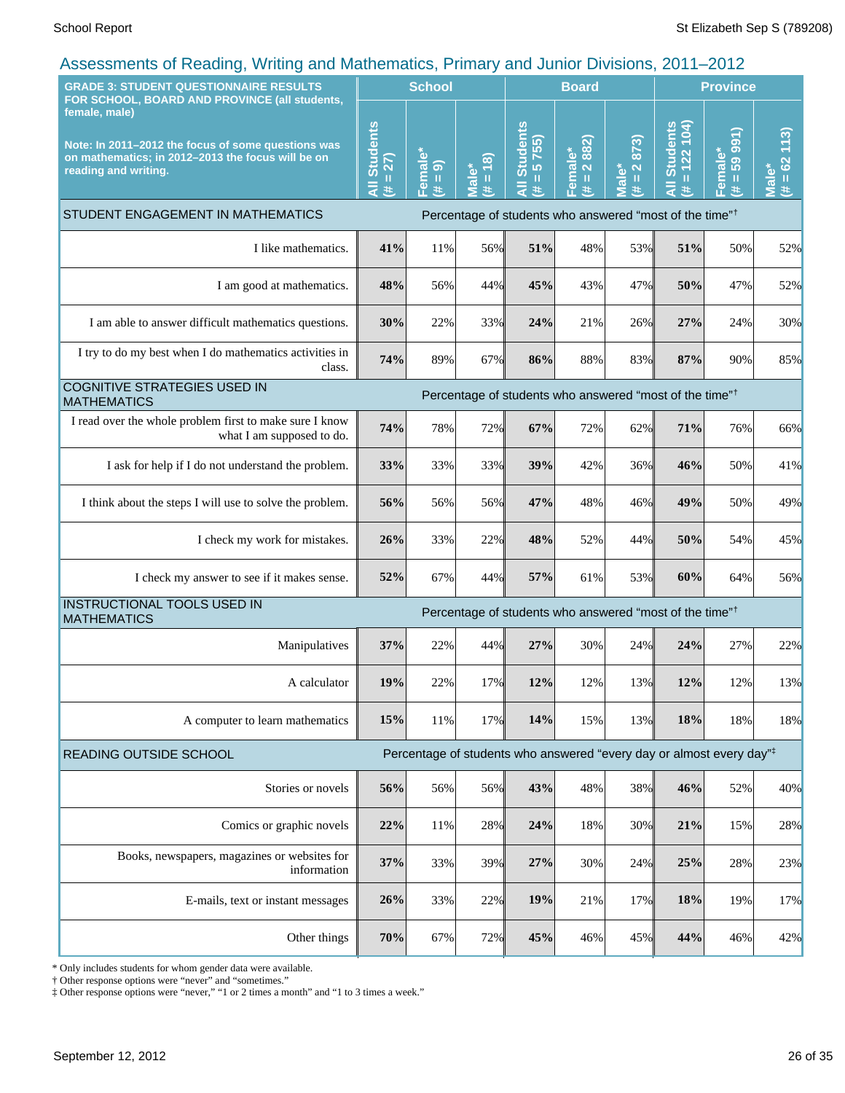| coopernotic of Hodding; Thinking and Mathomatico; Finnary and bannot Britishio; Lot it<br><b>GRADE 3: STUDENT QUESTIONNAIRE RESULTS</b>                                                           |                                                                                                                                                                                                                                                                                         | <b>School</b>      |                                                                                                                                                                                                                                                                          |                                                 | <b>Board</b>                        |                                                                                                 | <b>Province</b>                                                                  |                              |                                                                                     |
|---------------------------------------------------------------------------------------------------------------------------------------------------------------------------------------------------|-----------------------------------------------------------------------------------------------------------------------------------------------------------------------------------------------------------------------------------------------------------------------------------------|--------------------|--------------------------------------------------------------------------------------------------------------------------------------------------------------------------------------------------------------------------------------------------------------------------|-------------------------------------------------|-------------------------------------|-------------------------------------------------------------------------------------------------|----------------------------------------------------------------------------------|------------------------------|-------------------------------------------------------------------------------------|
| FOR SCHOOL, BOARD AND PROVINCE (all students,<br>female, male)<br>Note: In 2011-2012 the focus of some questions was<br>on mathematics; in 2012-2013 the focus will be on<br>reading and writing. | <b>Students</b><br>27)<br>$\mathbf{H}% =\mathbf{H}^{T}\mathbf{v}^{T}\mathbf{v}^{T}\mathbf{v}^{T}+\mathbf{H}^{T}\mathbf{v}^{T}\mathbf{v}^{T}+\mathbf{H}^{T}\mathbf{v}^{T}\mathbf{v}^{T}+\mathbf{H}^{T}\mathbf{v}^{T}\mathbf{v}^{T}+\mathbf{H}^{T}\mathbf{v}^{T}\mathbf{v}^{T}$<br>Ę<br>共 | Female*<br>(# = 9) | (8)<br>Male*<br>$\mathbf{H}% =\mathbf{H}^{T}\mathbf{v}^{T}\mathbf{v}^{T}\mathbf{v}^{T}+\mathbf{H}^{T}\mathbf{v}^{T}\mathbf{v}^{T}+\mathbf{H}^{T}\mathbf{v}^{T}\mathbf{v}^{T}+\mathbf{H}^{T}\mathbf{v}^{T}\mathbf{v}^{T}+\mathbf{H}^{T}\mathbf{v}^{T}\mathbf{v}^{T}$<br>进 | <b>Students</b><br>5755)<br>Ш<br>$\bar{a}$<br>进 | 2 882)<br>Female*<br>$\rm{II}$<br>巷 | 873)<br>$\overline{\mathbf{N}}$<br>$\mathbf{r}^*$<br>$\rm{II}$<br>$\bar{\bar{\mathbf{v}}}$<br>共 | <b>Students</b><br>$= 122 104$<br>Ę<br>共                                         | 59 991)<br>Female*<br>Ш<br>巷 | (113)<br>$\boldsymbol{\delta}$<br>$\rm{II}$<br>$\bar{\bar{\mathfrak{a}}}$<br>巷<br>Ξ |
| STUDENT ENGAGEMENT IN MATHEMATICS<br>Percentage of students who answered "most of the time" <sup>†</sup>                                                                                          |                                                                                                                                                                                                                                                                                         |                    |                                                                                                                                                                                                                                                                          |                                                 |                                     |                                                                                                 |                                                                                  |                              |                                                                                     |
| I like mathematics.                                                                                                                                                                               | 41%                                                                                                                                                                                                                                                                                     | 11%                | 56%                                                                                                                                                                                                                                                                      | 51%                                             | 48%                                 | 53%                                                                                             | 51%                                                                              | 50%                          | 52%                                                                                 |
| I am good at mathematics.                                                                                                                                                                         | 48%                                                                                                                                                                                                                                                                                     | 56%                | 44%                                                                                                                                                                                                                                                                      | 45%                                             | 43%                                 | 47%                                                                                             | 50%                                                                              | 47%                          | 52%                                                                                 |
| I am able to answer difficult mathematics questions.                                                                                                                                              | 30%                                                                                                                                                                                                                                                                                     | 22%                | 33%                                                                                                                                                                                                                                                                      | 24%                                             | 21%                                 | 26%                                                                                             | 27%                                                                              | 24%                          | 30%                                                                                 |
| I try to do my best when I do mathematics activities in<br>class.                                                                                                                                 | 74%                                                                                                                                                                                                                                                                                     | 89%                | 67%                                                                                                                                                                                                                                                                      | 86%                                             | 88%                                 | 83%                                                                                             | 87%                                                                              | 90%                          | 85%                                                                                 |
| <b>COGNITIVE STRATEGIES USED IN</b><br>Percentage of students who answered "most of the time" <sup>†</sup><br><b>MATHEMATICS</b>                                                                  |                                                                                                                                                                                                                                                                                         |                    |                                                                                                                                                                                                                                                                          |                                                 |                                     |                                                                                                 |                                                                                  |                              |                                                                                     |
| I read over the whole problem first to make sure I know<br>what I am supposed to do.                                                                                                              | 74%                                                                                                                                                                                                                                                                                     | 78%                | 72%                                                                                                                                                                                                                                                                      | 67%                                             | 72%                                 | 62%                                                                                             | 71%                                                                              | 76%                          | 66%                                                                                 |
| I ask for help if I do not understand the problem.                                                                                                                                                | 33%                                                                                                                                                                                                                                                                                     | 33%                | 33%                                                                                                                                                                                                                                                                      | 39%                                             | 42%                                 | 36%                                                                                             | 46%                                                                              | 50%                          | 41%                                                                                 |
| I think about the steps I will use to solve the problem.                                                                                                                                          | 56%                                                                                                                                                                                                                                                                                     | 56%                | 56%                                                                                                                                                                                                                                                                      | 47%                                             | 48%                                 | 46%                                                                                             | 49%                                                                              | 50%                          | 49%                                                                                 |
| I check my work for mistakes.                                                                                                                                                                     | 26%                                                                                                                                                                                                                                                                                     | 33%                | 22%                                                                                                                                                                                                                                                                      | 48%                                             | 52%                                 | 44%                                                                                             | 50%                                                                              | 54%                          | 45%                                                                                 |
| I check my answer to see if it makes sense.                                                                                                                                                       | 52%                                                                                                                                                                                                                                                                                     | 67%                | 44%                                                                                                                                                                                                                                                                      | 57%                                             | 61%                                 | 53%                                                                                             | 60%                                                                              | 64%                          | 56%                                                                                 |
| INSTRUCTIONAL TOOLS USED IN<br><b>MATHEMATICS</b>                                                                                                                                                 |                                                                                                                                                                                                                                                                                         |                    |                                                                                                                                                                                                                                                                          |                                                 |                                     |                                                                                                 | Percentage of students who answered "most of the time" <sup>†</sup>              |                              |                                                                                     |
| Manipulatives                                                                                                                                                                                     | 37%                                                                                                                                                                                                                                                                                     | 22%                | 44%                                                                                                                                                                                                                                                                      | 27%                                             | 30%                                 | 24%                                                                                             | 24%                                                                              | 27%                          | 22%                                                                                 |
| A calculator                                                                                                                                                                                      | 19%                                                                                                                                                                                                                                                                                     | 22%                | 17%                                                                                                                                                                                                                                                                      | 12%                                             | 12%                                 | 13%                                                                                             | 12%                                                                              | 12%                          | 13%                                                                                 |
| A computer to learn mathematics                                                                                                                                                                   | 15%                                                                                                                                                                                                                                                                                     | 11%                | 17%                                                                                                                                                                                                                                                                      | 14%                                             | 15%                                 | 13%                                                                                             | 18%                                                                              | 18%                          | 18%                                                                                 |
| READING OUTSIDE SCHOOL                                                                                                                                                                            |                                                                                                                                                                                                                                                                                         |                    |                                                                                                                                                                                                                                                                          |                                                 |                                     |                                                                                                 | Percentage of students who answered "every day or almost every day" <sup>‡</sup> |                              |                                                                                     |
| Stories or novels                                                                                                                                                                                 | 56%                                                                                                                                                                                                                                                                                     | 56%                | 56%                                                                                                                                                                                                                                                                      | 43%                                             | 48%                                 | 38%                                                                                             | 46%                                                                              | 52%                          | 40%                                                                                 |
| Comics or graphic novels                                                                                                                                                                          | 22%                                                                                                                                                                                                                                                                                     | $11\%$             | 28%                                                                                                                                                                                                                                                                      | 24%                                             | 18%                                 | 30%                                                                                             | 21%                                                                              | 15%                          | 28%                                                                                 |
| Books, newspapers, magazines or websites for<br>information                                                                                                                                       | 37%                                                                                                                                                                                                                                                                                     | 33%                | 39%                                                                                                                                                                                                                                                                      | 27%                                             | 30%                                 | 24%                                                                                             | 25%                                                                              | 28%                          | 23%                                                                                 |
| E-mails, text or instant messages                                                                                                                                                                 | 26%                                                                                                                                                                                                                                                                                     | 33%                | 22%                                                                                                                                                                                                                                                                      | 19%                                             | 21%                                 | 17%                                                                                             | 18%                                                                              | 19%                          | 17%                                                                                 |
| Other things                                                                                                                                                                                      | 70%                                                                                                                                                                                                                                                                                     | 67%                | 72%                                                                                                                                                                                                                                                                      | 45%                                             | 46%                                 | 45%                                                                                             | 44%                                                                              | 46%                          | 42%                                                                                 |

\* Only includes students for whom gender data were available.

† Other response options were "never" and "sometimes."

‡ Other response options were "never," "1 or 2 times a month" and "1 to 3 times a week."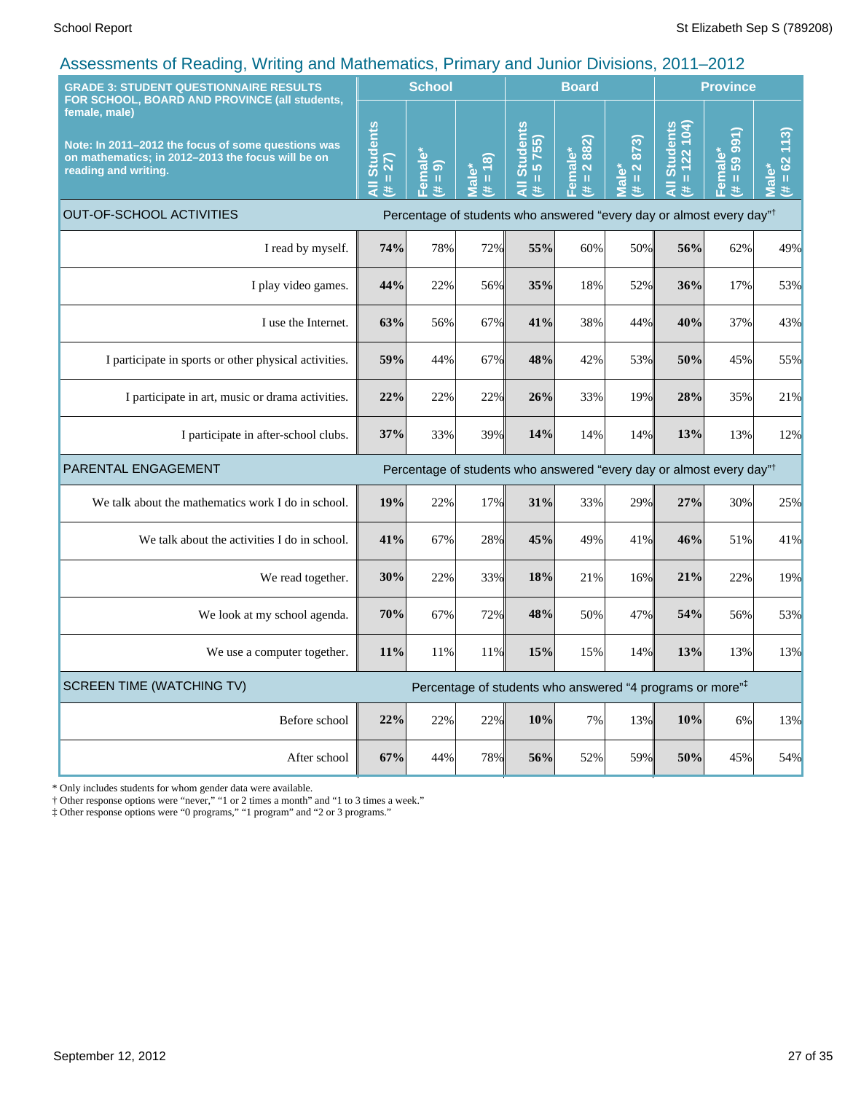| <b>GRADE 3: STUDENT QUESTIONNAIRE RESULTS</b><br>FOR SCHOOL, BOARD AND PROVINCE (all students,                                                   |                                                              | <b>School</b>      |                                                              | <b>Board</b>                                                                     |                                  |                                                                                   | <b>Province</b>                                                 |                                                                                                                                                                                                                                                                                                                                                                                                                                                                                                                                            |                                    |
|--------------------------------------------------------------------------------------------------------------------------------------------------|--------------------------------------------------------------|--------------------|--------------------------------------------------------------|----------------------------------------------------------------------------------|----------------------------------|-----------------------------------------------------------------------------------|-----------------------------------------------------------------|--------------------------------------------------------------------------------------------------------------------------------------------------------------------------------------------------------------------------------------------------------------------------------------------------------------------------------------------------------------------------------------------------------------------------------------------------------------------------------------------------------------------------------------------|------------------------------------|
| female, male)<br>Note: In 2011-2012 the focus of some questions was<br>on mathematics; in 2012-2013 the focus will be on<br>reading and writing. | <b>Students</b><br>27)<br>$\mathbf u$<br>$\frac{1}{4}$<br>y. | Female*<br>(# = 9) | (8)<br>ťΦ<br>$\mathbf{u}$<br>$\overline{\overline{B}}$<br>¥. | <b>Students</b><br>5755)<br>$\rm{II}$<br>¥.                                      | 2 882)<br>Female*<br>$\,$ H<br>美 | 873)<br>$\overline{\mathbf{N}}$<br>Male <sup>*</sup><br>$\mathbf{u}$<br>$\ddot{}$ | <b>Students</b><br>122104<br>$\mathbf{u}$<br>$\frac{1}{4}$<br>共 | 991)<br>Female*<br>59<br>$\mathbf{H}% _{0}\left( t\right) \equiv\mathbf{H}_{0}\left( t\right) \equiv\mathbf{H}_{0}\left( t\right) \equiv\mathbf{H}_{0}\left( t\right) \equiv\mathbf{H}_{0}\left( t\right) \equiv\mathbf{H}_{0}\left( t\right) \equiv\mathbf{H}_{0}\left( t\right) \equiv\mathbf{H}_{0}\left( t\right) \equiv\mathbf{H}_{0}\left( t\right) \equiv\mathbf{H}_{0}\left( t\right) \equiv\mathbf{H}_{0}\left( t\right) \equiv\mathbf{H}_{0}\left( t\right) \equiv\mathbf{H}_{0}\left( t\right) \equiv\mathbf{H}_{0}\left($<br>美 | 113<br>62<br>Male<br>$\frac{1}{1}$ |
| <b>OUT-OF-SCHOOL ACTIVITIES</b><br>Percentage of students who answered "every day or almost every day" <sup>†</sup>                              |                                                              |                    |                                                              |                                                                                  |                                  |                                                                                   |                                                                 |                                                                                                                                                                                                                                                                                                                                                                                                                                                                                                                                            |                                    |
| I read by myself.                                                                                                                                | 74%                                                          | 78%                | 72%                                                          | 55%                                                                              | 60%                              | 50%                                                                               | 56%                                                             | 62%                                                                                                                                                                                                                                                                                                                                                                                                                                                                                                                                        | 49%                                |
| I play video games.                                                                                                                              | 44%                                                          | 22%                | 56%                                                          | 35%                                                                              | 18%                              | 52%                                                                               | 36%                                                             | 17%                                                                                                                                                                                                                                                                                                                                                                                                                                                                                                                                        | 53%                                |
| I use the Internet.                                                                                                                              | 63%                                                          | 56%                | 67%                                                          | 41%                                                                              | 38%                              | 44%                                                                               | 40%                                                             | 37%                                                                                                                                                                                                                                                                                                                                                                                                                                                                                                                                        | 43%                                |
| I participate in sports or other physical activities.                                                                                            | 59%                                                          | 44%                | 67%                                                          | 48%                                                                              | 42%                              | 53%                                                                               | 50%                                                             | 45%                                                                                                                                                                                                                                                                                                                                                                                                                                                                                                                                        | 55%                                |
| I participate in art, music or drama activities.                                                                                                 | 22%                                                          | 22%                | 22%                                                          | 26%                                                                              | 33%                              | 19%                                                                               | 28%                                                             | 35%                                                                                                                                                                                                                                                                                                                                                                                                                                                                                                                                        | 21%                                |
| I participate in after-school clubs.                                                                                                             | 37%                                                          | 33%                | 39%                                                          | 14%                                                                              | 14%                              | 14%                                                                               | 13%                                                             | 13%                                                                                                                                                                                                                                                                                                                                                                                                                                                                                                                                        | 12%                                |
| PARENTAL ENGAGEMENT                                                                                                                              |                                                              |                    |                                                              | Percentage of students who answered "every day or almost every day" <sup>†</sup> |                                  |                                                                                   |                                                                 |                                                                                                                                                                                                                                                                                                                                                                                                                                                                                                                                            |                                    |
| We talk about the mathematics work I do in school.                                                                                               | 19%                                                          | 22%                | 17%                                                          | 31%                                                                              | 33%                              | 29%                                                                               | 27%                                                             | 30%                                                                                                                                                                                                                                                                                                                                                                                                                                                                                                                                        | 25%                                |
| We talk about the activities I do in school.                                                                                                     | 41%                                                          | 67%                | 28%                                                          | 45%                                                                              | 49%                              | 41%                                                                               | 46%                                                             | 51%                                                                                                                                                                                                                                                                                                                                                                                                                                                                                                                                        | 41%                                |
| We read together.                                                                                                                                | 30%                                                          | 22%                | 33%                                                          | 18%                                                                              | 21%                              | 16%                                                                               | 21%                                                             | 22%                                                                                                                                                                                                                                                                                                                                                                                                                                                                                                                                        | 19%                                |
| We look at my school agenda.                                                                                                                     | 70%                                                          | 67%                | 72%                                                          | 48%                                                                              | 50%                              | 47%                                                                               | 54%                                                             | 56%                                                                                                                                                                                                                                                                                                                                                                                                                                                                                                                                        | 53%                                |
| We use a computer together.                                                                                                                      | 11%                                                          | 11%                | 11%                                                          | 15%                                                                              | 15%                              | 14%                                                                               | 13%                                                             | 13%                                                                                                                                                                                                                                                                                                                                                                                                                                                                                                                                        | 13%                                |
| <b>SCREEN TIME (WATCHING TV)</b>                                                                                                                 |                                                              |                    |                                                              | Percentage of students who answered "4 programs or more" <sup>‡</sup>            |                                  |                                                                                   |                                                                 |                                                                                                                                                                                                                                                                                                                                                                                                                                                                                                                                            |                                    |
| Before school                                                                                                                                    | 22%                                                          | 22%                | 22%                                                          | 10%                                                                              | 7%                               | 13%                                                                               | 10%                                                             | 6%                                                                                                                                                                                                                                                                                                                                                                                                                                                                                                                                         | 13%                                |
| After school                                                                                                                                     | 67%                                                          | 44%                | 78%                                                          | 56%                                                                              | 52%                              | 59%                                                                               | 50%                                                             | 45%                                                                                                                                                                                                                                                                                                                                                                                                                                                                                                                                        | 54%                                |

\* Only includes students for whom gender data were available.

† Other response options were "never," "1 or 2 times a month" and "1 to 3 times a week."

‡ Other response options were "0 programs," "1 program" and "2 or 3 programs."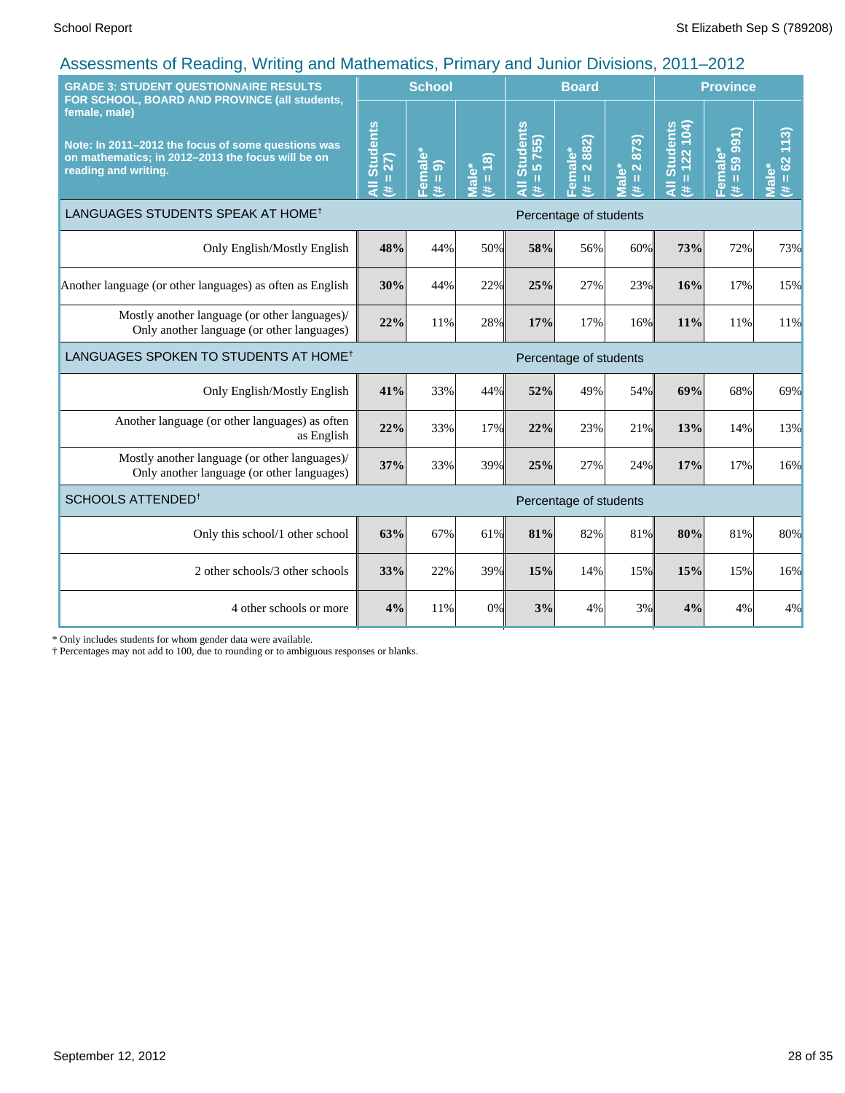| <b>GRADE 3: STUDENT QUESTIONNAIRE RESULTS</b><br>FOR SCHOOL, BOARD AND PROVINCE (all students,                                                   |                                              | <b>School</b>                      |                     |                                    | <b>Board</b>                                                               | <b>Province</b>                           |                                         |                                      |                                     |
|--------------------------------------------------------------------------------------------------------------------------------------------------|----------------------------------------------|------------------------------------|---------------------|------------------------------------|----------------------------------------------------------------------------|-------------------------------------------|-----------------------------------------|--------------------------------------|-------------------------------------|
| female, male)<br>Note: In 2011-2012 the focus of some questions was<br>on mathematics; in 2012-2013 the focus will be on<br>reading and writing. | <b>Students</b><br>$= 27$<br>$\bar{a}$<br>y. | <sup>≒</sup> emale*<br>ெ<br>Ш<br>共 | $(81 = #)$<br>Male* | <b>Students</b><br>5755)<br>Ш<br>共 | 882)<br><mark>-emale*</mark><br>$\ddot{\sim}$<br>$\mathbf{H}$<br>$\ddot{}$ | 873)<br>$\mathbf{\Omega}$<br>Viale*<br>世地 | <b>All Students</b><br>$= 122 104$<br>共 | 991)<br>Female*<br>59<br>$\,$ H<br>共 | 113)<br>$= 62$<br><b>Male*</b><br>艺 |
| LANGUAGES STUDENTS SPEAK AT HOME <sup>†</sup>                                                                                                    |                                              |                                    |                     |                                    | Percentage of students                                                     |                                           |                                         |                                      |                                     |
| Only English/Mostly English                                                                                                                      | 48%                                          | 44%                                | 50%                 | 58%                                | 56%                                                                        | 60%                                       | 73%                                     | 72%                                  | 73%                                 |
| Another language (or other languages) as often as English                                                                                        | 30%                                          | 44%                                | 22%                 | 25%                                | 27%                                                                        | 23%                                       | 16%                                     | 17%                                  | 15%                                 |
| Mostly another language (or other languages)/<br>Only another language (or other languages)                                                      | 22%                                          | 11%                                | 28%                 | 17%                                | 17%                                                                        | 16%                                       | 11%                                     | 11%                                  | 11%                                 |
| LANGUAGES SPOKEN TO STUDENTS AT HOME <sup>†</sup>                                                                                                | Percentage of students                       |                                    |                     |                                    |                                                                            |                                           |                                         |                                      |                                     |
| Only English/Mostly English                                                                                                                      | 41%                                          | 33%                                | 44%                 | 52%                                | 49%                                                                        | 54%                                       | 69%                                     | 68%                                  | 69%                                 |
| Another language (or other languages) as often<br>as English                                                                                     | 22%                                          | 33%                                | 17%                 | 22%                                | 23%                                                                        | 21%                                       | 13%                                     | 14%                                  | 13%                                 |
| Mostly another language (or other languages)/<br>Only another language (or other languages)                                                      | 37%                                          | 33%                                | 39%                 | 25%                                | 27%                                                                        | 24%                                       | 17%                                     | 17%                                  | 16%                                 |
| SCHOOLS ATTENDED <sup>†</sup>                                                                                                                    |                                              |                                    |                     |                                    | Percentage of students                                                     |                                           |                                         |                                      |                                     |
| Only this school/1 other school                                                                                                                  | 63%                                          | 67%                                | 61%                 | 81%                                | 82%                                                                        | 81%                                       | 80%                                     | 81%                                  | 80%                                 |
| 2 other schools/3 other schools                                                                                                                  | 33%                                          | 22%                                | 39%                 | 15%                                | 14%                                                                        | 15%                                       | 15%                                     | 15%                                  | 16%                                 |
| 4 other schools or more                                                                                                                          | 4%                                           | 11%                                | 0%                  | 3%                                 | 4%                                                                         | 3%                                        | 4%                                      | 4%                                   | 4%                                  |

\* Only includes students for whom gender data were available.

† Percentages may not add to 100, due to rounding or to ambiguous responses or blanks.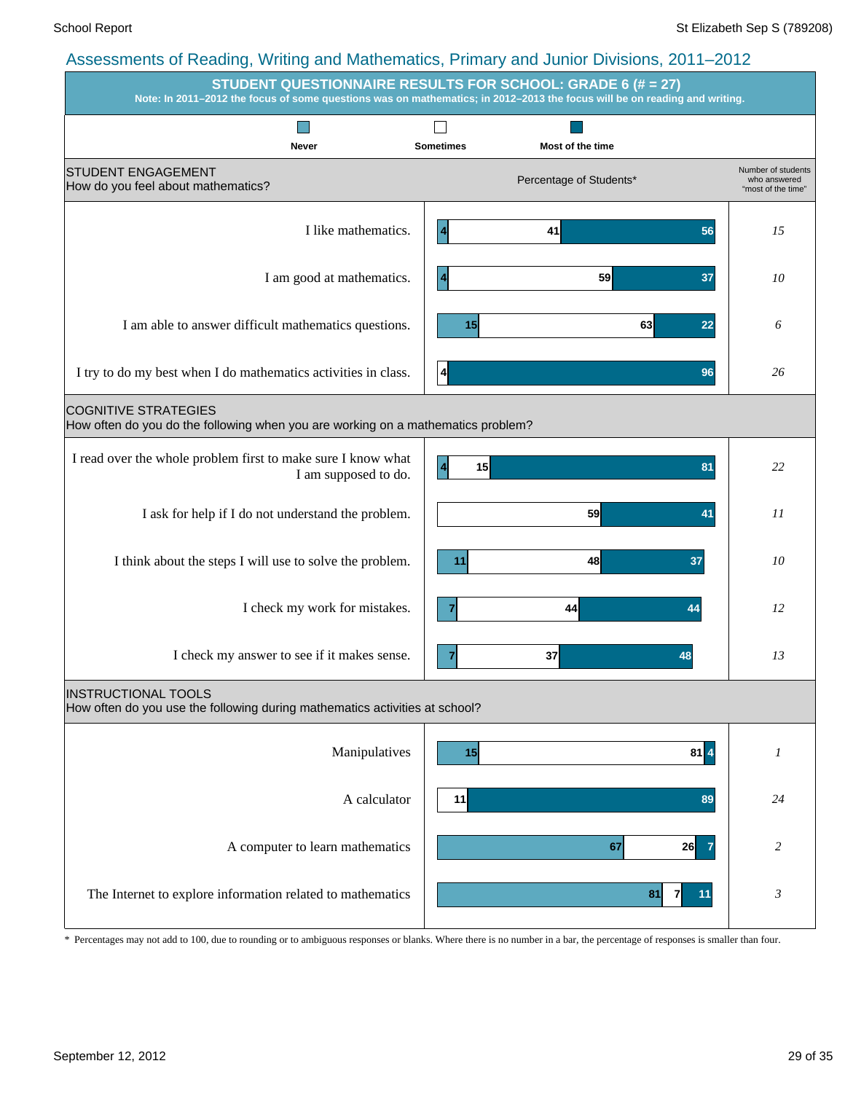|                                                                                                                 | $\ldots$ $\ldots$ $\ldots$ $\ldots$ $\ldots$ $\ldots$ $\ldots$ $\ldots$ $\ldots$ $\ldots$ $\ldots$ $\ldots$ $\ldots$ $\ldots$<br><b>STUDENT QUESTIONNAIRE RESULTS FOR SCHOOL: GRADE 6 (# = 27)</b><br>Note: In 2011-2012 the focus of some questions was on mathematics; in 2012-2013 the focus will be on reading and writing. |                                                          |
|-----------------------------------------------------------------------------------------------------------------|---------------------------------------------------------------------------------------------------------------------------------------------------------------------------------------------------------------------------------------------------------------------------------------------------------------------------------|----------------------------------------------------------|
|                                                                                                                 |                                                                                                                                                                                                                                                                                                                                 |                                                          |
| Never<br><b>STUDENT ENGAGEMENT</b><br>How do you feel about mathematics?                                        | <b>Sometimes</b><br>Most of the time<br>Percentage of Students*                                                                                                                                                                                                                                                                 | Number of students<br>who answered<br>"most of the time" |
| I like mathematics.                                                                                             | $\overline{4}$<br>41<br>56                                                                                                                                                                                                                                                                                                      | 15                                                       |
| I am good at mathematics.                                                                                       | 59<br>37<br>$\overline{4}$                                                                                                                                                                                                                                                                                                      | 10                                                       |
| I am able to answer difficult mathematics questions.                                                            | 63<br>15<br>22                                                                                                                                                                                                                                                                                                                  | 6                                                        |
| I try to do my best when I do mathematics activities in class.                                                  | 4<br>96                                                                                                                                                                                                                                                                                                                         | 26                                                       |
| <b>COGNITIVE STRATEGIES</b><br>How often do you do the following when you are working on a mathematics problem? |                                                                                                                                                                                                                                                                                                                                 |                                                          |
| I read over the whole problem first to make sure I know what<br>I am supposed to do.                            | 15<br>$\overline{4}$<br>81                                                                                                                                                                                                                                                                                                      | 22                                                       |
| I ask for help if I do not understand the problem.                                                              | 59<br>41                                                                                                                                                                                                                                                                                                                        | 11                                                       |
| I think about the steps I will use to solve the problem.                                                        | 48<br>37<br>11                                                                                                                                                                                                                                                                                                                  | 10                                                       |
| I check my work for mistakes.                                                                                   | 44<br>44                                                                                                                                                                                                                                                                                                                        | 12                                                       |
| I check my answer to see if it makes sense.                                                                     | 37<br>48                                                                                                                                                                                                                                                                                                                        | 13                                                       |
| <b>INSTRUCTIONAL TOOLS</b><br>How often do you use the following during mathematics activities at school?       |                                                                                                                                                                                                                                                                                                                                 |                                                          |
| Manipulatives                                                                                                   | $81$ $4$<br>15                                                                                                                                                                                                                                                                                                                  | $\boldsymbol{l}$                                         |
| A calculator                                                                                                    | 89<br>11                                                                                                                                                                                                                                                                                                                        | 24                                                       |
| A computer to learn mathematics                                                                                 | 67<br>26                                                                                                                                                                                                                                                                                                                        | $\overline{c}$                                           |
| The Internet to explore information related to mathematics                                                      | 81<br>71<br>11                                                                                                                                                                                                                                                                                                                  | $\mathfrak{Z}$                                           |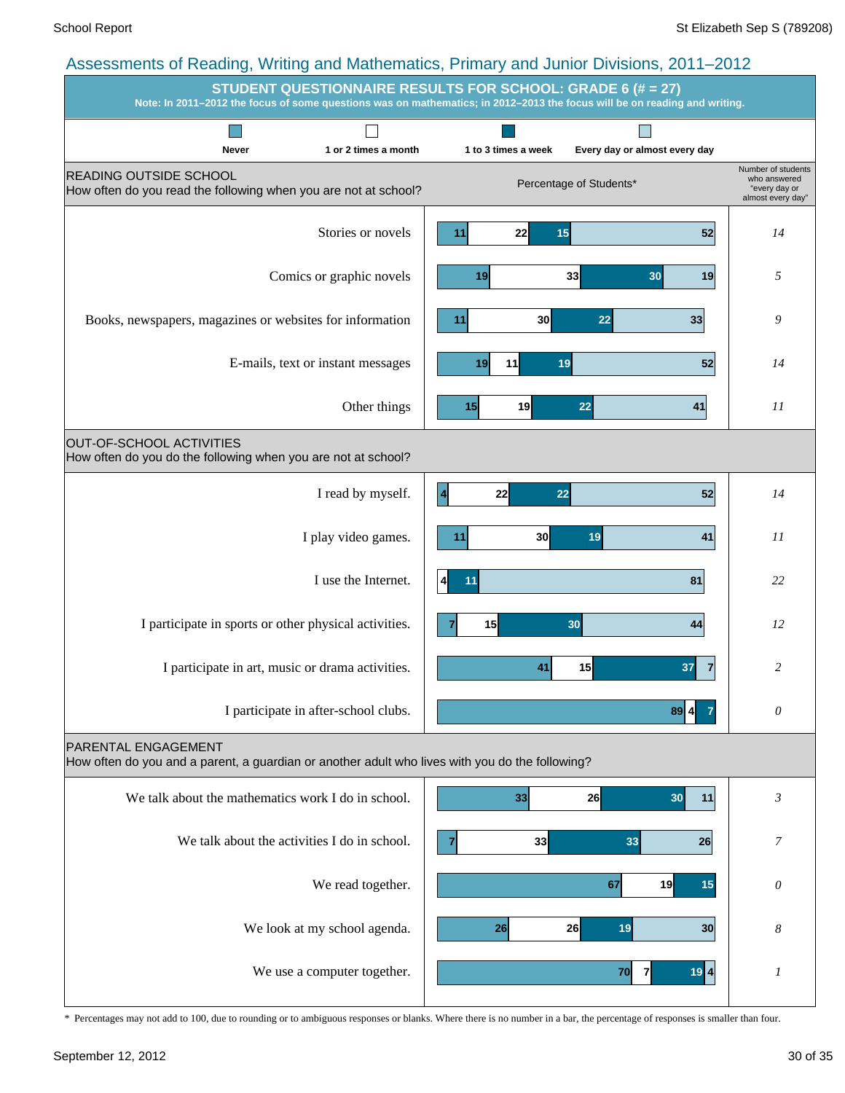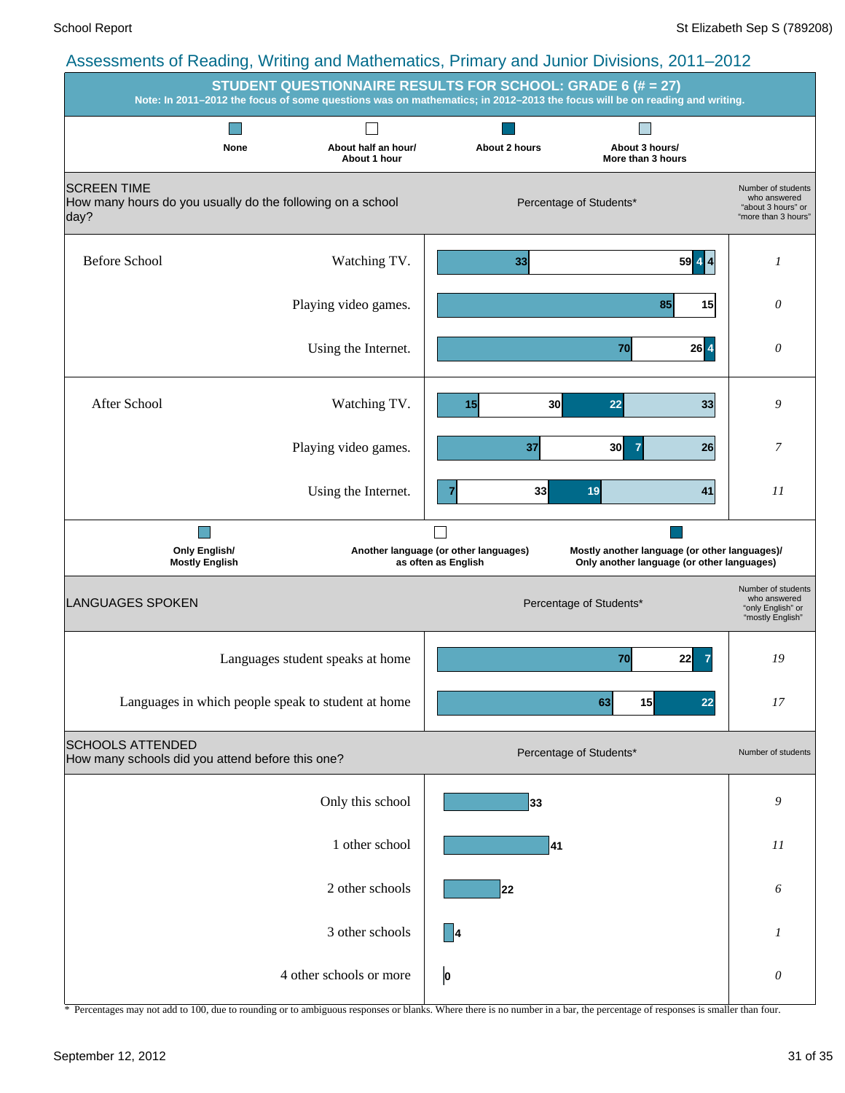| Note: In 2011-2012 the focus of some questions was on mathematics; in 2012-2013 the focus will be on reading and writing. |                                     | <b>STUDENT QUESTIONNAIRE RESULTS FOR SCHOOL: GRADE 6 (# = 27)</b> |                                                                                             |                                                                                 |
|---------------------------------------------------------------------------------------------------------------------------|-------------------------------------|-------------------------------------------------------------------|---------------------------------------------------------------------------------------------|---------------------------------------------------------------------------------|
| None                                                                                                                      | About half an hour/<br>About 1 hour | About 2 hours                                                     | About 3 hours/<br>More than 3 hours                                                         |                                                                                 |
| <b>SCREEN TIME</b><br>How many hours do you usually do the following on a school<br>day?                                  |                                     |                                                                   | Percentage of Students*                                                                     | Number of students<br>who answered<br>"about 3 hours" or<br>"more than 3 hours" |
| <b>Before School</b>                                                                                                      | Watching TV.                        | 33                                                                | $59$ 4 4                                                                                    | 1                                                                               |
|                                                                                                                           | Playing video games.                |                                                                   | 85<br>15                                                                                    | $\theta$                                                                        |
|                                                                                                                           | Using the Internet.                 |                                                                   | $26$ $4$<br>70                                                                              | $\theta$                                                                        |
| After School                                                                                                              | Watching TV.                        | 30<br>15                                                          | 22<br>33                                                                                    | 9                                                                               |
|                                                                                                                           | Playing video games.                | 37                                                                | 30<br>26                                                                                    | 7                                                                               |
|                                                                                                                           | Using the Internet.                 | 33                                                                | 19<br>41                                                                                    | II                                                                              |
| Only English/<br><b>Mostly English</b>                                                                                    |                                     | Another language (or other languages)<br>as often as English      | Mostly another language (or other languages)/<br>Only another language (or other languages) |                                                                                 |
| <b>LANGUAGES SPOKEN</b>                                                                                                   |                                     |                                                                   | Percentage of Students*                                                                     | Number of students<br>who answered<br>"only English" or<br>"mostly English"     |
| Languages student speaks at home                                                                                          |                                     |                                                                   | 70<br>22                                                                                    | 19                                                                              |
| Languages in which people speak to student at home                                                                        |                                     |                                                                   | 15<br>63<br>22                                                                              | 17                                                                              |
| <b>SCHOOLS ATTENDED</b><br>How many schools did you attend before this one?                                               |                                     |                                                                   | Percentage of Students*                                                                     | Number of students                                                              |
|                                                                                                                           | Only this school                    | 33                                                                |                                                                                             | 9                                                                               |
|                                                                                                                           | 1 other school                      | 41                                                                |                                                                                             | 11                                                                              |
|                                                                                                                           | 2 other schools                     | 22                                                                |                                                                                             | 6                                                                               |
|                                                                                                                           | 3 other schools                     | 4                                                                 |                                                                                             | $\boldsymbol{l}$                                                                |
|                                                                                                                           | 4 other schools or more             | 0                                                                 |                                                                                             | $\theta$                                                                        |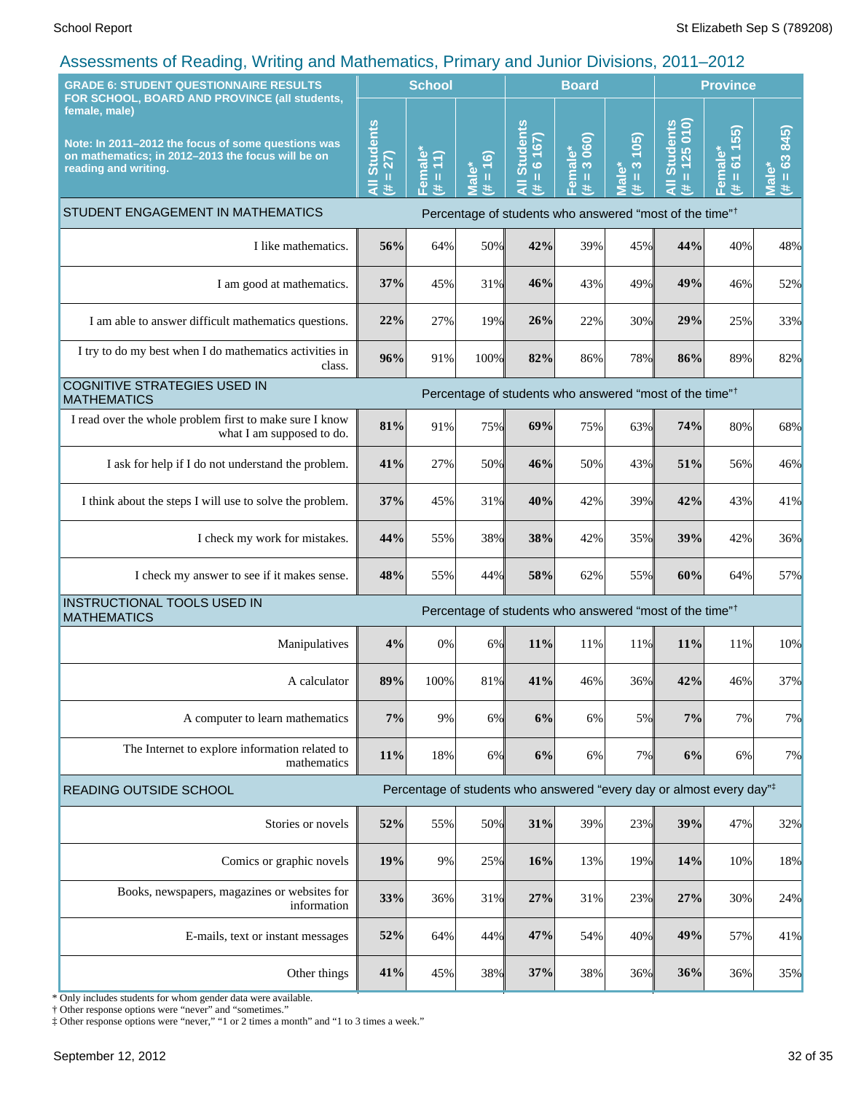| <b>GRADE 6: STUDENT QUESTIONNAIRE RESULTS</b><br>FOR SCHOOL, BOARD AND PROVINCE (all students,                                                   |                                     | <b>School</b>       |                              | <b>Board</b>                           |                                  |                                    | <b>Province</b>                                                                  |                                                                             |                                     |
|--------------------------------------------------------------------------------------------------------------------------------------------------|-------------------------------------|---------------------|------------------------------|----------------------------------------|----------------------------------|------------------------------------|----------------------------------------------------------------------------------|-----------------------------------------------------------------------------|-------------------------------------|
| female, male)<br>Note: In 2011-2012 the focus of some questions was<br>on mathematics; in 2012-2013 the focus will be on<br>reading and writing. | <b>Students</b><br>$= 27$<br>ā<br>进 | Female*<br>(# = 11) | $= 16$<br><b>Male*</b><br>y. | <b>Students</b><br>$= 6 167$<br>₹<br>进 | 3 060)<br>Female*<br>$\,$ H<br>违 | 105<br>$\frac{3}{2}$<br>Male*<br>进 | $= 125010$<br><b>Students</b><br>$\overline{a}$<br>共                             | 55)<br>$\overline{\phantom{0}}$<br>Female*<br>$\overline{6}$<br>$\,$ H<br>进 | 845)<br>$= 63$<br><b>Male*</b><br>违 |
| STUDENT ENGAGEMENT IN MATHEMATICS                                                                                                                |                                     |                     |                              |                                        |                                  |                                    | Percentage of students who answered "most of the time" <sup>†</sup>              |                                                                             |                                     |
| I like mathematics.                                                                                                                              | 56%                                 | 64%                 | 50%                          | 42%                                    | 39%                              | 45%                                | 44%                                                                              | 40%                                                                         | 48%                                 |
| I am good at mathematics.                                                                                                                        | 37%                                 | 45%                 | 31%                          | 46%                                    | 43%                              | 49%                                | 49%                                                                              | 46%                                                                         | 52%                                 |
| I am able to answer difficult mathematics questions.                                                                                             | 22%                                 | 27%                 | 19%                          | 26%                                    | 22%                              | 30%                                | 29%                                                                              | 25%                                                                         | 33%                                 |
| I try to do my best when I do mathematics activities in<br>class.                                                                                | 96%                                 | 91%                 | 100%                         | 82%                                    | 86%                              | 78%                                | 86%                                                                              | 89%                                                                         | 82%                                 |
| COGNITIVE STRATEGIES USED IN<br>Percentage of students who answered "most of the time" <sup>†</sup><br><b>MATHEMATICS</b>                        |                                     |                     |                              |                                        |                                  |                                    |                                                                                  |                                                                             |                                     |
| I read over the whole problem first to make sure I know<br>what I am supposed to do.                                                             | 81%                                 | 91%                 | 75%                          | 69%                                    | 75%                              | 63%                                | 74%                                                                              | 80%                                                                         | 68%                                 |
| I ask for help if I do not understand the problem.                                                                                               | 41%                                 | 27%                 | 50%                          | 46%                                    | 50%                              | 43%                                | 51%                                                                              | 56%                                                                         | 46%                                 |
| I think about the steps I will use to solve the problem.                                                                                         | 37%                                 | 45%                 | 31%                          | 40%                                    | 42%                              | 39%                                | 42%                                                                              | 43%                                                                         | 41%                                 |
| I check my work for mistakes.                                                                                                                    | 44%                                 | 55%                 | 38%                          | 38%                                    | 42%                              | 35%                                | 39%                                                                              | 42%                                                                         | 36%                                 |
| I check my answer to see if it makes sense.                                                                                                      | 48%                                 | 55%                 | 44%                          | 58%                                    | 62%                              | 55%                                | 60%                                                                              | 64%                                                                         | 57%                                 |
| INSTRUCTIONAL TOOLS USED IN<br><b>MATHEMATICS</b>                                                                                                |                                     |                     |                              |                                        |                                  |                                    | Percentage of students who answered "most of the time" <sup>†</sup>              |                                                                             |                                     |
| Manipulatives                                                                                                                                    | 4%                                  | 0%                  | $6\%$                        | 11%                                    | 11%                              | 11%                                | 11%                                                                              | 11%                                                                         | 10%                                 |
| A calculator                                                                                                                                     | 89%                                 | 100%                | 81%                          | 41%                                    | 46%                              | 36%                                | 42%                                                                              | 46%                                                                         | 37%                                 |
| A computer to learn mathematics                                                                                                                  | 7%                                  | 9%                  | 6%                           | 6%                                     | 6%                               | 5%                                 | 7%                                                                               | 7%                                                                          | 7%                                  |
| The Internet to explore information related to<br>mathematics                                                                                    | 11%                                 | 18%                 | $6\%$                        | 6%                                     | 6%                               | 7%                                 | 6%                                                                               | 6%                                                                          | 7%                                  |
| READING OUTSIDE SCHOOL                                                                                                                           |                                     |                     |                              |                                        |                                  |                                    | Percentage of students who answered "every day or almost every day" <sup>+</sup> |                                                                             |                                     |
| Stories or novels                                                                                                                                | 52%                                 | 55%                 | 50%                          | 31%                                    | 39%                              | 23%                                | 39%                                                                              | 47%                                                                         | 32%                                 |
| Comics or graphic novels                                                                                                                         | 19%                                 | 9%                  | 25%                          | 16%                                    | 13%                              | 19%                                | 14%                                                                              | 10%                                                                         | 18%                                 |
| Books, newspapers, magazines or websites for<br>information                                                                                      | 33%                                 | 36%                 | 31%                          | 27%                                    | 31%                              | 23%                                | 27%                                                                              | 30%                                                                         | 24%                                 |
| E-mails, text or instant messages                                                                                                                | 52%                                 | 64%                 | 44%                          | 47%                                    | 54%                              | 40%                                | 49%                                                                              | 57%                                                                         | 41%                                 |
| Other things                                                                                                                                     | 41%                                 | 45%                 | 38%                          | 37%                                    | 38%                              | 36%                                | 36%                                                                              | 36%                                                                         | 35%                                 |

\* Only includes students for whom gender data were available.

† Other response options were "never" and "sometimes."

‡ Other response options were "never," "1 or 2 times a month" and "1 to 3 times a week."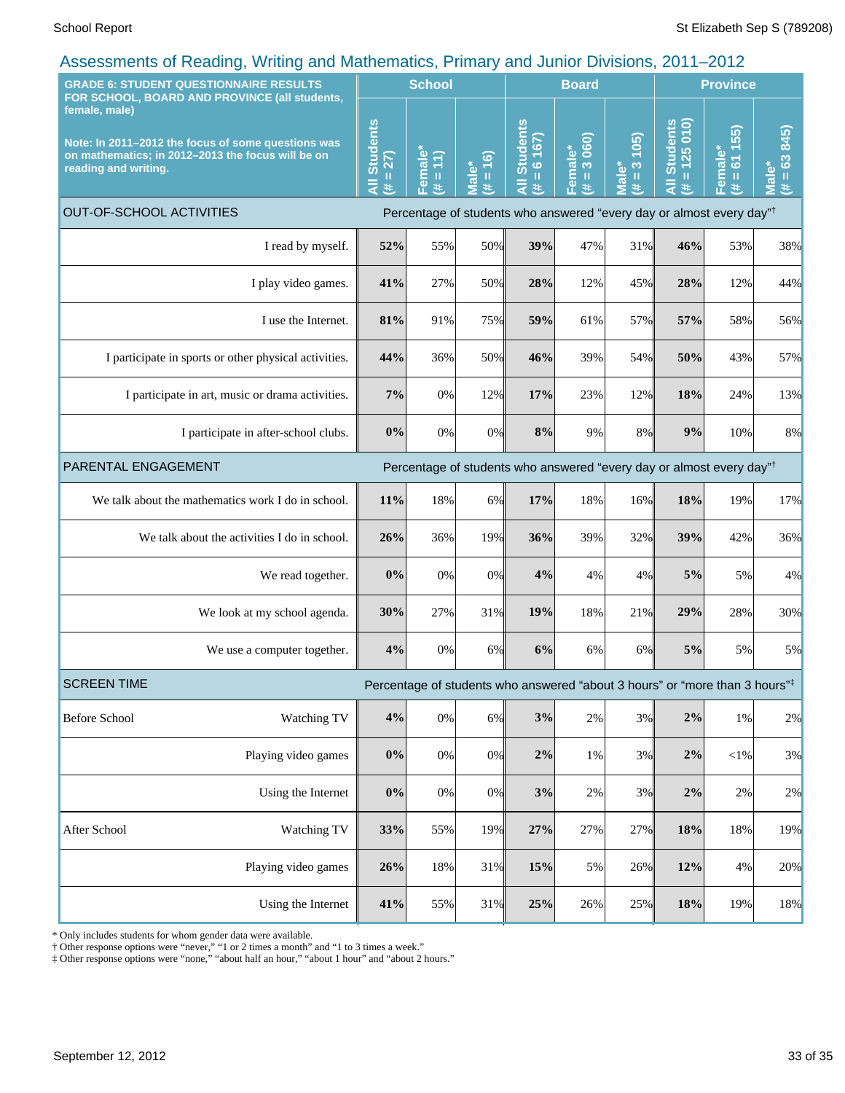| <b>GRADE 6: STUDENT QUESTIONNAIRE RESULTS</b>                                                                                                                                                     |                                                       | <b>School</b>                                    |                                                  |                             | <b>Board</b>                                                                            |                                   |                                    | <b>Province</b>                         |                                 |                                                       |
|---------------------------------------------------------------------------------------------------------------------------------------------------------------------------------------------------|-------------------------------------------------------|--------------------------------------------------|--------------------------------------------------|-----------------------------|-----------------------------------------------------------------------------------------|-----------------------------------|------------------------------------|-----------------------------------------|---------------------------------|-------------------------------------------------------|
| FOR SCHOOL, BOARD AND PROVINCE (all students,<br>female, male)<br>Note: In 2011-2012 the focus of some questions was<br>on mathematics; in 2012-2013 the focus will be on<br>reading and writing. |                                                       | <b>Students</b><br>$= 27$<br>$\overline{a}$<br>共 | Female <sup>®</sup><br>$\ket{1}$<br>$\,$ II<br>违 | $= 16$<br><b>Male*</b><br>进 | <b>Students</b><br>167<br>$rac{1}{\sqrt{2}}$<br>$\bar{a}$<br>y.                         | 3 060)<br>Female*<br>$\rm H$<br>医 | 105<br>$\frac{3}{2}$<br>Male*<br>主 | <b>Students</b><br>$= 125010$<br>Ę<br>进 | 55)<br>611<br>Female*<br>H<br>违 | 845)<br>$= 63$<br>ٶٞ<br>$\bar{\bar{\mathbf{z}}}$<br>进 |
| <b>OUT-OF-SCHOOL ACTIVITIES</b>                                                                                                                                                                   |                                                       |                                                  |                                                  |                             | Percentage of students who answered "every day or almost every day" <sup>†</sup>        |                                   |                                    |                                         |                                 |                                                       |
|                                                                                                                                                                                                   | I read by myself.                                     | 52%                                              | 55%                                              | 50%                         | 39%                                                                                     | 47%                               | 31%                                | 46%                                     | 53%                             | 38%                                                   |
|                                                                                                                                                                                                   | I play video games.                                   | 41%                                              | 27%                                              | 50%                         | 28%                                                                                     | 12%                               | 45%                                | 28%                                     | 12%                             | 44%                                                   |
|                                                                                                                                                                                                   | I use the Internet.                                   | 81%                                              | 91%                                              | 75%                         | 59%                                                                                     | 61%                               | 57%                                | 57%                                     | 58%                             | 56%                                                   |
|                                                                                                                                                                                                   | I participate in sports or other physical activities. | 44%                                              | 36%                                              | 50%                         | 46%                                                                                     | 39%                               | 54%                                | 50%                                     | 43%                             | 57%                                                   |
|                                                                                                                                                                                                   | I participate in art, music or drama activities.      | 7%                                               | 0%                                               | 12%                         | 17%                                                                                     | 23%                               | 12%                                | 18%                                     | 24%                             | 13%                                                   |
|                                                                                                                                                                                                   | I participate in after-school clubs.                  | 0%                                               | 0%                                               | 0%                          | 8%                                                                                      | 9%                                | 8%                                 | 9%                                      | 10%                             | 8%                                                    |
| PARENTAL ENGAGEMENT<br>Percentage of students who answered "every day or almost every day" <sup>†</sup>                                                                                           |                                                       |                                                  |                                                  |                             |                                                                                         |                                   |                                    |                                         |                                 |                                                       |
|                                                                                                                                                                                                   | We talk about the mathematics work I do in school.    | 11%                                              | 18%                                              | $6\%$                       | 17%                                                                                     | 18%                               | 16%                                | 18%                                     | 19%                             | 17%                                                   |
|                                                                                                                                                                                                   | We talk about the activities I do in school.          | 26%                                              | 36%                                              | 19%                         | 36%                                                                                     | 39%                               | 32%                                | 39%                                     | 42%                             | 36%                                                   |
|                                                                                                                                                                                                   | We read together.                                     | 0%                                               | 0%                                               | 0%                          | 4%                                                                                      | 4%                                | 4%                                 | 5%                                      | 5%                              | 4%                                                    |
|                                                                                                                                                                                                   | We look at my school agenda.                          | 30%                                              | 27%                                              | 31%                         | 19%                                                                                     | 18%                               | 21%                                | 29%                                     | 28%                             | 30%                                                   |
|                                                                                                                                                                                                   | We use a computer together.                           | 4%                                               | 0%                                               | $6\%$                       | 6%                                                                                      | 6%                                | 6%                                 | 5%                                      | 5%                              | 5%                                                    |
| <b>SCREEN TIME</b>                                                                                                                                                                                |                                                       |                                                  |                                                  |                             | Percentage of students who answered "about 3 hours" or "more than 3 hours" <sup>‡</sup> |                                   |                                    |                                         |                                 |                                                       |
| <b>Before School</b>                                                                                                                                                                              | Watching TV                                           | 4%                                               | $0\%$                                            | 6%                          | 3%                                                                                      | $2\%$                             | 3%                                 | $2\%$                                   | 1%                              | 2%                                                    |
|                                                                                                                                                                                                   | Playing video games                                   | 0%                                               | $0\%$                                            | 0%                          | $2\%$                                                                                   | 1%                                | 3%                                 | $2\%$                                   | $<$ 1%                          | 3%                                                    |
| Using the Internet                                                                                                                                                                                |                                                       | $0\%$                                            | $0\%$                                            | 0%                          | 3%                                                                                      | 2%                                | 3%                                 | $2\%$                                   | 2%                              | 2%                                                    |
| After School                                                                                                                                                                                      | Watching TV                                           | 33%                                              | 55%                                              | 19%                         | 27%                                                                                     | 27%                               | 27%                                | 18%                                     | 18%                             | 19%                                                   |
|                                                                                                                                                                                                   | Playing video games                                   | 26%                                              | 18%                                              | 31%                         | 15%                                                                                     | 5%                                | 26%                                | 12%                                     | 4%                              | 20%                                                   |
|                                                                                                                                                                                                   | Using the Internet                                    | 41%                                              | 55%                                              | 31%                         | 25%                                                                                     | 26%                               | 25%                                | $18\%$                                  | 19%                             | 18%                                                   |

\* Only includes students for whom gender data were available.

† Other response options were "never," "1 or 2 times a month" and "1 to 3 times a week."

‡ Other response options were "none," "about half an hour," "about 1 hour" and "about 2 hours."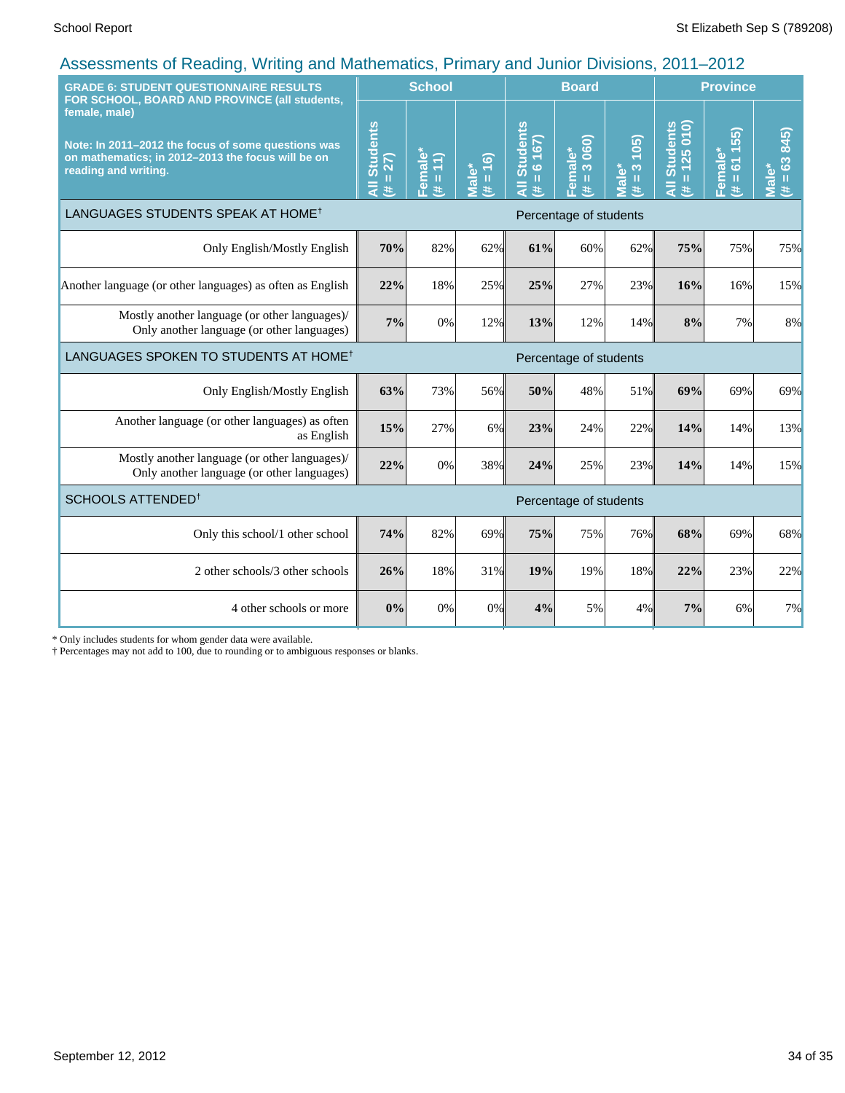| <b>GRADE 6: STUDENT QUESTIONNAIRE RESULTS</b><br>FOR SCHOOL, BOARD AND PROVINCE (all students,                                                   |                                                   | <b>School</b>                    |                     |                                                                | <b>Board</b>                                             |                                 |                                 | <b>Province</b>                                 |                          |  |
|--------------------------------------------------------------------------------------------------------------------------------------------------|---------------------------------------------------|----------------------------------|---------------------|----------------------------------------------------------------|----------------------------------------------------------|---------------------------------|---------------------------------|-------------------------------------------------|--------------------------|--|
| female, male)<br>Note: In 2011-2012 the focus of some questions was<br>on mathematics; in 2012-2013 the focus will be on<br>reading and writing. | <b>Students</b><br>$= 27$<br>$\overline{a}$<br>y. | Female*<br>$(\frac{44}{4} = 11)$ | $(91 = #)$<br>Male* | <b>Students</b><br>167)<br>$\ddot{\circ}$<br>$\mathbf{I}$<br>共 | 060)<br>Female*<br>$\infty$<br>$\mathbf{H}$<br>$\ddot{}$ | 105<br>Viale*<br>$\infty$<br>世地 | All Students<br>$= 125010$<br>共 | 55)<br>Female*<br>$\overline{6}$<br>$\,$ H<br>共 | $= 63 845$<br>Male*<br>进 |  |
| LANGUAGES STUDENTS SPEAK AT HOME <sup>†</sup>                                                                                                    |                                                   |                                  |                     |                                                                | Percentage of students                                   |                                 |                                 |                                                 |                          |  |
| Only English/Mostly English                                                                                                                      | 70%                                               | 82%                              | 62%                 | 61%                                                            | 60%                                                      | 62%                             | 75%                             | 75%                                             | 75%                      |  |
| Another language (or other languages) as often as English                                                                                        | 22%                                               | 18%                              | 25%                 | 25%                                                            | 27%                                                      | 23%                             | 16%                             | 16%                                             | 15%                      |  |
| Mostly another language (or other languages)/<br>Only another language (or other languages)                                                      | 7%                                                | 0%                               | 12%                 | 13%                                                            | 12%                                                      | 14%                             | 8%                              | 7%                                              | 8%                       |  |
| LANGUAGES SPOKEN TO STUDENTS AT HOME <sup>†</sup>                                                                                                | Percentage of students                            |                                  |                     |                                                                |                                                          |                                 |                                 |                                                 |                          |  |
| Only English/Mostly English                                                                                                                      | 63%                                               | 73%                              | 56%                 | 50%                                                            | 48%                                                      | 51%                             | 69%                             | 69%                                             | 69%                      |  |
| Another language (or other languages) as often<br>as English                                                                                     | 15%                                               | 27%                              | 6%                  | 23%                                                            | 24%                                                      | 22%                             | 14%                             | 14%                                             | 13%                      |  |
| Mostly another language (or other languages)/<br>Only another language (or other languages)                                                      | 22%                                               | 0%                               | 38%                 | 24%                                                            | 25%                                                      | 23%                             | 14%                             | 14%                                             | 15%                      |  |
| SCHOOLS ATTENDED <sup>1</sup>                                                                                                                    |                                                   |                                  |                     |                                                                | Percentage of students                                   |                                 |                                 |                                                 |                          |  |
| Only this school/1 other school                                                                                                                  | 74%                                               | 82%                              | 69%                 | 75%                                                            | 75%                                                      | 76%                             | 68%                             | 69%                                             | 68%                      |  |
| 2 other schools/3 other schools                                                                                                                  | 26%                                               | 18%                              | 31%                 | 19%                                                            | 19%                                                      | 18%                             | 22%                             | 23%                                             | 22%                      |  |
| 4 other schools or more                                                                                                                          | 0%                                                | 0%                               | 0%                  | 4%                                                             | 5%                                                       | 4%                              | 7%                              | 6%                                              | 7%                       |  |

\* Only includes students for whom gender data were available.

† Percentages may not add to 100, due to rounding or to ambiguous responses or blanks.